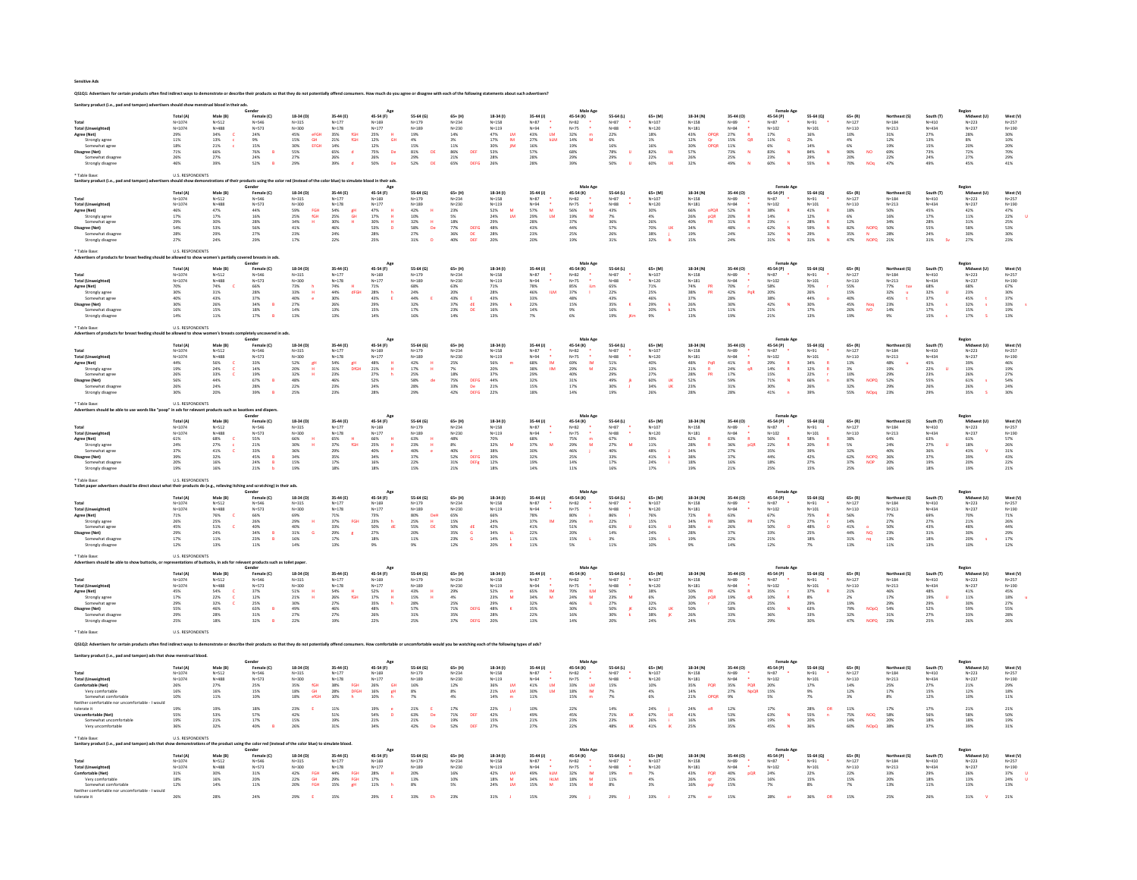Sensitive Ads

|                                                                         | Total (A                                    | Male (B)                  |                                                                                       | 18-34 (D)                                   | 35-44 (E)                            | 45-54 (F)                                                         | 55-64 (G)                                                                         | $65 + (H)$                       | 18-34 (1)                                                | 35-44 (J)                                                                    | 45-54 (K)                                                                   | 55-64 (L)                                   | $65 + (M)$                                               | 18-34 (N)                                                       | 35-44 (0)                                                   | 45-54 (P)                                                           | 55-64 (Q)                                              | $65 + (R)$                                 | Northeast (S)                              |                                             | Midwest (U)            |                                             |
|-------------------------------------------------------------------------|---------------------------------------------|---------------------------|---------------------------------------------------------------------------------------|---------------------------------------------|--------------------------------------|-------------------------------------------------------------------|-----------------------------------------------------------------------------------|----------------------------------|----------------------------------------------------------|------------------------------------------------------------------------------|-----------------------------------------------------------------------------|---------------------------------------------|----------------------------------------------------------|-----------------------------------------------------------------|-------------------------------------------------------------|---------------------------------------------------------------------|--------------------------------------------------------|--------------------------------------------|--------------------------------------------|---------------------------------------------|------------------------|---------------------------------------------|
| Total                                                                   | $N = 1074$                                  | $N = 512$<br>$N = 488$    | Female (C)<br>N=546                                                                   | $N = 315$                                   | $N = 177$                            | $N = 169$                                                         | $N = 179$                                                                         | $N = 234$                        | $N = 158$                                                |                                                                              | $N = 82$                                                                    | $N=87$                                      | $N = 107$                                                | $N=158$                                                         |                                                             | $N = 87$                                                            | $N = 91$                                               | $N = 127$                                  | $N = 1.84$                                 | South (T)<br>N=410                          | $N = 222$              | West (V)<br>N=257<br>N=190                  |
| <b>Total (Unweighted)</b>                                               | $N = 1074$                                  |                           | $N = 573$                                                                             | $N = 300$                                   | $N = 178$                            | $N = 177$                                                         | $N = 189$                                                                         | $N = 230$                        | $N = 119$                                                | N=87<br>N=94<br>¥                                                            |                                                                             | $N = 88$                                    | $N = 120$                                                | $N = 181$                                                       | N=89<br>N=84                                                | $N = 102$                                                           | $N = 101$                                              | $N = 110$                                  | $N = 213$                                  | $N = 434$                                   | $N = 237$              |                                             |
| Agree (Net)                                                             | $\begin{array}{l} 29\% \\ 11\% \end{array}$ | $\frac{34\%}{13\%}$       | $24\%$                                                                                | 45%<br>15%<br>eFGH<br>GH                    | $\frac{35\%}{21\%}$<br>fGH<br>fGH    | $25\%$ 12%<br>$\frac{\text{H}}{\text{GH}}$                        | $\begin{array}{l} 19\% \\ 4\% \end{array}$                                        | 14%                              | $\frac{47\%}{17\%}$<br>$\frac{\mathsf{LM}}{\mathsf{IM}}$ | LM<br>klm<br>43%<br>27%                                                      | $N=75$<br>32%<br>14%<br>$\frac{m}{M}$                                       | $\begin{array}{l} 22\% \\ 6\% \end{array}$  | 18%                                                      | $\begin{array}{l} 43\% \\ 12\% \end{array}$<br>OPQR             | $\begin{array}{l} 27\% \\ 15\% \end{array}$<br>$rac{R}{QR}$ | $\begin{array}{l} 17\% \\ 11\% \end{array}$                         | $\begin{array}{l} 16\% \\ 2\% \end{array}$             | 10%                                        | $31\%$ 12%                                 | $\begin{array}{l} 27\% \\ 13\% \end{array}$ | 28%<br>8%              | 30%<br>10%                                  |
| Strongly agree<br>Somewhat agree                                        |                                             |                           | $9\%$                                                                                 | EFGH                                        |                                      |                                                                   |                                                                                   | 3%                               | $\mathop{\text{JM}}$                                     |                                                                              |                                                                             |                                             | 1%                                                       | Qr<br>OPQR                                                      |                                                             | $\alpha$                                                            |                                                        | 4%                                         |                                            | 15%                                         |                        |                                             |
| Disagree (Net)                                                          | $\frac{18\%}{71\%}$                         | $21\%$<br>66%             | $15\%$<br>$\overline{B}$<br>76%                                                       | 30%<br>55%                                  | 14%<br>65%<br>$\mathbf{d}_1$         | 12%<br>75%<br>$_{\mathrm{De}}$                                    | $\begin{array}{l} 15\% \\ 81\% \end{array}$<br>DE                                 | $11\%$<br>DEF<br>86%             | 30%<br>53%                                               | 16%<br>57%                                                                   | 19%<br>68%                                                                  | $16\%$<br>78%<br>$\mathbf{H}$               | $\begin{array}{l} 16\% \\ 82\% \end{array}$<br><b>Uk</b> | 30%<br>57%                                                      | $\frac{11\%}{73\%}$<br>$\mathbf{N}$                         | 6%<br>83%<br>$\overline{N}$                                         | $\begin{array}{l} 14\% \\ 84\% \end{array}$<br>N       | 6%<br>90%<br><b>NO</b>                     | 19%<br>69%                                 | 73%                                         | 20%<br>72%             | 20%<br>70%                                  |
| Somewhat disagre-                                                       | 26%                                         | 27%                       | $24\%$                                                                                | 27%                                         | 26%                                  | 26%                                                               | <b>29%</b>                                                                        | $21\%$                           | 28%                                                      | <b>28%</b>                                                                   | 29%                                                                         | <b>29%</b>                                  | 22%                                                      | 26%                                                             | 25%                                                         | 23%                                                                 | 29%                                                    | 20%                                        | 22%                                        | 24%                                         | 27%                    | <b>29%</b>                                  |
| Strongly disagree                                                       | 46%                                         | 39%                       | 52%<br>$\overline{R}$                                                                 | 29%                                         | 39%                                  | De<br>50%                                                         | DE<br>52%                                                                         | <b>DEFG</b><br>65%               | 26%                                                      | 28%                                                                          | 39%                                                                         | 50%                                         | 60%                                                      | 32%                                                             | 49%                                                         | 60%                                                                 | 55%                                                    | 70%                                        | 47%                                        | 49%                                         | 45%                    | 41%                                         |
| Table Base                                                              | <b>U.S. RESPONDENTS</b>                     |                           |                                                                                       |                                             |                                      |                                                                   |                                                                                   |                                  |                                                          |                                                                              |                                                                             |                                             |                                                          |                                                                 |                                                             |                                                                     |                                                        |                                            |                                            |                                             |                        |                                             |
|                                                                         |                                             |                           | lucts using t                                                                         | red (instead of the color blue) to sim      |                                      | od in their ads                                                   |                                                                                   |                                  |                                                          |                                                                              |                                                                             |                                             |                                                          |                                                                 |                                                             |                                                                     |                                                        |                                            |                                            |                                             |                        |                                             |
|                                                                         | Total (A                                    |                           | Gender<br>Female (C)                                                                  | 18-34 (D)                                   | 35-44 (E)                            | Age<br>45-54 (F)                                                  | 55-64 (G)                                                                         | $65 + (H)$                       | 18-34 (1)                                                | 35-44 (J)                                                                    | Male Age<br>45-54 (K)                                                       | 55-64 (L)                                   | 65+ (M)                                                  | 18-34 (N)                                                       | 35-44 (0)                                                   | <b>Female Age</b><br>45-54 (P)                                      | 55-64 (Q)                                              | $65 + (R)$                                 | Northeast (S)                              | South (T)                                   | Region<br>Midwest      | West (V)                                    |
| Total                                                                   | $N = 1074$                                  | $N = 512$                 | $N = 546$                                                                             | $N = 315$                                   | $N = 177$                            |                                                                   | $N = 179$                                                                         | $N = 234$                        | $N=158$                                                  | $N=87$                                                                       | $N = 82$                                                                    | $N=87$                                      | $N = 107$                                                | $N=158$                                                         |                                                             | $N=87$                                                              | $N = 91$                                               | $N = 127$                                  | $N = 184$                                  | $N = 410$                                   | $N = 223$              | $N = 257$                                   |
| <b>Total (Unweighted)</b>                                               | $N = 1074$                                  | $N = 488$                 | $N=573$                                                                               | $N = 300$                                   | $N = 178$                            | $N=169$<br>$N=177$                                                | $N = 189$                                                                         | $N = 230$                        | $N = 119$                                                | $N=94$                                                                       | $N=75$                                                                      | $N = 88$                                    | $N = 120$                                                | $N = 181$                                                       | N=89<br>N=84                                                | $N = 102$                                                           | $N = 101$                                              | $N = 110$                                  | $N = 213$                                  | N=434                                       | $N = 237$              | $N = 190$                                   |
| Agree (Net)                                                             | $\frac{46\%}{17\%}$                         | $^{47\%}_{17\%}$          | $\frac{44\%}{16\%}$                                                                   | 59%<br>25%<br>34%<br>41%<br>FGH<br>fGH      | 54%<br>25%<br>30%<br>46%<br>gН<br>GH | 47%<br>17%<br>30%<br>53%<br>$\frac{H}{H}$                         | 42%<br>10%<br>32%<br>58%<br>27%                                                   | 23%<br>5%                        | 52%<br>24%<br>ïΜ                                         | 57%<br>29%<br>$\overline{M}$                                                 | 56%<br>19%<br>M.                                                            | $\substack{43\% \\ 7\%}$                    | 30%<br>4%                                                | 66%<br>26%<br>40%<br>40%<br>oPQR<br>pQR                         | 52%<br>20%<br>31%<br>48%                                    | $\begin{array}{r} 38\% \\ 14\% \\ 23\% \\ 62\% \\ 32\% \end{array}$ | $^{41\%}_{12\%}$                                       | 18%<br>6%                                  | 50%<br>16%                                 | 45%<br>17%                                  | $\frac{42\%}{11\%}$    | $\begin{array}{l} 47\% \\ 22\% \end{array}$ |
| Strongly agree<br>Somewhat agree                                        |                                             | 30%                       | 28%                                                                                   |                                             |                                      | $\mathbf{H}$                                                      |                                                                                   |                                  |                                                          |                                                                              | 37%                                                                         | 36%                                         | 26%                                                      | PR                                                              |                                                             |                                                                     |                                                        | 12%                                        | 34%                                        | 28%                                         | 31%                    |                                             |
| <b>Disagree (Net)</b>                                                   | 29%<br>54%                                  | $53\%$                    | 56%                                                                                   |                                             |                                      | b                                                                 | $\frac{H}{Dc}$                                                                    | 18%<br>77%<br>36%<br>40%<br>DEFG | 29%<br>48%                                               | 28%<br>43%                                                                   | 44%                                                                         | 57%                                         | $70\%$<br>$_{\rm HK}$                                    |                                                                 |                                                             | $\bar{N}$                                                           | 28%<br>59%<br>29%<br>31%<br>$\frac{R}{N}$              | 82%<br><b>NOPQ</b>                         | 50%                                        | 55%                                         | 58%                    | 25%<br>53%                                  |
| Somewhat disagree                                                       | 28%<br>27%                                  | 29%                       | 27%                                                                                   | $\begin{array}{l} 23\% \\ 17\% \end{array}$ | 24%                                  | 28%<br>25%                                                        |                                                                                   | DE<br>DEF                        | 28%<br>20%                                               | 23%                                                                          | 25%                                                                         | 26%                                         | 38%                                                      | 19%                                                             | 24%                                                         | $\overline{\mathbf{u}}$                                             |                                                        | 35%<br>47%<br>$\mathbf N$                  | 28%                                        | 24%                                         | 30%<br>27%             | 30%<br>23%                                  |
| Strongly disagree                                                       |                                             | 24%                       | 29%                                                                                   |                                             | 22%                                  |                                                                   | 31%                                                                               |                                  |                                                          | 20%                                                                          | 19%                                                                         | 31%                                         | 32%                                                      | 15%                                                             | 24%                                                         | 31%                                                                 |                                                        | <b>NOPO</b>                                | 21%                                        | 31%                                         |                        |                                             |
| Table Base:                                                             | <b>U.S. RESPONDENTS</b>                     |                           |                                                                                       |                                             |                                      |                                                                   |                                                                                   |                                  |                                                          |                                                                              |                                                                             |                                             |                                                          |                                                                 |                                                             |                                                                     |                                                        |                                            |                                            |                                             |                        |                                             |
|                                                                         |                                             |                           | ed breasts in ad                                                                      |                                             |                                      |                                                                   |                                                                                   |                                  |                                                          |                                                                              |                                                                             |                                             |                                                          |                                                                 |                                                             |                                                                     |                                                        |                                            |                                            |                                             |                        |                                             |
|                                                                         | Total (A                                    | Male (B)                  | Gender<br>Female (C)<br>N=546                                                         | 18-34 (D)                                   |                                      | Age<br>45-54 (F)                                                  | 55.64 (6)                                                                         |                                  | 18-34 (f)                                                | 35-44 (J)                                                                    | Male Age<br>45-54 (K)                                                       | 55-64 (L)                                   |                                                          | 18-34 (N)                                                       | 35-44 (0)                                                   | Female Ago                                                          | 55-64 (Q)                                              |                                            | Northeast (S)                              | South (T)                                   | Region<br>Midwest (U)  |                                             |
| Total                                                                   | $N = 1074$                                  | $N = 512$                 |                                                                                       | $N = 315$                                   | 35-44 (E)<br>N=177                   | $N = 169$                                                         | $N = 179$                                                                         | $65+ (H)$<br>N=234               | $N = 158$                                                | $N=87$                                                                       | $N = 82$                                                                    | $N=87$                                      | 65+ (M)<br>$N = 107$                                     | $N = 158$                                                       | $N = 89$                                                    | 45-54 (P)<br>N=87                                                   | $N = 91$                                               | $65 + (R)$<br>N=127                        | $N = 184$                                  | $N = 410$                                   | $N = 223$              | West (V)<br>$_{\rm N=257}$                  |
| <b>Total (Unweighted)</b>                                               | $N = 1074$                                  | $N = 488$                 | $N = 573$<br>66%                                                                      | $N = 300$                                   | $N=178$<br>74%                       | $N = 177$                                                         | $N = 189$                                                                         | $N = 230$                        | $N = 119$                                                | $N = 94$                                                                     | $N = 75$                                                                    | $N = 88$<br>65%                             | $N = 120$                                                | $N=181$<br>74%                                                  |                                                             | $N = 102$                                                           | $N = 101$                                              | $N = 110$                                  | $N = 213$                                  | $N = 434$<br>68%                            | $N = 237$              | $N=190$<br>67%                              |
| Agree (Net)                                                             | 70%<br>30%<br>40%                           | $74\%$                    |                                                                                       | 73%                                         |                                      | $\begin{array}{r} 71\% \\ 28\% \\ 43\% \end{array}$               | 68%                                                                               | 63%                              | 71%                                                      | 78%                                                                          | 85%<br>37%<br>48%<br>itm                                                    |                                             | $71\%$                                                   |                                                                 | $N=84$<br>70%                                               | 58%<br>20%<br>38%                                                   | 70%                                                    | 55%                                        | 77%<br>tuv                                 |                                             | 68%                    |                                             |
| Strongly agree<br>Somewhat agree                                        |                                             | $31\%$<br>43%             | 28%<br>37%                                                                            | 33%<br>$\,$ H<br><b>A</b>                   | 44%<br>30%<br>dFGH                   |                                                                   | $24\%$<br>44%                                                                     | 20%<br>43%<br>- E                | 28%<br>43%                                               | 46%<br><b>ILM</b><br>33%                                                     |                                                                             | 22%<br>43%                                  | $25\%$<br>46%                                            | 38%<br>37%<br>PR                                                | $42\%$<br>PgR<br>28%                                        |                                                                     | $26\%$<br>44%                                          | 15%<br>40%                                 | $32\%$<br>þ<br>45%<br>$\ddot{\phantom{a}}$ | 32%<br>37%                                  | 23%<br>45%             | 30%<br>37%                                  |
| <b>Disagree (Net)</b>                                                   | $30%$                                       | 26%                       | 34%<br>B                                                                              | 40%<br>27%                                  | 26%                                  | 29%                                                               | 32%                                                                               | 37%<br>dE                        |                                                          | 22%                                                                          | 15%                                                                         | 35%                                         | 29%                                                      | 26%                                                             | 30%                                                         | 42%                                                                 |                                                        | 45%                                        |                                            | 32%                                         | 32%                    |                                             |
| Somewhat disagree                                                       | $\frac{16\%}{14\%}$                         | 15%                       |                                                                                       | 14%                                         | 13%                                  | 15%                                                               | 17%                                                                               | DE                               | $29%$<br>$16%$                                           |                                                                              | 9%<br>6%                                                                    |                                             |                                                          | 12%                                                             | 11%                                                         |                                                                     | $\begin{array}{r} 30\% \\ 17\% \\ 13\% \end{array}$    | Noq<br>NO                                  | 23%<br>14%<br>9%                           | 17%                                         |                        | 33%<br>19%<br>13%                           |
| Strongly disagree                                                       |                                             |                           | $\frac{18\%}{17\%}$<br>$\overline{R}$                                                 | 13%                                         | 13%                                  | 14%                                                               | 16%                                                                               | 23%<br>14%                       | $13\%$                                                   | $\frac{14\%}{7\%}$                                                           |                                                                             | $\substack{16\% \\ 19\%}$<br>jKm            | 20%<br>9%                                                | 13%                                                             | 19%                                                         | $\begin{array}{l} 21\% \\ 21\% \end{array}$                         |                                                        | $\frac{26\%}{19\%}$                        |                                            | 15%                                         | $\frac{15\%}{17\%}$    |                                             |
|                                                                         | <b>U.S. RESPONDENTS</b>                     |                           |                                                                                       |                                             |                                      |                                                                   |                                                                                   |                                  |                                                          |                                                                              |                                                                             |                                             |                                                          |                                                                 |                                                             |                                                                     |                                                        |                                            |                                            |                                             |                        |                                             |
| Advertisers of p                                                        |                                             | en's hre                  | pletely uncovered in ads.                                                             |                                             |                                      |                                                                   |                                                                                   |                                  |                                                          |                                                                              |                                                                             |                                             |                                                          |                                                                 |                                                             |                                                                     |                                                        |                                            |                                            |                                             |                        |                                             |
|                                                                         | Total (A)                                   | Male (B)                  | Gender<br>Female (C)                                                                  | 18-34 (D)                                   | 35-44 (F)                            | Age<br>45-54 (F)                                                  | 55.64 (6)                                                                         | $65 + (H)$                       | 18-34 (1)                                                | 35-44 (1)                                                                    | Male Age<br>45-54 (K)                                                       | 55-64 (1)                                   | $65 + (M)$                                               | 18-34 (N)                                                       | 35-44 (0)                                                   | Female Age                                                          | 55-64 (Q)                                              | $65 + 181$                                 | Northeast (S)                              | South (T)                                   | Region<br>Midwest (U)  | West (V)                                    |
| Total                                                                   | $N = 1074$                                  | $N = 512$                 | $N = 546$                                                                             | $N = 315$                                   | $N = 177$                            | $N = 169$                                                         | $N = 179$                                                                         | $N = 234$                        | $N = 158$                                                | $N=87$                                                                       | $N=82$                                                                      | $N=87$                                      | $N = 107$                                                | $N = 158$                                                       | N=89                                                        | 45-54 (P)<br>N=87                                                   | $N = 91$                                               | $N = 127$                                  | $N = 184$                                  | $N = 410$                                   | $N = 223$              | $N = 257$                                   |
| Total (Unweighted)<br>Agree (Net)                                       | $N = 1074$                                  | $N = 488$                 | N=573<br>33%<br>14%<br>19%                                                            | $N = 300$                                   | $N=178$<br>54%<br>31%<br>31%         | $N = 177$                                                         | $N = 189$                                                                         | $N = 230$                        | $N=119$<br>56%                                           | $N=94$<br>68%<br>38%<br>38%<br>32%<br>32%                                    | N=75<br>69%<br>29%<br>40%                                                   | $N = 88$                                    | $N = 120$                                                | $N=133$<br>$N=181$<br>$48%$<br>$21%$<br>$28%$<br>$52%$<br>$23%$ | $N=84$<br>41%<br>24%<br>24%                                 | $N = 102$                                                           | $N = 101$                                              | $N = 110$                                  | $N = 213$                                  | N=434                                       | $N = 237$              | $N = 190$<br>$46%$                          |
|                                                                         | 44%                                         | 56%                       |                                                                                       | gH<br>H                                     | gH<br>DfGH                           | $\mathbf H$<br>H                                                  | 42%                                                                               | 25%                              |                                                          | IM.<br><b>IM</b>                                                             | IM.<br>M                                                                    | 51%<br>22%                                  | 40%<br>13%                                               | PQR<br>$\mathbb{R}$                                             | $\mathbf R$<br>qR                                           | $\overline{R}$                                                      | $\mathbf{R}$                                           | 13%                                        | 48%                                        | 45%<br>22%                                  | 39%<br>13%             |                                             |
| Strongly agree<br>Somewhat agree                                        |                                             | $\frac{24\%}{33\%}$       |                                                                                       | 52%<br>20%<br>32%                           |                                      | 48%<br>21%<br>27%                                                 |                                                                                   | 7%<br>18%                        | 20%<br>37%                                               |                                                                              |                                                                             | 29%                                         | $27\%$                                                   | PR                                                              |                                                             |                                                                     | 34%<br>34%<br>12%<br>22%                               | $\begin{array}{l} 3\% \\ 10\% \end{array}$ |                                            | <b>23%</b>                                  | 26%                    | 19%<br>27%                                  |
| <b>Disagree (Net)</b>                                                   |                                             | 44%                       | 67%<br>$\overline{B}$                                                                 |                                             |                                      |                                                                   | de                                                                                |                                  |                                                          |                                                                              |                                                                             | -k                                          |                                                          |                                                                 |                                                             | $\mathbf{N}$                                                        | $\mathbf{a}$                                           | <b>NOPQ</b>                                |                                            |                                             |                        |                                             |
| Somewhat disagree                                                       | 19%<br>26%<br>56%<br>26%                    | 24%                       | 28%                                                                                   | $\frac{48\%}{22\%}$                         | 46%<br>23%                           | 52%<br>24%                                                        | 17%<br>25%<br>58%<br>28%                                                          | 75%<br>33%<br>DEFG<br>De<br>DEFG | $\frac{44\%}{21\%}$                                      |                                                                              | $\begin{array}{l} 31\% \\ 17\% \end{array}$                                 | 49%<br>30%                                  | 60%<br>34%<br>ijk<br>ijk                                 |                                                                 | 59%<br>31%                                                  | N-10<br>29%<br>14%<br>15%<br>15%<br>71%                             | 66%<br>26%                                             | 87%<br>32%                                 | 19%<br>29%<br>52%<br>29%                   | 55%<br>26%                                  | 61%<br>26%             | 54%<br>24%                                  |
| Strongly disagree                                                       | 30%                                         |                           | 39%                                                                                   | 25%                                         | 23%                                  | 28%                                                               | 29%                                                                               | 42%                              | 22%                                                      | 18%                                                                          | 14%                                                                         | 19%                                         | 26%                                                      | 28%                                                             | 28%                                                         | 41%                                                                 | 39%                                                    | 55%<br>NOpg                                | 23%                                        | 29%                                         | 35%                    | 30%                                         |
| Table Base                                                              | U.S. RESPONDENTS                            |                           |                                                                                       |                                             |                                      |                                                                   |                                                                                   |                                  |                                                          |                                                                              |                                                                             |                                             |                                                          |                                                                 |                                                             |                                                                     |                                                        |                                            |                                            |                                             |                        |                                             |
| Advertisers should be able to use words                                 | in ads for                                  |                           | ant products such as laxatives and diapers<br>Gender                                  |                                             |                                      | Ap                                                                |                                                                                   |                                  |                                                          |                                                                              | Male Age                                                                    |                                             |                                                          |                                                                 |                                                             | Female Ag                                                           |                                                        |                                            |                                            |                                             |                        |                                             |
|                                                                         | Total (A                                    | Male (B)                  | Female (C)                                                                            | 18-34 (D)                                   | 35-44 (E)                            | 45-54 (F)                                                         | 55-64 (G)                                                                         | $65 + (H)$                       | 18-34 (1)                                                | 35-44 (J)                                                                    | 45-54 (K)                                                                   | 55-64 (L)                                   | $65 + (M)$                                               | 18-34 (N)                                                       | 35-44 (0)                                                   | 45-54 (P)                                                           | 55-64 (Q)                                              | $65 + (R)$                                 | Northeast (S)                              | South (T)                                   | Region<br>Midwest (U)  | West (V)                                    |
| Total                                                                   | $N = 1074$                                  | $N = 512$                 | N=546                                                                                 | $N = 315$                                   | $N = 177$                            | $N = 169$                                                         | N=179                                                                             | $N = 234$                        | $N = 158$                                                | $N=87$                                                                       | $N=82$                                                                      | $N=87$                                      | $N = 107$                                                | $N=158$                                                         | N=89<br>N=84                                                | $N=87$                                                              | $N = 91$                                               | $N = 127$                                  | $N = 184$                                  | $N = 410$                                   | $N = 223$              | $N = 257$                                   |
| <b>Total (Unweighted)</b>                                               | $N = 1074$                                  | $N = 488$                 | $N = 573$                                                                             | $N = 300$                                   | $N = 178$                            | $N = 177$                                                         | $N = 189$                                                                         | $N = 230$                        | $N = 119$                                                | $N = 94$                                                                     | $N = 75$                                                                    | $N = 88$                                    | $N = 120$                                                | $N = 181$                                                       |                                                             | $N = 102$                                                           | $N = 101$                                              | $N = 110$                                  | $N = 213$                                  | $N = 434$                                   | $N = 237$              | $N = 190$                                   |
| Agree (Net)<br>Strongly agree                                           | $61\%$                                      | 68%<br>27%                | $\frac{55\%}{21\%}$                                                                   | $\mathbf{H}$                                | $\frac{65\%}{37\%}$<br>Ĥ<br>fGH      | $66%$<br>25%<br>$\mathbf H$<br>H                                  |                                                                                   | 48%<br>8%                        | 70%<br>32%                                               | 68%<br>37%                                                                   | $\frac{m}{M}$                                                               | $\frac{67\%}{27\%}$                         | 59%<br>11%                                               | 62%<br>28%                                                      | $63%$<br>$36%$<br>$\mathbf{R}$<br>pQR                       | $\frac{56\%}{22\%}$                                                 | $\frac{58\%}{20\%}$                                    | 38%<br>5%                                  | 64%<br>24%                                 | 63%<br>27%                                  | 61%<br>18%             | 57%                                         |
| Somewhat agree                                                          | 24%<br>37%                                  | $41\%$                    | 33%                                                                                   | 66%<br>30%<br>36%                           | 29%                                  | $\mathbf{c}$                                                      | $63%$<br>$23%$<br>$40%$                                                           | $\mathbf{c}$                     |                                                          | 30%                                                                          | 75%<br>29%<br>46%                                                           | $40\%$                                      | $48\%$                                                   | 34%                                                             | $27\%$                                                      | 35%                                                                 | 39%                                                    | 32%                                        |                                            | 36%                                         | 43%                    | 26%<br>31%                                  |
| <b>Disagree (Net)</b>                                                   |                                             |                           | B                                                                                     |                                             | 35%                                  |                                                                   |                                                                                   | 40%<br>52%<br>31%                | 38%<br>30%<br>30%<br>12%                                 |                                                                              |                                                                             | 33%                                         | 41%                                                      |                                                                 |                                                             | 44%                                                                 |                                                        | <b>NOPO</b>                                | 40%<br>36%<br>20%                          |                                             |                        |                                             |
| Somewhat disagre                                                        | 39%<br>20%                                  | $32\%$ 16%                | 45%<br>24%                                                                            | $\begin{array}{l} 34\% \\ 15\% \end{array}$ | 17%                                  | 40%<br>40%<br>34%<br>16%<br>18%                                   | $\substack{37\% \\ 22\%}$                                                         | DEFG<br>DEFg                     |                                                          | 32%<br>19%                                                                   | $\frac{25\%}{14\%}$                                                         | $17\%$                                      | $24\%$                                                   | $\begin{array}{l} 38\% \\ 18\% \end{array}$                     | $37\%$ 16%                                                  | 18%                                                                 | $^{42\%}_{27\%}$                                       | 62%<br>37%<br><b>NOP</b>                   |                                            | $\substack{37\% \\ 19\%}$                   | 39%<br>20%             | $\substack{43\% \\ 22\%}$                   |
| Strongly disagree                                                       | 19%                                         | 16%                       | 21%                                                                                   | 19%                                         | 18%                                  |                                                                   | 15%                                                                               | 21%                              | 18%                                                      | 14%                                                                          | 11%                                                                         | 16%                                         | 17%                                                      | 19%                                                             | 21%                                                         | 25%                                                                 | 15%                                                    | 25%                                        | 16%                                        | 18%                                         | 19%                    | 21%                                         |
| Table Base:                                                             | <b>U.S. RESPONDENTS</b>                     |                           |                                                                                       |                                             |                                      |                                                                   |                                                                                   |                                  |                                                          |                                                                              |                                                                             |                                             |                                                          |                                                                 |                                                             |                                                                     |                                                        |                                            |                                            |                                             |                        |                                             |
| <b>Toilet paper adı</b>                                                 |                                             | ts do (e.g., reli         | g and scratching) in their ads                                                        |                                             |                                      | Age                                                               |                                                                                   |                                  |                                                          |                                                                              | Male Ap                                                                     |                                             |                                                          |                                                                 |                                                             | Female Ag                                                           |                                                        |                                            |                                            |                                             |                        |                                             |
|                                                                         | Total (A                                    | Male (B)                  | Female (C)                                                                            | 18-34 (D)                                   | 35-44 (E)                            | 45-54 (F)                                                         | 55-64 (G)                                                                         | $65 + (H)$                       | 18-34 (1)                                                | 35-44 (J)                                                                    | 45-54 (K)                                                                   | 55-64 (L)                                   | $65 + (M)$                                               | 18-34 (N)                                                       | 35-44 (0)                                                   | 45-54 (P)                                                           | 55-64 (Q)                                              | $65 + (R)$                                 | Northeast (S)                              | South (T)                                   | Region<br>Midwest (U)  | West (V)                                    |
|                                                                         | $N=1074$<br>$N=1074$                        | $N = 512$<br>$N = 488$    | $N = 546$<br>$N = 573$                                                                | N=315<br>N=300                              | $N=177$<br>$N=178$                   | $N=169$<br>$N=177$                                                | $N=179$<br>$N=189$                                                                | $N=234$<br>$N=230$               | $N=158$<br>$N=119$                                       | N=87<br>N=94                                                                 | N=82<br>N=75                                                                | $N=87$<br>$N=88$                            | N=107<br>N=120                                           | $N=158$<br>$N=181$                                              | N=89<br>N=84                                                | $N=87$<br>$N=102$                                                   | $N = 91$<br>$N = 101$                                  | $N=127$<br>$N=110$                         | $N = 184$                                  | $N = 410$                                   | $N=223$<br>$N=237$     | $N=257$<br>$N=190$                          |
| Total (Unweighted)                                                      |                                             | $\epsilon$                |                                                                                       |                                             |                                      |                                                                   |                                                                                   |                                  | 66%                                                      |                                                                              |                                                                             | - 11                                        |                                                          |                                                                 |                                                             |                                                                     | $\mathbb{R}$                                           | 56%                                        | $N = 213$                                  | $N = 434$<br>69%                            |                        |                                             |
| Agree (Net)<br>Strongly agree                                           | $\frac{71\%}{26\%}$                         | 76%<br>25%                | 66%<br>26%                                                                            | 69%<br>29%<br>$\mathbf{H}$                  | 71%<br>37%<br>FGH                    | $\begin{array}{l} 73\% \\ 23\% \end{array}$<br>$\,$ h             | 80%<br>25%<br>$_{\rm H}^{\rm DeH}$                                                | 65%<br>15%                       | 24%                                                      | 78%<br>37%<br><b>IM</b>                                                      | $\frac{1}{m}$                                                               | $86\%$ 22%                                  | 76%<br>15%                                               | 72%<br>34%<br>$\overline{PR}$                                   | 63%<br>38%<br>PR                                            | $\frac{67\%}{17\%}$                                                 | 75%<br>27%<br>×.                                       | 14%                                        | 77%<br>27%                                 | 27%                                         | 70%<br>21%             | $\begin{array}{l} 71\% \\ 26\% \end{array}$ |
| Somewhat agree                                                          | 45%<br>29%                                  | $51\%$                    | 40%<br>34%                                                                            | 40%<br>31%                                  |                                      | dE                                                                | 55%<br>20%<br>DE                                                                  | 50%<br>35%                       |                                                          | $\begin{array}{c} 41\% \\ 22\% \end{array}$                                  |                                                                             | $\begin{array}{l} 63\% \\ 14\% \end{array}$ | $61\%$<br><b>u</b>                                       | 38%<br>28%                                                      | 26%<br>37%                                                  | 50%<br>33%<br>$\alpha$                                              | $\begin{array}{l} 48\% \\ 25\% \end{array}$<br>$\circ$ | $\frac{41\%}{44\%}$                        | 50%<br>23%                                 | 43%                                         | 48%<br>30%             |                                             |
| <b>Disagree (Net)</b>                                                   |                                             | 24%                       | B                                                                                     | $\overline{G}$                              | 33%<br>29%<br>17%                    | 50%<br>27%                                                        |                                                                                   | $\frac{\text{d}E}{\text{G}}$     | 42%<br>34%<br>14%<br>kL                                  |                                                                              | 80%<br>29%<br>51%<br>20%                                                    |                                             | 24%                                                      |                                                                 |                                                             |                                                                     |                                                        | $\frac{0}{NQ}$                             |                                            | 31%                                         |                        | 44%<br>29%<br>17%                           |
| Somewhat disag<br>Strongly disagree                                     | $17\%$<br>12%                               | $11\%$<br>13%             | $23\%$<br>B<br>11%                                                                    | 16%<br>14%                                  | 13%                                  | $18\%$<br>9%                                                      | $11\%$<br>9%                                                                      | $23\%$<br>G                      |                                                          | $11\%$                                                                       | 15%                                                                         |                                             | $13\%$                                                   | $19\%$                                                          |                                                             |                                                                     |                                                        |                                            |                                            | 18%                                         | 20%<br>10%             | 12%                                         |
|                                                                         |                                             |                           |                                                                                       |                                             |                                      |                                                                   |                                                                                   |                                  |                                                          |                                                                              |                                                                             | $3\%$                                       |                                                          |                                                                 | <b>22%</b>                                                  | $21\%$                                                              | $18\%$                                                 | $31\%$<br>nq                               | $13\%$                                     |                                             |                        |                                             |
| Table Rase                                                              | <b>U.S. RESPONDENTS</b>                     |                           |                                                                                       |                                             |                                      |                                                                   |                                                                                   | 12%                              | 20%                                                      | 11%                                                                          | 5%                                                                          | 11%                                         | 10%                                                      | 9%                                                              | 14%                                                         | 12%                                                                 | 7%                                                     | 13%                                        | 11%                                        | 13%                                         |                        |                                             |
|                                                                         |                                             |                           |                                                                                       |                                             |                                      |                                                                   |                                                                                   |                                  |                                                          |                                                                              |                                                                             |                                             |                                                          |                                                                 |                                                             |                                                                     |                                                        |                                            |                                            |                                             |                        |                                             |
|                                                                         |                                             |                           | Gender                                                                                |                                             |                                      | Age                                                               |                                                                                   |                                  |                                                          |                                                                              | Male Age                                                                    |                                             |                                                          |                                                                 |                                                             | Female Ago                                                          |                                                        |                                            |                                            |                                             | Region                 |                                             |
|                                                                         | Total (A                                    |                           | Female (C)                                                                            | 18-34 (D)                                   | 35-44 (E)                            | 45-54 (F)                                                         | 55-64 (G)                                                                         | $65+ (H)$                        | 18-34 (1)                                                | 35-44 (J)                                                                    | 45-54 (K)                                                                   | 55-64 (L)                                   | $65 + (M)$                                               | 18-34 (N)                                                       | 35-44 (O)                                                   |                                                                     | 55-64 (Q)                                              | $65 + (R)$                                 | Northeast (S)                              | South (T)                                   | Midwo                  |                                             |
| Total                                                                   | $N = 1074$                                  | $N = 512$                 | $N = 546$                                                                             | $N = 315$                                   | $N = 177$                            | $N = 169$                                                         | $N = 179$                                                                         | $N = 234$                        | $N=158$                                                  | $N=87$                                                                       | $N = 82$                                                                    | $N=87$                                      | $N = 107$                                                | $N=158$                                                         |                                                             | 45-54 (P)<br>$N=87$                                                 | $N = 91$                                               | $N = 127$                                  | $N = 184$                                  | $N = 410$                                   | $N = 223$              | West (V)<br>$N=257$                         |
| <b>Total (Unweighted)</b>                                               | $N = 1074$                                  | $N = 488$                 | $N=573$                                                                               | $N = 300$                                   | $N = 178$                            | $N = 177$                                                         | $N = 189$                                                                         | $N = 230$                        | $N = 119$                                                | N=94<br>×                                                                    | $N=75$<br>x                                                                 | $N = 88$                                    | $N = 120$                                                | $N = 181$                                                       | N=89<br>N=84                                                | $N = 102$                                                           | $N = 101$                                              | $N = 110$                                  | $N = 213$                                  | $N = 434$                                   | $N = 237$              | $N=190$                                     |
| Agree (Net)                                                             |                                             |                           |                                                                                       | H                                           | н<br>fGH                             | H                                                                 |                                                                                   |                                  |                                                          | <b>IM</b><br>M                                                               | <b>ILM</b>                                                                  |                                             |                                                          | PR                                                              | R<br><b>gR</b>                                              | $\bar{\mathbf{R}}$                                                  | 37%                                                    | 21%                                        | 46%                                        | 48%                                         |                        | 45%                                         |
| Strongly agree<br>Somewhat agree                                        | $\frac{45\%}{17\%}$                         | 54%<br>22%                | $\begin{array}{l} 37\% \\ 12\% \end{array}$                                           | $\frac{51\%}{21\%}$                         |                                      | $\bar{\mathbf{H}}$<br>$\mathbf{h}$                                |                                                                                   | 29%<br>4%                        | 52%<br>23%<br>$\mathbf{M}$                               | 65%<br>34%                                                                   | M<br>'n.                                                                    | 50%<br>23%                                  | 38%<br>6%                                                | pQR                                                             |                                                             |                                                                     | $8\%$                                                  | $2\%$                                      | $17\%$                                     | $19\%$                                      | $\frac{41\%}{11\%}$    | $18\%$                                      |
| <b>Disagree (Net)</b>                                                   | 29%<br>55%                                  | $\substack{32\% \\ 46\%}$ | 25%<br>63%<br><b>B</b>                                                                | 30%<br>49%                                  | 54%<br>26%<br>27%<br>46%             | 52%<br>17%<br>35%<br>48%                                          | 43%<br>15%<br>28%<br>57%                                                          | $\frac{25\%}{71\%}$<br>DEFG      | 29%<br>48%<br>$\mathbf x$                                | 32%<br>35%                                                                   | 70%<br>24%<br>46%<br>30%                                                    | 27%<br>50%<br>$\mathbf{K}$                  | 32%<br>62%<br>цк                                         |                                                                 | 42%<br>19%<br>23%<br>58%                                    | 35%<br>10%<br>25%<br>65%<br>$\bar{N}$                               | 29%<br>63%                                             | 19%<br>79%<br><b>NOpQ</b>                  | 29%<br>54%                                 | 29%<br>52%                                  |                        |                                             |
| Somewhat disagree                                                       | 29%                                         | 28%                       | 31%                                                                                   | 27%                                         | 27%                                  | 26%                                                               | 31%                                                                               | 35%                              | 28%                                                      | 22%                                                                          | 16%                                                                         | 30%                                         | 38%<br>-jK                                               | 50%<br>20%<br>30%<br>50%<br>26%                                 | 33%                                                         | 36%                                                                 | 33%                                                    | 32%                                        | 31%                                        | 27%                                         | 30%<br>59%<br>33%      | 27%<br>55%<br>28%                           |
| Strongly disagree                                                       | 25%                                         | 18%                       | 32%                                                                                   | 22%                                         | 19%                                  | 22%                                                               | 25%                                                                               | DEFG<br>37%                      | 20%                                                      | 13%                                                                          | 14%                                                                         | 20%                                         | 24%                                                      | 24%                                                             | 25%                                                         | 29%                                                                 | 30%                                                    | <b>NOPQ</b><br>47%                         | 23%                                        | 25%                                         | 26%                    | 26%                                         |
|                                                                         | <b>U.S. RESPONDENTS</b>                     |                           |                                                                                       |                                             |                                      |                                                                   |                                                                                   |                                  |                                                          |                                                                              |                                                                             |                                             |                                                          |                                                                 |                                                             |                                                                     |                                                        |                                            |                                            |                                             |                        |                                             |
|                                                                         |                                             |                           | to demonstrate or describe their products so that they do not potentially offend cons |                                             |                                      |                                                                   | rtable or uncomfortable would you be watching each of the following types of ads? |                                  |                                                          |                                                                              |                                                                             |                                             |                                                          |                                                                 |                                                             |                                                                     |                                                        |                                            |                                            |                                             |                        |                                             |
| initary product (i.e., pad and tampon) ads that                         |                                             |                           |                                                                                       |                                             |                                      |                                                                   |                                                                                   |                                  |                                                          |                                                                              |                                                                             |                                             |                                                          |                                                                 |                                                             |                                                                     |                                                        |                                            |                                            |                                             |                        |                                             |
|                                                                         |                                             |                           |                                                                                       |                                             |                                      |                                                                   |                                                                                   |                                  |                                                          |                                                                              | Male As                                                                     |                                             |                                                          |                                                                 |                                                             |                                                                     |                                                        |                                            |                                            |                                             |                        |                                             |
|                                                                         | Total (A                                    | Male (B)                  | Female (C)                                                                            | 18-34 (D)                                   | 35-44 (E)                            | 45-54 (F)                                                         | 55-64 (G)                                                                         | $65+ (H)$                        | 18-34 (1)                                                | 35-44 (J)                                                                    | 45-54 (K)                                                                   | 55-64 (L)                                   | $65 + (M)$                                               | 18-34 (N)                                                       | 35-44 (O)                                                   | 45-54 (P)                                                           | 55-64 (Q)<br>$N = 91$                                  | $65 + (R)$                                 | Northeast (S)                              | South (T)<br>$N = 410$                      | Region<br>Midwest (L   | West (V)                                    |
| <b>Total (Unweighted)</b>                                               | $N = 1074$<br>$N = 1074$                    | $N = 512$<br>$N = 488$    | $N = 546$<br>$N = 573$                                                                | $N = 315$<br>$N = 300$                      | $N=177$<br>$N=178$                   | $N=169$<br>$N=177$                                                | $N = 179$<br>$N = 189$                                                            | $N = 234$<br>$N = 230$           | $\texttt{N=158}$<br>$N = 119$                            | N=87<br>N=94                                                                 | N=82<br>N=75<br>$\star$                                                     | $N=87$<br>$N = 88$                          | $N = 107$<br>$N = 120$                                   | $N = 158$<br>$N = 181$                                          | N=89<br>N=84<br>¥                                           | $N=87$<br>$N=102$                                                   | $N = 101$                                              | $N = 127$<br>$N = 110$                     | $N = 184$<br>$N = 213$                     | $N = 434$                                   | $N = 223$<br>$N = 237$ | $N = 257$<br>$N = 190$                      |
| Comfortable (Net)                                                       | 26%                                         | 27%                       | 25%                                                                                   | $35\%$                                      | FGH                                  |                                                                   | $16\%$                                                                            | $12\%$                           | 36%<br>$\mathsf{L}\mathsf{M}$                            | $41\%$<br>${\sf LM}$                                                         |                                                                             | 15%                                         | 10%                                                      | PQR                                                             | PQR                                                         |                                                                     | $17\%$                                                 | $14\%$                                     | 25%                                        | <b>27%</b>                                  | 21%                    | 29%                                         |
| Very comfortable                                                        | 16%                                         | 16%                       | 15%                                                                                   | 18%                                         | <b>DFGH</b>                          |                                                                   |                                                                                   | 8%                               | 21%<br><b>LM</b>                                         | 30%<br><b>LM</b>                                                             | 33%<br>18%<br>$\frac{LM}{IM}$                                               |                                             | 4%                                                       | $35\%$ 14%                                                      | 35%<br>27%<br><b>NoOF</b>                                   | 20%<br>15%                                                          |                                                        | 12%                                        | 17%                                        | 15%                                         | 12%                    | 18%                                         |
| Somewhat comfortable<br>Neither comfortable nor uncomfortable - I would | 10%                                         | 11%                       | 10%                                                                                   | fGH<br>GH<br>efGH<br>$18\%$                 | 38%<br>28%<br>10%                    | $\begin{array}{l} 26\% \\ 16\% \\ 10\% \end{array}$<br>부원 GH<br>자 | $\frac{8\%}{7\%}$                                                                 | 4%                               | 14%                                                      | $11\%$                                                                       | 15%                                                                         | $\frac{7\%}{7\%}$                           | 6%                                                       | $21\%$<br>OPQI                                                  | $9\%$                                                       | 5%                                                                  | $\frac{9\%}{7\%}$                                      | 3%                                         | $8\%$                                      | 12%                                         | 10%                    | $11\%$                                      |
| tolerate it                                                             | 19%                                         | 19%                       | 18%                                                                                   | 23%                                         | $11\%$                               |                                                                   | $21\%$                                                                            | $17\%$                           | $22\%$                                                   | 10%                                                                          | 22%                                                                         | $14\%$                                      |                                                          | $24\%$                                                          | $12\%$                                                      | 17%                                                                 | OF                                                     | $11\%$                                     | $17\%$                                     | 17%                                         | 21%                    | $21\%$                                      |
| Uncomfortable (Net)                                                     | 55%                                         | 53%                       | 57%                                                                                   | 42%                                         | 51%                                  | 19%<br>54%<br>$\mathbf{D}$                                        | 63%<br>De                                                                         | $71\%$<br>DEF                    | 42%                                                      | 49%                                                                          | 45%                                                                         | <b>UK</b><br>71%                            | 24%<br>67%<br><b>UK</b>                                  | 41%                                                             | 53%                                                         | 63%<br>$\overline{N}$                                               | <b>D</b>                                               | <b>NOQ</b><br>75%                          | 58%                                        | 56%                                         | 58%                    |                                             |
| Somewhat uncomfortable<br>Very uncomfortable                            | 19%<br>36%                                  | 21%<br>32%                | 17%<br>40%                                                                            | 15%<br>26%                                  | 19%<br>31%                           | 21%<br>34%                                                        | $21\%$<br>n-<br>42%                                                               | 19%<br>DEF<br>52%                | 15%<br>27%                                               | 21%<br>27%                                                                   | 23%<br>22%                                                                  | 23%<br>48%<br><b>TIR</b>                    | 26%<br>41%<br><b>ik</b>                                  | 16%<br>25%                                                      | 18%<br>35%                                                  | 19%<br>45%                                                          | 28%<br>55%<br>20%<br>36%                               | 14%<br>60%<br><b>NOpO</b>                  | 20%<br>38%                                 | 18%<br>37%                                  | 18%<br>39%             | 50%<br>19%<br>31%                           |
|                                                                         |                                             |                           |                                                                                       |                                             |                                      |                                                                   |                                                                                   |                                  |                                                          |                                                                              |                                                                             |                                             |                                                          |                                                                 |                                                             |                                                                     |                                                        |                                            |                                            |                                             |                        |                                             |
| * Table Rase:<br>Sanitary product (i.e., pad and tampon) ads            | U.S. RESPONDENT:                            | of the prod               | ag the color red (in                                                                  | ad of the color blue) to simulate blood     |                                      |                                                                   |                                                                                   |                                  |                                                          |                                                                              |                                                                             |                                             |                                                          |                                                                 |                                                             |                                                                     |                                                        |                                            |                                            |                                             |                        |                                             |
|                                                                         |                                             |                           |                                                                                       |                                             |                                      |                                                                   |                                                                                   |                                  |                                                          |                                                                              | Male Ap                                                                     |                                             |                                                          |                                                                 |                                                             | Female As                                                           |                                                        |                                            |                                            |                                             |                        |                                             |
|                                                                         | Total (A)                                   |                           | Gender<br>Female (C)                                                                  | 18-34 (D)                                   | 35-44 (E)                            | $45 - 54 (F)$                                                     | 55-64 (G)                                                                         | $65+$ (H                         | 18-34 (1)                                                | 35-44 (J)                                                                    | 45-54 (K)                                                                   | 55-64 (L)                                   | 65+ (M)                                                  | 18-34 (N)                                                       | 35-44 (O)                                                   | 45-54 (P)                                                           | 55-64 (Q)                                              | $65 + (R)$                                 | Northeast (S                               | South (T)                                   | Region<br>Midv         | West (V)                                    |
| Total                                                                   | $N = 1074$                                  | $N = 512$                 | $N = 546$                                                                             | $N = 315$                                   | $N = 177$                            | $N = 169$                                                         | $N = 179$                                                                         | $N = 234$                        | $N=158$                                                  |                                                                              | $N = 82$<br>٠                                                               | $N = 87$                                    | $N = 107$                                                | $N=158$                                                         |                                                             | $N=87$                                                              | $N = 91$                                               | $N = 127$                                  | $N = 184$                                  | $N = 410$                                   | $N = 223$              |                                             |
| <b>Total (Unweighted)</b><br>Comfortable (Net)                          | $N = 1074$<br>$31\%$                        | $N = 488$<br>30%          | N=573<br>$31\%$                                                                       | $N = 300$                                   | $N = 178$                            | $N = 177$<br>$\,$ H $\,$                                          | $N = 189$                                                                         | $N = 230$<br>16%                 | $N = 119$                                                |                                                                              | $N=75$                                                                      | $_{\mathsf{N=S8}}$<br>$\blacksquare$        | $N = 120$<br>7%                                          | $N = 181$                                                       | $\bullet$<br>pQR                                            | $N = 102$                                                           | $N = 101$<br>$22\%$                                    | $N = 110$<br>22%                           | $N = 213$                                  | $N = 434$                                   | $N = 237$              | $N = 257$<br>$N = 190$                      |
| Very comfortable                                                        | 18%                                         | 16%                       | 20%                                                                                   | $42\%$ 22%                                  | FGH<br>FGH                           |                                                                   | $\begin{array}{l} 20\% \\ 13\% \end{array}$                                       | 10%                              | $\frac{\mathsf{LM}}{\mathsf{M}}$<br>$42\%$ 18%           |                                                                              | $\begin{array}{l} 32\% \\ 18\% \end{array}$<br>$\frac{\text{IM}}{\text{M}}$ | $^{19\%}_{11\%}$                            | 4%                                                       | PQR<br>$\frac{43\%}{26\%}$<br><b>gr</b>                         | $N=89$<br>$N=84$<br>$40%$<br>$25%$                          | $\begin{array}{l} 24\% \\ 16\% \end{array}$                         | 15%                                                    | 15%                                        | 33%<br>20%                                 | 29%<br>18%                                  | 26%<br>13%             |                                             |
| Somewhat comfortable                                                    | $12\%$                                      | 14%                       | $11\%$                                                                                | FGH<br>GH<br>FGH<br>20%                     | 44%<br>29%<br>15%<br>gH              | $\begin{array}{r} 28\% \\ 17\% \\ 11\% \end{array}$               | 8%                                                                                | 5%                               | 24%<br><b>LM</b>                                         | $N=87$<br>$N=94$<br>$49%$<br>$34%$<br>$15%$<br>$k$<br>$k$ $M$<br>$k$ $k$ $M$ | 15%                                                                         | 8%                                          |                                                          | $16\%$                                                          | 15%                                                         | 7%                                                                  | $8\%$                                                  | 7%                                         | 13%                                        | 11%                                         | 13%                    | 37%<br>24%<br>13%                           |

vith each of the following statements about such advertisers?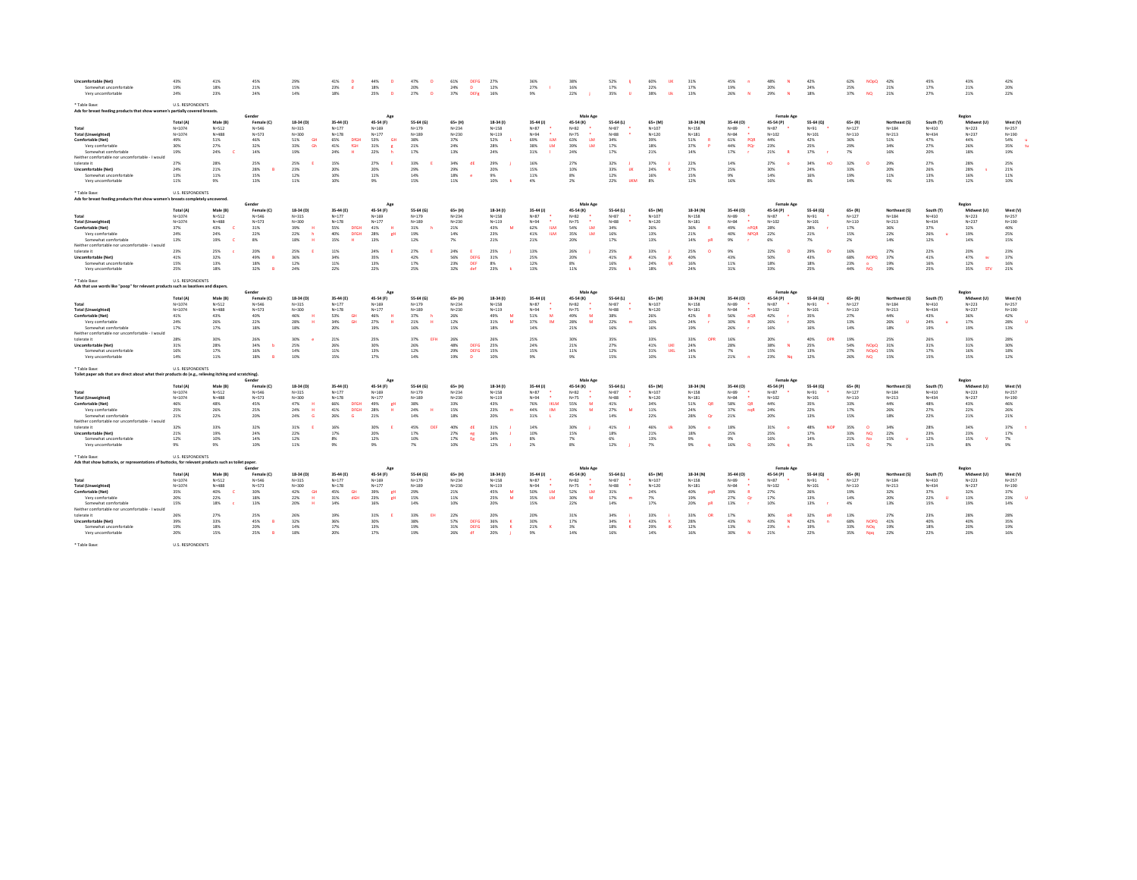| <b>Uncomfortable (Net)</b>                                                                              | 43%                     | 41%                   | 45%                     | 29%                    | 41%                    | 44%                    | 47%                    | 61%<br><b>DEFG</b>     | 27%                    | 36%                 | 38%                   | 52%                   | 60%<br>119              | 31%                    | 45%                   | 48%                            | 42%                    | 62%<br><b>NOpO</b>          | 42%                        | 45%                    | 43%                    | 42%                   |
|---------------------------------------------------------------------------------------------------------|-------------------------|-----------------------|-------------------------|------------------------|------------------------|------------------------|------------------------|------------------------|------------------------|---------------------|-----------------------|-----------------------|-------------------------|------------------------|-----------------------|--------------------------------|------------------------|-----------------------------|----------------------------|------------------------|------------------------|-----------------------|
| Somewhat uncomfortable                                                                                  | 19%                     | 18%                   | 21%                     | 15%                    | 23%<br>d.              | 18%                    | 20%                    | 24%<br>$\mathbf{D}$    | 12%                    | 27%                 | 16%                   | 17%                   | 22%                     | 17%                    | 19%                   | 20%                            | 24%                    | 25%                         | 21%                        | 17%                    | 21%                    | 20%                   |
| Very uncomfortable                                                                                      | 24%                     | 23%                   | 24%                     | 14%                    | 18%                    | 25%<br>$\mathbf{D}$    | 27%<br>$\overline{D}$  | 37%<br><b>DEFR</b>     | 16%                    | 9%                  | 22%                   | 35%                   | 38%<br><b>Uk</b>        | 13%                    | 26%                   | 29%<br>$\mathbf{N}$            | 18%                    | 37%<br><b>NQ</b>            | 21%                        | 27%                    | 21%                    | 22%                   |
| * Table Base:<br>Ads for breast feeding products that show women's partially covered breasts.           | <b>U.S. RESPONDENTS</b> |                       |                         |                        |                        |                        |                        |                        |                        |                     |                       |                       |                         |                        |                       |                                |                        |                             |                            |                        |                        |                       |
|                                                                                                         | Total (A)               | Male (R)              | Female (C)              | 18-34 (D)              | 35-44 (E)              | 45-54 (F)              | 55-64 (6)              | $65+$ (H)              | 18-34 (f)              | 35.44 (1)           | Male Age<br>45-54 (K) | 55-64 (1)             | $65+$ (M)               | 18-34 (N)              | 35-44 (0)             | <b>Female Age</b><br>45-54 (P) | 55-64 (Q)              | $65 + (R)$                  | Northeast (S)              | South (T)              | Region<br>Midwest (11) | West (V)              |
| Total                                                                                                   | $N = 1074$              | $N = 512$             | $N = 546$               | $N = 315$              | $N = 177$              | $N = 169$              | $N = 179$              | $N = 234$              | $N = 158$              | $N=87$              | $N=82$                | $N = 87$              | $N = 107$               | $N = 158$              | $N = 89$              | $N=87$                         | $N = 91$               | $N = 127$                   | $N = 184$                  | $N = 410$              | $N = 223$              | $N = 257$             |
| <b>Total (Unweighted)</b>                                                                               | $N = 1074$              | $N = 488$             | $N = 573$               | $N = 300$              | $N = 178$              | $N = 177$              | $N = 185$              | $N = 230$              | $N = 119$              | $N = 94$            | $N = 75$              | $N = 88$              | $N = 120$               | $N = 181$              | $N = 84$              | $N = 102$                      | $N = 101$              | $N = 110$                   | $N = 213$                  | $N = 434$              | $N = 237$              | $N = 190$             |
| Comfortable (Net)                                                                                       | 49%                     | 51%                   | 46%                     | 51%<br><b>GH</b>       | 65%<br><b>DfGH</b>     | 53%<br>GH              | 38%                    | 37%                    | 52%                    | 69%<br><b>ILM</b>   | 63%<br><b>LM</b>      | 34%                   | 39%                     | 51%                    | PQR<br>61%            | 44%                            | 42%                    | 36%                         | 51%                        | 47%                    | 44%                    | 54%                   |
| Very comfortable                                                                                        | 30%                     | 27%                   | 32%                     | 33%<br>Gh              | fGH<br>41%             | 31%<br>×               | 21%                    | 24%                    | 28%                    | 38%<br><b>LM</b>    | 39%<br><b>LM</b>      | 17%                   | 18%                     | 37%                    | PQr<br>44%            | 23%                            | 25%                    | 29%                         | 34%                        | 27%                    | 26%                    | 35%                   |
| Somewhat comfortable                                                                                    | 19%                     | 24%                   | 14%                     | 19%                    | 24%<br>н               | 22%                    | 17%                    | 13%                    | 24%                    | 31%                 | 24%                   | 17%                   | 21%                     | 14%                    | 17%                   | 21%                            | 17%                    | 7%                          | 16%                        | 20%                    | 18%                    | 19%                   |
| Neither comfortable nor uncomfortable - I would                                                         |                         |                       |                         |                        |                        |                        |                        |                        |                        |                     |                       |                       |                         |                        |                       |                                |                        |                             |                            |                        |                        |                       |
| tolerate it                                                                                             | 27%<br>24%              | 28%<br>21%            | 25%                     | 25%                    | 15%                    | 27%                    | 33%<br>29%             | 34%<br>di              | 29%                    | 16%                 | 27%                   | 32%<br><b>UK</b>      | 37%                     | 22%                    | 14%                   | 27%                            | 34%<br>nO              | 32%<br>33%                  | 29%                        | 27%                    | 28%                    | 25%                   |
| Uncomfortable (Net)<br>Somewhat uncomfortable                                                           | 13%                     | 11%                   | 28%<br>15%              | 23%<br>12%             | 20%<br>10%             | 20%<br>11%             | 14%                    | 29%<br>18%<br><b>e</b> | 20%<br>9%              | 15%<br>11%          | 10%<br>8%             | 33%<br>12%            | 24%<br>16%              | 27%<br>15%             | 25%<br>9%             | 30%<br>14%                     | 24%<br>16%             | 19%                         | 20%<br>11%                 | 26%<br>13%             | 28%<br>16%             | 21%<br>11%            |
| Very uncomfortable                                                                                      | 11%                     | 9%                    | 13%                     | 11%                    | 10%                    | 9%                     | 15%                    | 11%                    | 10%                    | 4%                  | 2%                    | 22%<br><b>JIKM</b>    | 8%                      | 12%                    | 16%                   | 16%                            | $8\%$                  | 14%                         | 9%                         | 13%                    | 12%                    | 10%                   |
|                                                                                                         |                         |                       |                         |                        |                        |                        |                        |                        |                        |                     |                       |                       |                         |                        |                       |                                |                        |                             |                            |                        |                        |                       |
| Table Base:                                                                                             | <b>U.S. RESPONDENTS</b> |                       |                         |                        |                        |                        |                        |                        |                        |                     |                       |                       |                         |                        |                       |                                |                        |                             |                            |                        |                        |                       |
| Ads for breast feeding products that show women's breasts completely uncovered                          |                         |                       |                         |                        |                        |                        |                        |                        |                        |                     |                       |                       |                         |                        |                       |                                |                        |                             |                            |                        |                        |                       |
|                                                                                                         |                         |                       |                         |                        |                        | Ap                     |                        |                        |                        |                     | Male Age              |                       |                         |                        |                       | Female Ago                     |                        |                             |                            |                        | Region                 |                       |
|                                                                                                         | Total (A)               | Male (B)              | Female (C)              | 18-34 (D)              | 35-44 (F)              | 45-54 (F)              | 55-64 (6)              | $65 + (H)$             | 18-34 (1)              | 35-44 (J)           | 45-54 (K)             | 55-64 (L)             | 65+ (M)                 | 18-34 (N)              | 35-44 (0)             | 45-54 (P)                      | 55-64 (Q)              | $65 + (R)$                  | Northeast (S)              | South (T)              | Midwest (U)            | West (V)              |
| Total                                                                                                   | $N = 1074$              | $N = 512$             | $N = 546$               | $N = 315$              | $N = 177$              | $N = 169$              | $N = 179$              | $N = 234$              | $N = 158$              | $N = 87$            | $N = 82$              | $N=87$                | $N = 107$               | $N = 158$              | $N = 89$              | $N = 87$                       | $N = 91$               | $N = 127$                   | $N = 184$                  | $N = 410$              | $N = 223$              | $N = 257$             |
| <b>Total (Unweighted)</b>                                                                               | $N = 1074$              | $N = 488$             | $N = 572$               | $N = 300$              | $N=1.78$               | $N=177$                | $N = 189$              | $N = 230$              | $N = 119$              | $N = 94$            | $N = 75$              | $N = 88$              | $N = 120$               | $N = 1.81$             | $N = 84$              | $N = 102$                      | $N = 101$              | $N = 110$                   | $N = 213$                  | $N = 434$              | $N = 237$              | $N = 190$             |
| Comfortable (Net)                                                                                       | 37%                     | 43%                   | 31%                     | 39%                    | <b>55%</b><br>DEGH     | 41%<br>$\mathbf{H}$    | 31%                    | 21%                    | 43%                    | 62%<br><b>TIM</b>   | 54%<br>1M             | 34%                   | 26%                     | 36%<br><b>R</b>        | 49%<br>nPQR           | 28%                            | <b>28%</b>             | 17%                         | 36%                        | 37%                    | 32%                    | 40%                   |
| Very comfortable                                                                                        | 24%                     | 24%                   | 22%                     | 22%                    | 40%<br><b>DFGH</b>     | 28%<br><b>CH</b>       | 19%                    | 14%                    | 23%                    | 41%<br><b>ILM</b>   | 35%<br>LM             | 16%                   | 13%                     | 21%                    | 40%<br><b>NPQR</b>    | 22%                            | 21%                    | 15%                         | 22%                        | 26%                    | 19%                    | 25%                   |
| Somewhat comfortable                                                                                    | 13%                     | 19%                   | 8%                      | 18%                    | 15%                    | 13%                    | 12%                    | 7%                     | 21%                    | 21%                 | 20%                   | 17%                   | 13%                     | 14%<br><b>DR</b>       | 9%                    | 6%                             | $7\%$                  | 2%                          | 14%                        | 12%                    | 14%                    | 15%                   |
| Neither comfortable nor uncomfortable - I would<br>tolerate it                                          | 23%                     | 25%                   | 20%                     | 25%                    | 11%                    | 24%                    | 27%                    | 24%                    | 25%                    | 13%                 | 26%                   | 25%                   | 33%                     | 25%<br>-n              | 9%                    | 22%                            | 29%<br><b>COL</b>      | 16%                         | 27%                        | 22%                    | 20%                    | 23%                   |
| Uncomfortable (Net)                                                                                     | 41%                     | 32%                   | 49%<br>B                | 36%                    | 34%                    | 35%                    | 42%                    | 56%<br><b>DEFG</b>     | 31%                    | 25%                 | 20%                   | 41%                   | 41%<br><b>IK</b>        | 40%                    | 43%                   | 50%                            | 43%                    | 68%<br><b>NOPO</b>          | 37%                        | 41%                    | 47%<br>$\sim$          | 37%                   |
| Somewhat uncomfortable                                                                                  | 15%                     | 13%                   | 18%                     | 12%                    | 11%                    | 13%                    | 17%                    | 23%<br><b>DEF</b>      | $8\%$                  | 12%                 | 8%                    | 16%                   | 24%<br><b>TİK</b>       | 16%                    | 11%                   | 18%                            | 18%                    | 23%                         | 19%                        | 16%                    | 12%                    | 16%                   |
| Very uncomfortable                                                                                      | 25%                     | 18%                   | 32%                     | 24%                    | 22%                    | 22%                    | 25%                    | 32%<br>def             | 23%                    | 13%                 | 11%                   | 25%                   | 18%                     | 24%                    | 31%                   | 33%                            | 25%                    | 44%<br><b>NO</b>            | 19%                        | 25%                    | 35%<br>STV             | 21%                   |
|                                                                                                         |                         |                       |                         |                        |                        |                        |                        |                        |                        |                     |                       |                       |                         |                        |                       |                                |                        |                             |                            |                        |                        |                       |
| * Table Base                                                                                            | <b>U.S. RESPONDENTS</b> |                       |                         |                        |                        |                        |                        |                        |                        |                     |                       |                       |                         |                        |                       |                                |                        |                             |                            |                        |                        |                       |
| Ads that use words like "poop" for relevant products such as laxatives and diapers.                     |                         |                       |                         |                        |                        |                        |                        |                        |                        |                     |                       |                       |                         |                        |                       |                                |                        |                             |                            |                        |                        |                       |
|                                                                                                         |                         |                       |                         |                        |                        | Ap                     |                        |                        |                        |                     | Male App              |                       |                         |                        |                       | Female Age                     |                        | $65 + (R)$                  |                            |                        | Region<br>Midwest (U)  |                       |
| Total                                                                                                   | Total (A)<br>$N = 1074$ | Male (B)<br>$N = 512$ | Female (C)<br>$N = 546$ | 18-34 (D)<br>$N = 315$ | 35-44 (E)<br>$N = 177$ | 45-54 (F)<br>$N = 169$ | 55-64 (G)<br>$N = 179$ | $65+$ (H)<br>$N = 234$ | 18-34 (1)<br>$N = 158$ | 35-44 (J)<br>$N=87$ | 45-54 (K)<br>$N=82$   | 55-64 (L)<br>$N = 87$ | $65 + (M)$<br>$N = 107$ | 18-34 (N)<br>$N = 158$ | 35-44 (0)<br>$N = 89$ | 45-54 (P)<br>$N = 87$          | 55-64 (Q)<br>$N = 91$  | $N = 127$                   | Northeast (S)<br>$N = 184$ | South (T)<br>$N = 410$ | $N = 223$              | West (V)<br>$N = 257$ |
| <b>Total (Unweighted)</b>                                                                               | $N = 1074$              | $N = 488$             | $N = 573$               | $N = 300$              | $N = 178$              | $N = 177$              | $N = 185$              | $N = 230$              | $N = 119$              | $N = 94$            | $N = 75$              | $N = 88$              | $N = 120$               | $N = 181$              | $N = 84$              | $N = 102$                      | $N = 101$              | $N = 110$                   | $N = 213$                  | $N = 434$              | $N = 237$              | $N = 190$             |
| Comfortable (Net)                                                                                       | 41%                     | 43%                   | 40%                     | 46%                    | 53%<br>GH              | 46%<br>H               | 37%                    | 26%                    | 49%                    | 51%<br>M            | 49%<br>M              | 38%                   | 26%                     | 42%                    | 56%<br>nQR            | 42%                            | 35%                    | 27%                         | 44%                        | 43%                    | 36%                    | 42%                   |
| Very comfortable                                                                                        | 24%                     | 26%                   | 22%                     | 28%                    | 34%<br>GH              | 27%                    | 21%                    | 12%                    | 31%                    | 37%<br>IM           | 28%<br>M              | 22%                   | 10%                     | 24%                    | 30%                   | 26%                            | 20%                    | 13%                         | 26%<br>u                   | 24%                    | 17%                    | 28%                   |
| Somewhat comfortable                                                                                    | 17%                     | 17%                   | 18%                     | 18%                    | 20%                    | 19%                    | 16%                    | 15%                    | 18%                    | 14%                 | 21%                   | 16%                   | 16%                     | 19%                    | 26%                   | 16%                            | 16%                    | 14%                         | 18%                        | 19%                    | 19%                    | 13%                   |
| Neither comfortable nor uncomfortable - I would                                                         |                         |                       |                         |                        |                        |                        |                        |                        |                        |                     |                       |                       |                         |                        |                       |                                |                        |                             |                            |                        |                        |                       |
| tolerate it                                                                                             | 28%                     | 30%                   | 26%                     | 30%                    | 21%                    | 25%                    | 37%<br>EFH             | 26%                    | 26%                    | 25%                 | 30%                   | 35%                   | 33%                     | 33%<br>OPR             | 16%                   | 20%                            | 40%                    | 19%                         | 25%                        | 26%                    | 33%                    | 28%                   |
| Uncomfortable (Net)                                                                                     | 31%                     | 28%                   | 34%                     | 25%                    | 26%                    | 30%                    | 26%                    | 48%<br><b>DEFG</b>     | 25%                    | 24%                 | 21%                   | 27%                   | 41%<br><b>UKI</b>       | 24%                    | 28%                   | 38%<br>N                       | 25%                    | 54%<br><b>NOpO</b>          | 31%                        | 31%                    | 31%                    | 30%                   |
| Somewhat uncomfortable                                                                                  | 16%                     | 17%                   | 16%                     | 14%                    | 11%                    | 13%                    | 12%                    | 29%<br><b>DEFG</b>     | 15%                    | 15%                 | 11%                   | 12%                   | 31%<br><b>UKL</b>       | 14%                    | 7%                    | 15%                            | 13%                    | 27%<br><b>NOpQ</b>          | 15%                        | 17%                    | 16%                    | 18%                   |
| Very uncomfortable                                                                                      | 14%                     | 11%                   | 18%                     | 10%                    | 15%                    | 17%                    | 14%                    | 19%<br>D               | 10%                    | 9%                  | 9%                    | 15%                   | 10%                     | 11%                    | 21%                   | 23%<br>No                      | 12%                    | 26%<br>NO.                  | 15%                        | 15%                    | 15%                    | 12%                   |
| * Table Rase:                                                                                           | <b>U.S. RESPONDENTS</b> |                       |                         |                        |                        |                        |                        |                        |                        |                     |                       |                       |                         |                        |                       |                                |                        |                             |                            |                        |                        |                       |
| Toilet paper ads that are direct about what their products do (e.g., relieving itching and scratching). |                         |                       |                         |                        |                        |                        |                        |                        |                        |                     |                       |                       |                         |                        |                       |                                |                        |                             |                            |                        |                        |                       |
|                                                                                                         |                         |                       | Gende                   |                        |                        |                        |                        |                        |                        |                     | Male Age              |                       |                         |                        |                       | <b>Female Age</b>              |                        |                             |                            |                        | Region                 |                       |
|                                                                                                         | Total (A)               | Male (B)              | Female (C)              | 18-34 (D)              | 35-44 (E)              | 45-54 (F)              | 55-64 (G)              | $65+$ (H               | 18-34 (f)              | 35-44 (J)           | 45-54 (K)             | 55-64 (L)             | $65 + (M)$              | 18-34 (N)              | 35-44 (0)             | 45-54 (P)                      | 55-64 (Q)              | $65 + (R)$                  | Northeast (S)              | South (T)              | Midwest (U)            | West (V)              |
| Total                                                                                                   | $N = 1074$              | $N = 512$             | $N = 546$               | $N = 315$              | $N = 177$              | $N = 169$              | $N = 179$              | $N = 234$              | $N = 158$              | $N = 87$            | $N = 82$              | $N = 87$              | $N = 107$               | $N=158$                | $N = 89$              | $N = 87$                       | $N = 91$               | $N = 127$                   | $N = 1.84$                 | $N = 410$              | $N=222$                | $N = 257$             |
| <b>Total (Unweighted)</b>                                                                               | $N = 1074$              | $N = 488$             | $N = 573$               | $N = 300$              | $N = 178$              | $N = 177$              | $N = 185$              | $N = 230$              | $N = 119$              | $N = 94$            | $N=75$<br>$\bullet$   | $N = 88$              | $N = 120$               | $N = 181$              | $N = 84$              | $N = 102$                      | $N = 101$              | $N = 110$                   | $N = 213$                  | $N = 434$              | $N = 237$              | $N = 190$             |
| Comfortable (Net)                                                                                       | 46%                     | 48%                   | 45%                     | 47%                    | 66%<br><b>DFGH</b>     | 49%<br>gH              | 38%                    | 33%                    | 43%                    | 76%<br><b>IKLM</b>  | 55%<br>M              | 41%                   | 34%                     | 51%<br>OB              | 58%<br>QR             | 44%                            | 35%                    | 33%                         | 44%                        | 48%                    | 43%                    | 46%                   |
| Very comfortable                                                                                        | 25%                     | 26%                   | 25%                     | 24%                    | 41%<br><b>DFGH</b>     | 28%<br><b>u</b>        | 24%                    | 15%                    | 23%                    | 44%<br>IIM          | 33%<br>M              | 27%<br>M              | 11%                     | 24%                    | 37%<br>nqR            | 24%                            | 22%<br>13%             | 17%<br>15%                  | 26%                        | 27%                    | 22%                    | 26%                   |
| Somewhat comfortable<br>Neither comfortable nor uncomfortable - I would                                 |                         |                       |                         |                        |                        |                        |                        |                        |                        |                     |                       |                       |                         |                        |                       |                                |                        |                             | 18%                        | 22%                    | 21%                    | 21%                   |
|                                                                                                         | 21%                     | 22%                   | 20%                     | 24%                    | 26%                    | 21%                    | 14%                    | 18%                    | 20%                    | 31%                 | 22%                   | 14%                   | 22%                     | 28%<br>-Or             | 21%                   | 20%                            |                        |                             |                            |                        |                        |                       |
|                                                                                                         |                         |                       |                         |                        |                        |                        |                        |                        |                        |                     |                       |                       |                         |                        |                       |                                |                        |                             |                            |                        |                        |                       |
| tolerate it                                                                                             | 32%                     | 33%                   | 32%                     | $31\%$                 | 169                    | 30%                    | 45%<br><b>DEE</b>      | 40%<br>di              | 31%                    | 14%                 | 30%                   | 41%                   | 46%                     | 30%                    | 18%                   | 31%                            | 48%<br>NO <sub>6</sub> | 35%<br>$\circ$              | 34%                        | 28%                    | 34%                    | 37%                   |
| <b>Uncomfortable (Net)</b>                                                                              | 21%                     | 19%                   | 24%                     | 22%                    | 17%                    | 20%                    | 17%                    | 27%<br>eg              | 26%                    | 10%                 | 15%                   | 18%                   | 21%                     | 18%<br>9%              | 25%<br>9%             | 25%                            | 17%                    | 33%<br>NO <sub>1</sub>      | 22%<br><b>M</b>            | 23%                    | 23%                    | 17%                   |
| Somewhat uncomfortable<br>Very uncomfortable                                                            | 12%<br>9%               | 10%<br>9%             | 14%<br>10%              | 12%<br>$11\%$          | 8%<br>9%               | 12%<br>9%              | 10%<br>7%              | 17%<br>Eg<br>10%       | 14%<br>12%             | 8%<br>$2\%$         | 7%<br>$8\%$           | 6%<br>12%             | 13%<br>7%               | $9\%$<br><b>o</b>      | 16%                   | 16%<br>10%<br>٠                | 14%<br>$3\%$           | 21%<br>No<br>11%<br>$\circ$ | 15%<br>7%                  | 12%<br>$11\%$          | 15%<br>8%              | 7%<br>9%              |
|                                                                                                         |                         |                       |                         |                        |                        |                        |                        |                        |                        |                     |                       |                       |                         |                        |                       |                                |                        |                             |                            |                        |                        |                       |
| ' Table Rase:                                                                                           | <b>U.S. RESPONDENTS</b> |                       |                         |                        |                        |                        |                        |                        |                        |                     |                       |                       |                         |                        |                       |                                |                        |                             |                            |                        |                        |                       |
| Ads that show buttocks, or representations of buttocks, for relevant products such as toilet paper      |                         |                       |                         |                        |                        |                        |                        |                        |                        |                     | Male Ap               |                       |                         |                        |                       | Female Age                     |                        |                             |                            |                        |                        |                       |
|                                                                                                         | Total (A)               | Male (B)              | Female (C)              | 18-34 (D)              | 35-44 (E)              | 45-54 (F)              | 55-64 (G)              | $65+$ (H)              | 18-34 (f)              | 35-44 (J)           | 45-54 (K)             | 55-64 (L)             | $65+$ (M)               | 18-34 (N)              | 35-44 (0)             | 45-54 (P)                      | 55-64 (Q)              | $65 + (R)$                  | Northeast (S)              | South (T)              | Regio<br>Midwest (U)   | West (V)              |
| Total                                                                                                   | $N = 1074$              | $N = 512$             | $N = 546$               | $N = 315$              | $N = 177$              | $N = 169$              | $N = 179$              | $N = 234$              | $N = 158$              | $N=87$              | $N = 82$              | $N = 87$              | $N = 107$               | $N = 158$              | $N = 89$              | $N = 87$                       | $N = 91$               | $N = 127$                   | $N = 184$                  | $N = 410$              | $N = 223$              | $N = 257$             |
| <b>Total (Unweighted)</b>                                                                               | $N = 1074$              | $N = 488$             | $N = 573$               | $N = 300$              | $N = 178$              | $N = 177$              | $N = 189$              | $N = 230$              | $N = 119$              | $N = 94$            | $N = 75$              | $N=88$                | $N = 120$               | $N = 181$              | $N = 84$              | $N = 102$                      | $N = 101$              | $N = 110$                   | $N = 213$                  | $N = 434$              | $N = 237$              | $N = 190$             |
| Comfortable (Net)                                                                                       | 35%                     | 40%<br>c              | 20%                     | 42%<br><b>GH</b>       | GH<br>45%              | 39%<br>gН              | 29%                    | 21%                    | 45%<br>M               | <b>LM</b><br>50%    | LM<br>52%             | 31%                   | 24%                     | 40%<br>pqR             | 39%                   | 27%                            | <b>26%</b>             | 19%                         | 32%                        | 37%                    | 32%                    | 37%                   |
| Very comfortable                                                                                        | 20%                     | 22%                   | 18%                     | 22%                    | 31%<br>dGH             | 23%<br><b>CH</b>       | 15%                    | 11%                    | 25%                    | 35%<br><b>TM</b>    | 30%<br>M              | 17%<br>m              | 7%                      | 19%                    | 27%<br><b>Or</b>      | 17%                            | 13%                    | 14%                         | 20%                        | 22%                    | 13%                    | 23%                   |
| Somewhat comfortable                                                                                    | 15%                     | 18%                   | 13%                     | 20%                    | 14%                    | 16%                    | 14%                    | 10%                    | 20%                    | 15%                 | 22%                   | 14%                   | 17%                     | 20%<br><b>DR</b>       | 13%                   | 10%                            | 13%                    | 4%                          | 13%                        | 15%                    | 19%                    | 14%                   |
| Neither comfortable nor uncomfortable - I would                                                         |                         |                       |                         |                        |                        |                        |                        |                        |                        |                     |                       |                       |                         |                        |                       |                                |                        |                             |                            |                        |                        |                       |
| tolerate it                                                                                             | 26%                     | 27%                   | 25%                     | 26%                    | 19%                    | 31%                    | 33%<br><b>FH</b>       | 22%                    | 20%                    | 20%                 | 31%                   | 34%                   | 33%                     | 33%<br><b>OR</b>       | 17%                   | 30%<br>- oR                    | 32%<br>oR              | 13%                         | 27%                        | 23%                    | 28%                    | 28%                   |
| Uncomfortable (Net)                                                                                     | 39%                     | 33%                   | 45%                     | 32%                    | 36%                    | 30%                    | 38%                    | 57%<br><b>DEFG</b>     | 36%                    | 30%                 | 17%                   | 34%                   | 43%<br>к                | 28%                    | 43%                   | 43%<br>$\mathbf{N}$            | 42%<br>$\mathbf{a}$    | 68%<br>NOPO                 | 41%                        | 40%                    | 40%                    | 35%                   |
| Somewhat uncomfortable                                                                                  | 19%                     | 18%                   | 20%                     | 14%                    | 17%                    | 13%                    | 19%                    | 31%<br><b>DEFG</b>     | 16%                    | 21%                 | 3%                    | 18%                   | 29%<br>iK               | 12%                    | 13%                   | 23%                            | 19%                    | 33%<br>NOq                  | 19%                        | 18%                    | 20%                    | 19%                   |
| Very uncomfortable                                                                                      | 20%                     | 15%                   | 25%                     | 18%                    | 20%                    | 17%                    | 19%                    | 26%<br>df              | 20%                    | 9%                  | 14%                   | 16%                   | 14%                     | 16%                    | 30%                   | 21%                            | 22%                    | 35%<br>Noa                  | 22%                        | 22%                    | 20%                    | 16%                   |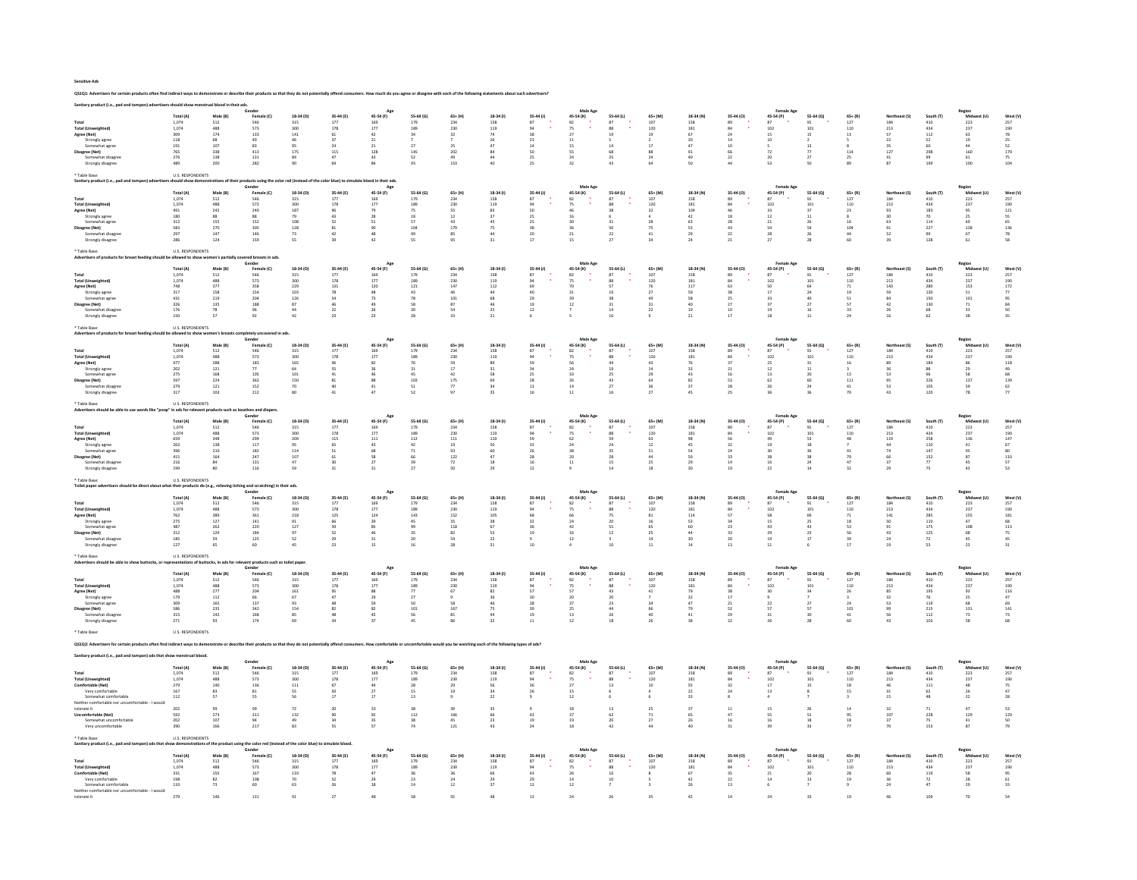Sensitive Ads

QS1Q1: Advertisers for certain products often find indirect ways to demonstrate or describe their products so that they do not potentially offend consumers. How much do you agree or disagree with each of the following stat

|                                                                     | Total (A)                               | Male (B)                                  |                                                         | 18-34 (D)             |                                           | 45-54 (F)                                     | 55-64 (G)        | $65 + (H)$                 | 18-34 (f)                                                 | 35-44 (J)                               | Male Age<br>45-54 (K)                   | 55-64 (L)                               | $65+$ (M)                                 | 18-34 (N)                         | 35-44 (0)                               | <b>Female Ago</b><br>45-54 (P)           | 55-64 (0)                                |                                                      | Northeast (S)        | South (T)                                        | Region<br>et (UI                                           |                                           |
|---------------------------------------------------------------------|-----------------------------------------|-------------------------------------------|---------------------------------------------------------|-----------------------|-------------------------------------------|-----------------------------------------------|------------------|----------------------------|-----------------------------------------------------------|-----------------------------------------|-----------------------------------------|-----------------------------------------|-------------------------------------------|-----------------------------------|-----------------------------------------|------------------------------------------|------------------------------------------|------------------------------------------------------|----------------------|--------------------------------------------------|------------------------------------------------------------|-------------------------------------------|
|                                                                     | $1,074$<br>$1,074$                      | $\frac{512}{488}$                         | Female (C)<br>546<br>573                                | 315<br>300            | 35-44 (E)<br>177<br>178                   | $\frac{169}{177}$                             | $179$<br>$189$   | 234                        | $\frac{158}{119}$                                         | $^{\rm 87}$                             | $\frac{82}{75}$                         | 87                                      | $\frac{107}{120}$                         | $\frac{158}{181}$                 |                                         | $\frac{87}{102}$                         |                                          | $\begin{array}{c} 65+ (R) \\ 127 \\ 110 \end{array}$ | $\frac{184}{213}$    | $\frac{410}{434}$                                | Midw<br>223<br>237                                         | West (V)<br>257<br>190                    |
| <b>Total (Unweighted)</b>                                           |                                         |                                           |                                                         |                       |                                           |                                               |                  | 230                        |                                                           | 94                                      |                                         | 88                                      |                                           |                                   | 94                                      |                                          | 101                                      |                                                      |                      |                                                  |                                                            |                                           |
| Agree (Net)<br>Strongly agree                                       | 309<br>118                              | 174<br>68                                 | 133<br>49                                               | 141<br>46             | 61<br>37                                  | 42<br>21                                      | 34               | 32                         | 26                                                        | 23                                      | $^{27}$<br>11                           |                                         | 19                                        | 67<br>20                          | 14                                      | 15<br>10                                 |                                          | 13                                                   | 57<br>22             | $112\,$<br>52                                    | 63<br>19                                                   | ${\bf 78}$<br>25                          |
| Somewhat agree                                                      | $_{\rm 191}$                            | 107                                       | 83                                                      |                       | $^{24}$                                   | $\bf{21}$                                     | $\overline{27}$  |                            |                                                           | 14                                      | 15                                      |                                         |                                           | 47                                | 10                                      |                                          | 13                                       |                                                      | 35                   | 60                                               | 44                                                         | 52                                        |
| <b>Disagree (Net)</b>                                               | 765                                     | 338                                       | 413                                                     | 175                   | 115                                       | 128                                           | 145              | 202                        | 84                                                        | 50                                      | 55                                      | 68                                      | 88                                        | 91                                | 66                                      | 72                                       | 77                                       | 114                                                  | 127                  | 298                                              | 160                                                        | 179                                       |
| Somewhat disagree<br>Strongly disagree                              | 276<br>489                              | 138<br>200                                | 131<br>282                                              | 84<br>90              | 47<br>69                                  | $43\,$<br>84                                  | 52<br>93         | 49<br>153                  | 40                                                        | $25\,$<br>25                            | $^{24}$<br>32                           | $25\,$<br>43                            | 24<br>64                                  | 40<br>SO.                         | $\bf 22$<br>44                          | 20<br>53                                 | 27<br>50                                 | 25                                                   | $41\,$<br>87         | 99<br>199                                        | $61\,$<br>100                                              | 75<br>104                                 |
|                                                                     |                                         |                                           |                                                         |                       |                                           |                                               |                  |                            |                                                           |                                         |                                         |                                         |                                           |                                   |                                         |                                          |                                          |                                                      |                      |                                                  |                                                            |                                           |
| Table Base                                                          | <b>U.S. RESPONDENTS</b>                 |                                           |                                                         |                       |                                           |                                               |                  |                            |                                                           |                                         |                                         |                                         |                                           |                                   |                                         |                                          |                                          |                                                      |                      |                                                  |                                                            |                                           |
|                                                                     |                                         |                                           | ducts using                                             |                       | olor blue) to                             | od in their ad:                               |                  |                            |                                                           |                                         |                                         |                                         |                                           |                                   |                                         |                                          |                                          |                                                      |                      |                                                  |                                                            |                                           |
|                                                                     | Total (A)                               | Male (B                                   | Gender<br>Female                                        | 18-34 (D)             | 35-44 (E)                                 | Age<br>45-54 (F)                              | 55-64 (G)        | $65+ (H)$                  | 18-34 (1)                                                 | 35-44 (J)                               | Male Age<br>45-54 (K)                   | 55-64 (L)                               | 65+ (M)                                   | 18-34 (N)                         | 35-44 (0)                               | <b>Female Age</b><br>45-54 (P)           | 55-64 (Q)                                | $65 + (R)$                                           |                      | South (T)                                        | Region<br>Mich                                             | West (V)                                  |
| Total                                                               | 1.074                                   | 512                                       | 546                                                     | 315                   | 177                                       |                                               | 179              | 234                        | 158                                                       | 87                                      |                                         | 87                                      | 107                                       | 158                               | 89                                      | 87                                       | 91                                       | 127                                                  | 184                  | 410                                              | 223                                                        | 257                                       |
| <b>Total (Unweighted)</b>                                           | 1,074                                   | 488                                       | 573                                                     | 300                   | 178                                       | $\frac{169}{177}$                             | 189              | 230                        | 119                                                       |                                         | $\begin{array}{c} 82 \\ 75 \end{array}$ | 88                                      | 120                                       | 181                               | $\overline{\mathbf{34}}$                | 102                                      | 101                                      | 110                                                  | 213                  | 434                                              | 237                                                        | 190                                       |
| Agree (Net)<br>Strongly agree                                       | $\frac{491}{180}$                       | 242<br>88                                 | $\begin{array}{l} 240 \ 88 \end{array}$                 | 187<br>79             | 96<br>43                                  | $\begin{array}{c} 79 \\ 28 \end{array}$       | 75<br>18         | 55                         | 83                                                        | 50                                      | 46<br>16                                | 38                                      | 32                                        | 104<br>42                         | 46<br>18                                | 33<br>$\overline{12}$                    | 37                                       | 23                                                   | 93                   | $\frac{183}{70}$                                 | 95<br>25                                                   | $\frac{121}{55}$                          |
| Somewhat agree                                                      | 312                                     | 155                                       | 152                                                     | 108                   | 52                                        | 51                                            | 57               | 43                         | 45                                                        | 25                                      | 30                                      | 31                                      | 28                                        | 63                                | 28                                      | 21                                       | 26                                       | 16                                                   | 63                   | 114                                              | 69                                                         | 65                                        |
| <b>Disagree (Net)</b>                                               | 583                                     | 270                                       | 305                                                     | 128                   | 81                                        |                                               | 104              | 179                        |                                                           |                                         | 36                                      |                                         |                                           | 53                                | 43                                      | 54                                       | 54                                       | 104                                                  |                      | 22                                               | 128                                                        | 136                                       |
| Somewhat disagree                                                   | 297                                     | 147                                       | 146                                                     | 73                    | 42                                        | 48                                            | 49               | 85                         | 44                                                        | 20                                      | 21                                      | 22                                      | 41                                        | 29                                | 22                                      | 28                                       | 26                                       | 44                                                   | 52                   | 99                                               | 67                                                         | 78                                        |
| Strongly disagree                                                   | 286                                     | 124                                       | 159                                                     |                       | 39                                        | 42                                            | ss               |                            |                                                           |                                         |                                         |                                         |                                           | $^{24}$                           | $\mathbf{21}$                           |                                          |                                          |                                                      | 39                   | 128                                              | 61                                                         | 58                                        |
| Table Base                                                          | U.S. RESPONDENTS                        |                                           |                                                         |                       |                                           |                                               |                  |                            |                                                           |                                         |                                         |                                         |                                           |                                   |                                         |                                          |                                          |                                                      |                      |                                                  |                                                            |                                           |
| Advertisers of products for b                                       | allowed to show wo                      |                                           | ered breasts in ads                                     |                       |                                           |                                               |                  |                            |                                                           |                                         |                                         |                                         |                                           |                                   |                                         |                                          |                                          |                                                      |                      |                                                  |                                                            |                                           |
|                                                                     | <b>Total (A)</b>                        | Male (B)                                  | Gender<br>Female (C)                                    | 18-34 (D)             | 35-44 (E)                                 | Age<br>45-54 (F)                              | 55-64 (G)        | $65 + (H)$                 | 18-34 (f)                                                 | $35-44$ (J)                             | Male Ago                                | 55-64 (L)                               | 65+ (M)                                   | 18-34 (N)                         | 35-44 (0)                               | <b>Female Age</b>                        | 55-64 (Q)                                | $65 + (R)$                                           | Northeast (S)        | South (T)                                        | Region<br>Midwest (U)                                      | West (V)                                  |
|                                                                     | 1,074                                   | 512                                       | 546                                                     | 315                   | 177                                       | 169                                           | 179              | $^{234}$                   | 158                                                       | 87                                      | 45-54 (K)<br>82                         | 87                                      | 107                                       | 158                               |                                         | 45-54 (P)<br>87                          |                                          | $127\,$                                              | 184                  | 410                                              | 223                                                        | 257                                       |
| <b>Total (Unweighted)</b>                                           | 1.074                                   | 488                                       | 573                                                     | 300                   | 178                                       | 177                                           | 189              | 230                        | 119                                                       | 94                                      |                                         | 88                                      | 120                                       | 181                               | 84                                      | 102                                      | 101                                      | 110                                                  | 213                  | 434                                              | 237                                                        |                                           |
| Agree (Net)                                                         | 748                                     | 377                                       | 358                                                     | 229                   | 131                                       | 120                                           | 121              | 147                        | $112\,$                                                   |                                         | 75<br>70                                | 57                                      | 76                                        | 117                               | 63                                      | $\overline{50}$                          |                                          | $\overline{\bf 71}$                                  | 143                  | 280                                              | $\overline{153}$                                           | $\frac{190}{172}$                         |
| Strongly agree                                                      | 317                                     | 158                                       | 154                                                     | 103                   | 78                                        | 48                                            | 43               | 46                         | 44                                                        | 40                                      | $\frac{31}{39}$                         | 19                                      | 27                                        | 59                                | 38                                      | 17                                       | 24                                       | 19                                                   | 59                   | 130                                              | 51                                                         | 77                                        |
| Somewhat agree<br><b>Disagree (Net)</b>                             | $_{\rm 431}$<br>326                     | 219<br>135                                | 204<br>188                                              | 126<br>87             | si<br>46                                  | $73\,$<br>49                                  | ${\bf 78}$<br>58 | 101<br>87                  | 68<br>46                                                  | 29<br>19                                | 12                                      | 38<br>31                                | 49<br>21                                  | 58<br>$\Delta$ <sup>0</sup>       | $25\,$<br>27                            | 33<br>37                                 | 27                                       | 51<br>57                                             | 84<br>42             | 150<br>130                                       | $101\,$<br>71                                              | 95<br>84                                  |
| Somewhat disagree                                                   | $176\,$                                 | 78                                        | 96                                                      |                       | $\bf 22$                                  |                                               | 30               | 54                         | 25                                                        | 12                                      |                                         | 14                                      | 22                                        | 19                                | $10\,$                                  | 19                                       | 16                                       | 33                                                   | 26                   | 68                                               | 33                                                         | 50                                        |
| Strongly disagree                                                   | 150                                     | 57                                        | 92                                                      | 42                    | 23                                        | $\frac{26}{23}$                               | 28               | 33                         | 21                                                        | 6                                       |                                         | 16                                      |                                           | 21                                | 17                                      | 18                                       | 11                                       | 24                                                   | 16                   | 62                                               | 38                                                         | 35                                        |
| Table Base                                                          | <b>U.S. RESPONDENTS</b>                 |                                           |                                                         |                       |                                           |                                               |                  |                            |                                                           |                                         |                                         |                                         |                                           |                                   |                                         |                                          |                                          |                                                      |                      |                                                  |                                                            |                                           |
| rertisers of pn                                                     | allowed to show wo                      |                                           | iletely uni                                             |                       |                                           |                                               |                  |                            |                                                           |                                         |                                         |                                         |                                           |                                   |                                         |                                          |                                          |                                                      |                      |                                                  |                                                            |                                           |
|                                                                     |                                         |                                           | Gender                                                  |                       |                                           | Age                                           |                  |                            |                                                           |                                         | Male Age                                |                                         |                                           |                                   |                                         | Female Ago                               |                                          |                                                      |                      |                                                  | Region<br>Midv                                             |                                           |
| Total                                                               | Total (A)<br>1.074                      | Male (B)<br>512                           | Female (C)<br>546                                       | 18-34 (D)<br>315      | 35-44 (E)<br>177                          | 45-54 (F)<br>169                              | 55-64 (G)<br>179 | $65+ (H)$<br>234           | 18-34 (1)<br>158                                          | 35-44 (J)<br>87                         | 45-54 (K)                               | 55-64 (L)<br>87                         | 65+ (M)                                   | 18-34 (N)<br>158                  | 35-44 (0)<br>89                         | 45-54 (P)<br>87                          | 55-64 (Q)<br>Q <sub>1</sub>              | $65 + (R)$<br>127                                    | Northeast (S)<br>184 | South (T)<br>410                                 | 223                                                        | West (V)                                  |
| <b>Total (Unweighted)</b>                                           |                                         |                                           | 573                                                     |                       | 178                                       | 177                                           | 189              | 230                        | 119                                                       | 94                                      | 82<br>75<br>56                          | $^{\rm 88}$                             | $\begin{array}{c} 107 \\ 120 \end{array}$ | $181\,$                           | $\overline{34}$                         | 102                                      | 101                                      | 110                                                  | 213                  |                                                  | 237                                                        | 257<br>190<br>118                         |
| Agree (Net)                                                         | $\frac{1,074}{477}$                     | $\begin{array}{c} 488 \\ 288 \end{array}$ | 183                                                     | 300<br>165            | 96                                        | 82                                            | 76               | 59                         | 89                                                        | 59                                      |                                         | 44                                      | 43                                        | 76                                | 27                                      | 25                                       | 31                                       | 16                                                   | 89                   | $434$<br>$184$                                   | 86                                                         |                                           |
| Strongly agree                                                      | 202                                     | $121$                                     |                                                         | 64                    | SS                                        |                                               | 31               |                            |                                                           |                                         | $\overline{24}$                         | 19                                      | 14                                        | 33                                | $\bf 21$                                | $\overline{12}$                          | $11\,$                                   |                                                      |                      | 88                                               | 29                                                         | 49                                        |
| Somewhat agree<br><b>Disagree (Net)</b>                             | 275<br>597                              | 168<br>$^{224}$                           | 105<br>363                                              | 101<br>150            | 41<br>$^{\rm 81}$                         | 46<br>$^{\rm 88}$                             | 45<br>103        | 42<br>$175\,$              | 58<br>69                                                  | 25<br>28                                | 33<br>26                                | 25<br>43                                | 29                                        | 43<br>$^{\rm 82}$                 | 16<br>53                                | 13<br>62                                 | 20<br>60                                 | 13<br>$_{\rm 111}$                                   | 53<br>95             | 96<br>226                                        | 58<br>$137\,$                                              | 68<br>139                                 |
| Somewhat disagree                                                   | 279                                     | 121                                       | 152                                                     | 70                    | 40                                        |                                               | 51               | $\overline{\overline{17}}$ | 34                                                        | 13                                      | 14                                      | 27                                      | 36                                        | 37                                | 28                                      | 26                                       | 24                                       | 41                                                   | 53                   | 105                                              | 59                                                         |                                           |
| Strongly disagree                                                   | $_{\rm 317}$                            | 103                                       | $_{\rm 212}$                                            |                       | 41                                        | $\begin{array}{c} 41 \\ 47 \end{array}$       | 52               | 97                         | 35                                                        | 16                                      | $11$                                    | 16                                      | 27                                        | 45                                | $\overline{25}$                         | 36                                       |                                          | 70                                                   | 43                   | 120                                              | 78                                                         | $\frac{62}{77}$                           |
|                                                                     |                                         |                                           |                                                         |                       |                                           |                                               |                  |                            |                                                           |                                         |                                         |                                         |                                           |                                   |                                         |                                          |                                          |                                                      |                      |                                                  |                                                            |                                           |
| <b>Table Base</b>                                                   | <b>U.S. RESPONDENTS</b><br>in ads for r |                                           | es and diane                                            |                       |                                           |                                               |                  |                            |                                                           |                                         |                                         |                                         |                                           |                                   |                                         |                                          |                                          |                                                      |                      |                                                  |                                                            |                                           |
|                                                                     |                                         |                                           |                                                         |                       |                                           | Ago                                           |                  |                            |                                                           |                                         | Male Age                                |                                         |                                           |                                   |                                         | Female Age                               |                                          |                                                      |                      |                                                  | Region                                                     |                                           |
|                                                                     | <b>Total (A)</b>                        | Male (B)                                  | Female (C)                                              | 18-34 (D)             | 35-44 (E)                                 | 45-54 (F)                                     | 55-64 (G)        | $65 + (H)$                 | 18-34 (f)                                                 | 35-44 (J)                               | 45-54 (K)                               | 55-64 (L)                               | $65+$ (M)                                 | 18-34 (N)                         | 35-44 (0)                               | 45-54 (P)                                | 55-64 (Q)                                | $65 + (R)$                                           | Northeast (S)        | South (T)                                        | Midwest (U)                                                | West (V)                                  |
| Total                                                               | 1,074                                   | ${\sf s}_{12}$<br>488                     | 546<br>573                                              | 315<br>300            | $177\,$                                   | 169<br>177                                    | 179<br>189       | $\bf 234$<br>230           | 158                                                       | 87<br>94                                | 82                                      | $^{\rm 87}$<br>88                       | $107\,$                                   | 158                               | 89<br>84                                | 87<br>102                                | 91<br>101                                | $127\,$                                              | 184                  | 410                                              | 223<br>237                                                 | 257                                       |
| <b>Total (Unweighted)</b><br>Agree (Net)                            | 1,074<br>659                            | 348                                       | 299                                                     | 209                   | 178<br>$115\,$                            | $_{\rm 111}$                                  | 112              | 111                        | 119<br>110                                                |                                         | 75<br>62                                | 59                                      | 120<br>63                                 | 181<br>98                         | 56                                      | 49                                       | 53                                       | 110                                                  | 213<br>119           | 434<br>258                                       | 136                                                        | $\frac{190}{147}$                         |
| Strongly agree                                                      | 263                                     | 138                                       | 117                                                     | 95                    | 65                                        | $_{\rm 43}$                                   | 42               | 19                         | 50 <sub>1</sub>                                           | 33                                      |                                         | 24                                      | 12                                        | 45                                | 32                                      | 19                                       | 18                                       |                                                      | 44                   |                                                  | 41                                                         |                                           |
| Somewhat agree                                                      | 396                                     | 210                                       | 182                                                     | $\frac{1}{114}$       | 51                                        | 68                                            | 71               | 93                         | 60                                                        | 26                                      | $\frac{24}{38}$                         | 35                                      | 51                                        | 54                                | $24$                                    | 30                                       | 36                                       | 41                                                   | 74                   | $\begin{array}{c} 110 \\ 147 \end{array}$        | 95                                                         | $\substack{67\\80}$                       |
| Disagree (Net)<br>Somewhat disagree                                 | $\frac{415}{216}$                       | 164<br>$\overline{34}$                    | 247                                                     | $\frac{107}{47}$      | $\begin{array}{c} 61 \\ 30 \end{array}$   | $\begin{array}{c} 58 \\ 27 \end{array}$       | 66<br>39         | $\frac{122}{72}$           | $\overline{a}$                                            | $\begin{array}{c} 28 \\ 16 \end{array}$ | $\begin{array}{c} 20 \\ 11 \end{array}$ | 28                                      | 44                                        | 59                                | $\begin{array}{c} 33 \\ 14 \end{array}$ | 38<br>16                                 | $\begin{array}{c} 38 \\ 24 \end{array}$  |                                                      | 66<br>$\frac{1}{37}$ | $\frac{152}{77}$                                 | $\begin{array}{c} 87 \\ 45 \end{array}$                    | $\frac{110}{57}$                          |
| Strongly disagree                                                   | 199                                     | 80                                        | 131<br>116                                              | 59                    | 31                                        | 31                                            | 27               | 50                         | 18<br>29                                                  | 12                                      |                                         | 15<br>14                                | 25<br>18                                  | $\frac{1}{29}$<br>30 <sup>2</sup> | 19                                      | 22                                       | 14                                       | 32                                                   | 29                   | 75                                               | 43                                                         | 53                                        |
|                                                                     |                                         |                                           |                                                         |                       |                                           |                                               |                  |                            |                                                           |                                         |                                         |                                         |                                           |                                   |                                         |                                          |                                          |                                                      |                      |                                                  |                                                            |                                           |
|                                                                     |                                         |                                           |                                                         |                       |                                           |                                               |                  |                            |                                                           |                                         |                                         |                                         |                                           |                                   |                                         |                                          |                                          |                                                      |                      |                                                  |                                                            |                                           |
| Table Rase                                                          | <b>IIS RESPONDENTS</b>                  |                                           |                                                         |                       |                                           |                                               |                  |                            |                                                           |                                         |                                         |                                         |                                           |                                   |                                         |                                          |                                          |                                                      |                      |                                                  |                                                            |                                           |
| Toilet paper a                                                      | at their products do (e.g., re          |                                           | ng and scratching) in their ads.                        |                       |                                           |                                               |                  |                            |                                                           |                                         |                                         |                                         |                                           |                                   |                                         |                                          |                                          |                                                      |                      |                                                  |                                                            |                                           |
|                                                                     |                                         |                                           |                                                         |                       |                                           |                                               |                  |                            |                                                           |                                         | Male Ag                                 |                                         |                                           |                                   |                                         | Female                                   |                                          |                                                      |                      |                                                  |                                                            |                                           |
| Total                                                               | Total (A)                               | Male (B)                                  | Gender<br>Female                                        | 18-34 (D)             | 35-44 (E)                                 | 45-54 (F)                                     | 55-64 (G)        | $65+ (H)$                  | 18-34 (1)                                                 | 35-44 (J)                               | 45-54 (K)                               | 55-64 (L)                               | 65+ (M)                                   | 18-34 (N)                         | 35-44 (O)                               | 45-54 (P)                                | 55-64 (Q)                                | $65 + (R)$                                           | Northeast (S)        | South (T)                                        | Region<br>Midwo<br>22                                      | West (V)                                  |
| Total (Unweighted)                                                  | $1,074$<br>$1,074$                      | 512<br>488                                | 546<br>573                                              | 315<br>300            | $\begin{array}{c} 177 \\ 178 \end{array}$ | $\frac{169}{177}$                             | 179<br>189       | $\frac{234}{230}$          | 158<br>119                                                | 87<br>94                                | $rac{82}{75}$                           | $\begin{array}{c} 87 \\ 88 \end{array}$ | $\frac{107}{120}$                         | 158<br>181                        | $\frac{89}{84}$                         | $\begin{array}{c} 87 \\ 102 \end{array}$ | $\begin{array}{c} 91 \\ 101 \end{array}$ | $\begin{array}{c} 127 \\ 110 \end{array}$            | $\frac{184}{213}$    | $\frac{410}{434}$                                | 223<br>237                                                 | 257<br>190                                |
| Agree (Net)                                                         |                                         | 389                                       | 361                                                     | 218                   | 125                                       | 124                                           | 143              | 152                        | 105                                                       | 68                                      | 66                                      | 75                                      | 81                                        | 114                               | 57                                      | 58                                       | 69                                       | 71                                                   | 141                  |                                                  | 155                                                        | 181                                       |
| Strongly agree<br>Somewhat agree                                    | 762<br>275<br>487                       | $127\,$<br>262                            | $_{\rm 141}$<br>$220 -$                                 | 91<br>127             | 66<br>se                                  | 39                                            | 45<br>99         | 35<br>118                  | 38<br>67                                                  | 32<br>36                                | $\overline{24}$<br>42                   | $20\,$<br>55                            | 16<br>65                                  | 53<br>60                          | 34<br>23                                | $\overline{15}$<br>43                    | 25<br>43                                 | 18<br>52                                             | $50\,$<br>91         | $\begin{array}{c} 285 \\ 110 \end{array}$<br>175 | 47<br>108                                                  | 68                                        |
| <b>Disagree (Net)</b>                                               | $_{\rm 312}$                            | 124                                       | $^{\rm 184}$                                            | 97                    | 52                                        |                                               | 35               | 82                         | 53                                                        | 19                                      | 16                                      | 12                                      | -25                                       | 44                                | 33                                      | 29                                       | 23                                       |                                                      | 43                   | 125                                              | $_{\rm 68}$                                                | 113<br>75                                 |
| Somewhat disagree                                                   | 185                                     | 59                                        | 125                                                     | 52                    | 29                                        | $\begin{array}{c} 85 \\ 46 \end{array}$<br>31 | 20 <sub>0</sub>  | 54                         | 22                                                        |                                         | 12                                      |                                         | 14                                        | 30 <sub>2</sub>                   | $_{\rm 20}$                             | 19                                       | 17                                       | 39                                                   | 24                   | ${\bf 72}$                                       | 45                                                         | 45                                        |
| Strongly disagree                                                   | 127                                     | 65                                        | 60                                                      | 45                    | 23                                        | 15                                            | 16               | 28                         | 31                                                        | 10                                      |                                         | 10                                      | 11                                        | $14\,$                            | 13                                      | 11                                       |                                          | 17                                                   | 19                   | 53                                               | 23                                                         | 31                                        |
| Table Base                                                          | <b>U.S. RESPONDENTS</b>                 |                                           |                                                         |                       |                                           |                                               |                  |                            |                                                           |                                         |                                         |                                         |                                           |                                   |                                         |                                          |                                          |                                                      |                      |                                                  |                                                            |                                           |
| Advantisers should be ab-                                           | contations of buttocks, in ads-         |                                           | ant products                                            | toilet paper          |                                           |                                               |                  |                            |                                                           |                                         |                                         |                                         |                                           |                                   |                                         |                                          |                                          |                                                      |                      |                                                  |                                                            |                                           |
|                                                                     |                                         | Male (R)                                  | Gender                                                  | 18-34 (D)             |                                           | Age                                           |                  |                            | 18-34 (1)                                                 |                                         |                                         |                                         |                                           |                                   |                                         | <b>Female Age</b>                        |                                          |                                                      | <b>Northe</b>        | South (T)                                        | Region                                                     |                                           |
| Total                                                               | Total (A)<br>1,074                      | 512                                       | Female (C                                               | 315                   | 35-44 (E)<br>177                          | 45-54 (F)<br>169                              | 55-64 (G)<br>179 | $65 + (H)$<br>234          | 158                                                       | 35-44 (J)<br>87                         | 45-54 (K)<br>82                         | 55-64 (L)<br>87                         | $65+$ (M)<br>107                          | 18-34 (N)<br>158                  | 35-44 (0)<br>89                         | 45-54 (P)<br>87                          | 55-64 (0)<br>91                          | $65 + (R)$<br>127                                    | 184                  | 410                                              | Midy<br>$rac{1}{223}$                                      | West (V)<br>257                           |
| <b>Total (Unweighted)</b>                                           |                                         |                                           |                                                         | 300                   | 178                                       | 177                                           | 189              | 230                        | 119                                                       | $Q_4$                                   |                                         | 88                                      | 120                                       | 181                               | 84                                      | 102                                      | 101                                      | 110                                                  | 213                  |                                                  | 237                                                        |                                           |
| Agree (Net)                                                         | $1,074$<br>488                          | $\frac{488}{277}$                         | 546<br>546<br>573<br>204                                | $161$                 | 95                                        | 88                                            | 77               | 67                         | 82                                                        | 57                                      | 75<br>57                                | 43                                      | 41                                        | 79                                | 38                                      | 30                                       | 34                                       | 26                                                   | 85                   | 434<br>195                                       | 93                                                         | $\begin{array}{c} 190 \\ 116 \end{array}$ |
| Strongly agree                                                      |                                         | $112\,$                                   | 66                                                      | 67                    | 47                                        | 29                                            | 27               |                            |                                                           | 30                                      | 20                                      | 20                                      |                                           | 32                                | 17                                      |                                          |                                          |                                                      | 32                   | 76                                               |                                                            |                                           |
| Somewhat agree<br><b>Disagree (Net)</b>                             | 179<br>309<br>586                       | 165<br>235                                | 137<br>342                                              | 93<br>154             | 48<br>82                                  | 59<br>82                                      | 50<br>101        | 58<br>167                  | 75                                                        | 28<br>30                                | 37<br>25                                | 23<br>44                                | 66                                        | 47<br>79                          | 21<br>52                                | 22<br>57                                 | 27<br>57                                 | 24<br>101                                            | 53<br>99             | 119<br>215                                       | $\begin{array}{c} 25 \\ 68 \end{array}$<br>131             | $47$<br>$69$<br>$141$                     |
| Somewhat disagree                                                   | $315\,$                                 | 142                                       | $168\,$                                                 | 85                    | 48                                        | $4\mathsf{S}$                                 | 56               | 81                         |                                                           | 19                                      | 13                                      | 26                                      | 40                                        | $_{\rm 41}$                       | 29                                      | 31                                       | 30                                       | $41\,$                                               | 56                   | $112\,$                                          | 73                                                         | $73\,$                                    |
| Strongly disagree                                                   | 271                                     | 93                                        | 174                                                     | 69                    | 34                                        | 37                                            | 45               |                            | 32                                                        | 11                                      | 12                                      | 18                                      | 26                                        | 38                                | 22                                      | 26                                       | 28                                       | 60                                                   | 43                   | 103                                              | 58                                                         | 68                                        |
|                                                                     | <b>U.S. RESPONDENTS</b>                 |                                           |                                                         |                       |                                           |                                               |                  |                            |                                                           |                                         |                                         |                                         |                                           |                                   |                                         |                                          |                                          |                                                      |                      |                                                  |                                                            |                                           |
|                                                                     |                                         |                                           |                                                         |                       |                                           |                                               |                  |                            |                                                           |                                         |                                         |                                         |                                           |                                   |                                         |                                          |                                          |                                                      |                      |                                                  |                                                            |                                           |
|                                                                     |                                         |                                           | trate or describe their products so that they do not po |                       |                                           |                                               |                  |                            | would you be watching each of the following types of ads? |                                         |                                         |                                         |                                           |                                   |                                         |                                          |                                          |                                                      |                      |                                                  |                                                            |                                           |
| oduct (i.e., pad and tar                                            |                                         |                                           |                                                         |                       |                                           |                                               |                  |                            |                                                           |                                         |                                         |                                         |                                           |                                   |                                         |                                          |                                          |                                                      |                      |                                                  |                                                            |                                           |
|                                                                     |                                         |                                           |                                                         |                       |                                           |                                               |                  |                            |                                                           |                                         |                                         |                                         |                                           |                                   |                                         |                                          |                                          |                                                      |                      |                                                  | Region                                                     |                                           |
|                                                                     | Total (A)                               | Male (R)                                  |                                                         | 18-34 (D)             | 35-44 (E)                                 | 45-54 (F)                                     | 55-64 (G)        | $65 + (H)$                 |                                                           | 35-44 (1)                               | 45-54 (K)                               | 55-64 (L)                               | $65 + (M)$                                | 18-34 (N)                         | 35-44 (0)                               | 45-54 (P)                                | 55-64 (0)                                |                                                      |                      | South (T)                                        |                                                            |                                           |
| Total<br><b>Total (Unweighted)</b>                                  | 1,074<br>1,074                          | 512<br>488                                | Female (C)<br>546                                       | 315                   | 177                                       | 169                                           | 179<br>189       | 234<br>230                 | 18-34 (I)<br>158                                          | 87<br>94                                | 82                                      | 87<br>88                                | 107<br>$120\,$                            | 158<br>181                        | 89<br>84                                | 87                                       | 91<br>101                                | $\begin{array}{c} 65+ (R) \\ 127 \end{array}$<br>110 | 184                  | 410                                              | $\begin{array}{c}\n\text{Midu} \\ 223\n\end{array}$<br>237 | West (V)<br>257                           |
| Comfortable (Net)                                                   | 279                                     | 140                                       | $\frac{573}{136}$                                       | $\frac{300}{111}$     | 178<br>67                                 | $\frac{177}{44}$                              | 28               | 29                         | $^{\rm 119}$<br>56                                        | 36                                      | $\frac{75}{27}$                         | 13                                      | 10                                        | 55                                | 32                                      | $\frac{102}{17}$                         | 15                                       | 18                                                   | $_{\rm 213}$<br>46   | $\begin{array}{c} 434 \\ 111 \end{array}$        | 48                                                         | 190<br>75                                 |
| Very comfortable                                                    | 167                                     | 83                                        | $^{\rm 81}$                                             | 55                    | 50                                        | 27                                            | 15               | 19                         | 24                                                        |                                         | 15                                      |                                         |                                           | 22                                | $24$                                    | $13$                                     |                                          | 15                                                   | 31                   |                                                  | 26                                                         | 47                                        |
| Somewhat comfortable<br>Neither comfortable nor uncomfortable - I w | 112                                     | 57                                        | 55                                                      | 56                    | 17                                        | 17                                            | 13               |                            | $22\,$                                                    | $\overline{9}$                          | 12                                      | 6                                       |                                           | 33                                | $\mathbf s$                             |                                          |                                          |                                                      | 15                   | $\frac{62}{48}$                                  | 22                                                         | 28                                        |
| tolerate it                                                         | 202                                     |                                           | 99                                                      | $\overline{12}$       | 20                                        | 33                                            | 38               |                            | 35                                                        |                                         | 18                                      | 13                                      | 25                                        | $\overline{37}$                   | $11\,$                                  | 15                                       | 26                                       | 14                                                   | 32                   |                                                  | 47                                                         |                                           |
| Uncomfortable (Net)                                                 | 592                                     | 273                                       | 311                                                     | 132                   | 90                                        | 92                                            | 112              | 166                        |                                                           | 43                                      | 37                                      | 62                                      |                                           | 65                                | 47                                      | 55                                       | 51                                       |                                                      | 107                  | $71\,$<br>228                                    | 129                                                        | 53                                        |
| Somewhat uncomfortable                                              | 202                                     | 107                                       | 94                                                      | 49                    | 34                                        | 35                                            | 38               | 45                         | 23                                                        | 19                                      | 19                                      | 20                                      | 27                                        | 26                                | 16                                      | 16                                       | 18                                       | 18                                                   | 37                   | 75                                               | 41                                                         | ذد<br>129<br>50                           |
| Very uncomfortable                                                  | 390                                     | 166                                       | 217                                                     | 83                    | ss.                                       | 57                                            | 74               | 121                        | 43                                                        |                                         | 18                                      | 42                                      |                                           | 4n                                | 31                                      | 39                                       | 33                                       |                                                      | $\mathbf{z}$         | 153                                              | 87                                                         | 79                                        |
| Table Base                                                          | <b>U.S. RESPONDENTS</b>                 |                                           |                                                         |                       |                                           |                                               |                  |                            |                                                           |                                         |                                         |                                         |                                           |                                   |                                         |                                          |                                          |                                                      |                      |                                                  |                                                            |                                           |
| Sanitary product (i.e., pad and tampon) ads tha                     |                                         | of the product                            | sing the color red (ins                                 | ad of the color blue) | to simulate blood                         |                                               |                  |                            |                                                           |                                         |                                         |                                         |                                           |                                   |                                         |                                          |                                          |                                                      |                      |                                                  |                                                            |                                           |
|                                                                     | Total (A)                               | Male (B)                                  |                                                         | 18-34 (D)             | 35-44 (E)                                 |                                               |                  | $65+ (H)$                  | 18-34 (1)                                                 | 35-44 (J)                               | Male Age<br>45-54 (K)                   | 55-64 (L)                               | 65+ (M)                                   | 18-34 (N)                         | 35-44 (0)                               |                                          | 55-64 (Q)                                | $65+ (R)$                                            | Northeast (S)        | South (T)                                        |                                                            | West (V)                                  |
| Total                                                               | 1.074                                   | 512                                       | Gender<br>Female (C<br>546                              |                       | 177                                       | 45-54 (F)                                     | 55-64 (G)<br>179 | 234                        |                                                           |                                         |                                         | 87                                      | 107                                       |                                   |                                         | Femal<br>45-54 (P)                       | 91                                       | $127\,$                                              |                      |                                                  | Region<br>Midwu<br>222                                     |                                           |
| <b>Total (Unweighted)</b>                                           | 1,074                                   | 488                                       | 573                                                     | 315<br>300            | 178                                       | $\frac{169}{177}$                             | 189              | 230                        | $\frac{158}{119}$                                         | 87<br>94                                | $\begin{array}{c} 82 \\ 75 \end{array}$ | 88                                      | 120                                       | 158<br>181                        | 89<br>84                                | $\begin{array}{c} 87 \\ 102 \end{array}$ | 101                                      | 110                                                  | $\frac{184}{213}$    | $\frac{410}{434}$                                | $\bf 223$<br>237                                           | $257$<br>190                              |
| Comfortable (Net)                                                   | $_{\rm 331}$                            | 155                                       | 167                                                     | $133\,$               | 78                                        | 47                                            | 36               | 36                         | 66                                                        | 43                                      | 26                                      | 16                                      |                                           | 67                                | 35                                      | $\bf{21}$                                | 20                                       | 28                                                   | 60                   | 119                                              | 58                                                         | 95                                        |
| Very comfortable                                                    | 198                                     | 82                                        | 108                                                     | 70                    | 52                                        | 29                                            | 23               | 24                         | 29                                                        | 29                                      | 14                                      | 10                                      |                                           | 42                                | $22$                                    | 14                                       | 13                                       | 19                                                   | 36                   | 72                                               | 28                                                         | 61                                        |
| Somewhat comfortable<br>leither comfortable nor uncom               | $_{\rm 133}$                            | 73                                        | 60                                                      | 63                    | $26\,$                                    | 18                                            | 14               | $12\,$                     |                                                           | $13\,$                                  | $12$                                    |                                         |                                           | 26                                | $13\,$                                  |                                          |                                          |                                                      | $^{24}$              | 47                                               | 29                                                         |                                           |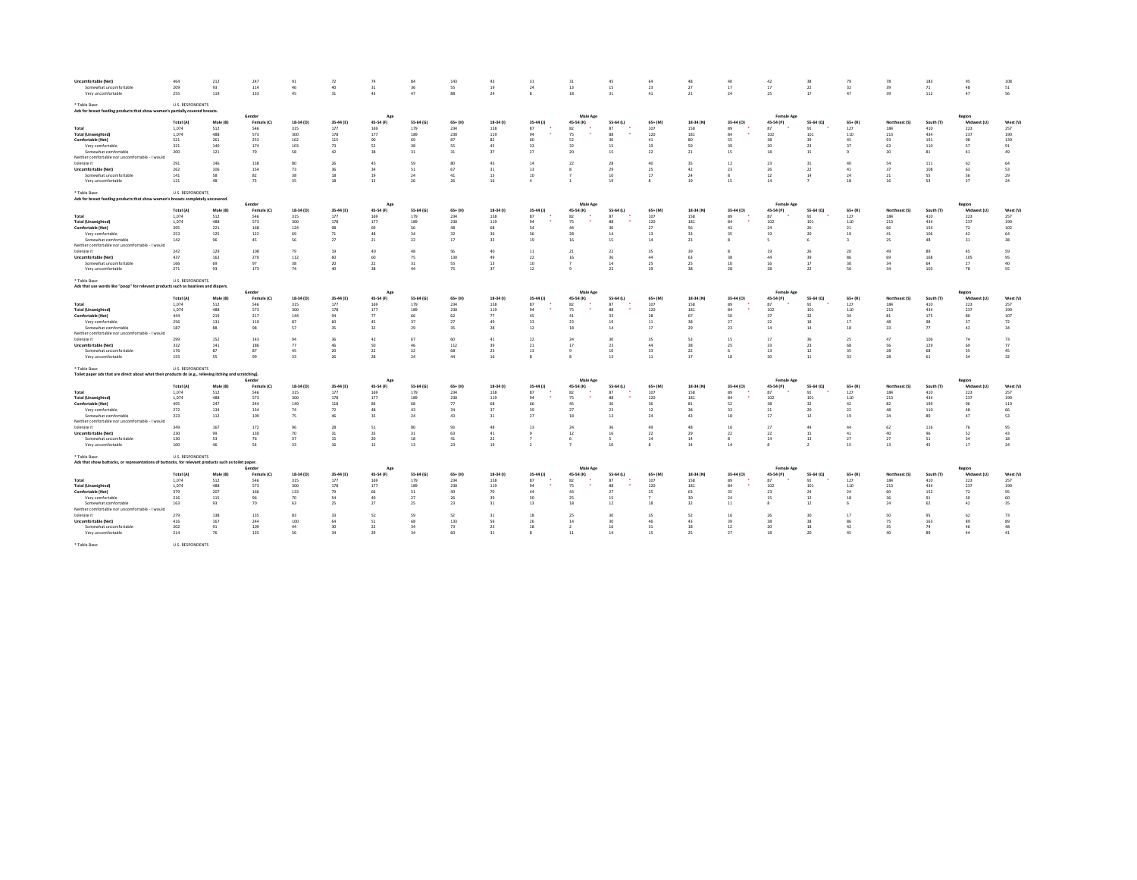| Uncomfortable (Net)                                                                                                      | 464                     | 212        | 247                  | 91           | 72          | 74               | 84        | 143                    | 43        | 31                            | 31                    | 45                    |                       | 48        |                    | 42                             | 38                    |                 | -75            | 183        | 95                    | 108        |
|--------------------------------------------------------------------------------------------------------------------------|-------------------------|------------|----------------------|--------------|-------------|------------------|-----------|------------------------|-----------|-------------------------------|-----------------------|-----------------------|-----------------------|-----------|--------------------|--------------------------------|-----------------------|-----------------|----------------|------------|-----------------------|------------|
| Somewhat uncomfortable<br>Very uncomfortable                                                                             | 209<br>255              | 93<br>119  | 114<br>133           | 46<br>45     | 40<br>31    | 31<br>43         | 36<br>47  | SS.<br>88              | 19<br>24  | $^{24}$<br>$\boldsymbol{3}$   | 13<br>18              | 15<br>31              | 23<br>$41\,$          | 27<br>21  | 17<br>$24\,$       | 17<br>25                       | 22<br>17              | 32<br>47        | 39<br>39       | 71<br>112  | 48<br>47              | 51<br>56   |
|                                                                                                                          |                         |            |                      |              |             |                  |           |                        |           |                               |                       |                       |                       |           |                    |                                |                       |                 |                |            |                       |            |
| * Table Base:<br>Ads for breast feeding products that show women's partially covered breasts.                            | <b>U.S. RESPONDENTS</b> |            |                      |              |             |                  |           |                        |           |                               |                       |                       |                       |           |                    |                                |                       |                 |                |            |                       |            |
|                                                                                                                          | Total (A)               | Male (B)   | Gender<br>Female (C) | 18-34 (D)    | 35-44 (F)   | Age<br>45-54 (F) | 55-64 (G) | $65+ (H)$              | 18-34 (1) | 35-44 (J)                     | Male Age<br>45-54 (K) | 55-64 (L)             | $65 + (M)$            | 18-34 (N) | 35-44 (0)          | <b>Female Age</b><br>45-54 (P) | 55-64 (Q)             | $65 + 181$      | Northeast (S)  | South (T   | Region<br>Midwest (L) | West (\    |
| Total                                                                                                                    | 1,074                   | 512        | 546                  | 315          | 177         | 169              | 179       | 234                    | 158       | 87                            | 82                    | 87                    | 107                   | 158       | 89                 | 87                             | 91                    | 127             | 184            | 410        | 223                   | 257        |
| <b>Total (Unweighted)</b>                                                                                                | 1,074                   | 488        | 573                  | 300          | 178         | 177              | 189       | 230                    | 119       | 94                            | 75                    | 88                    | 120                   | 181       | 94                 | 102                            | 101                   | 110             | 213            | 434        | 237                   | 190        |
| Comfortable (Net)                                                                                                        | 521                     | 261        | 253                  | 162          | 115         | 90               | 69        | 87                     | 82        | 60                            | 52                    | 30                    | 41                    | 80        | SS.                | 38                             | 39                    | 45              | 93             | 191        | 98                    | 139        |
| Very comfortable                                                                                                         | 321                     | 140        | 174                  | 103          | 73          | 52               | 28        | 55                     | 45        | 33                            | 32                    | 15                    | 19                    | 59        | 39                 | 20                             | 23                    | 27              | 63             | 110        | 57                    | 91         |
| Somewhat comfortable                                                                                                     | 200                     | 121        | 79                   | 58           | $-42$       | 38               | 31        | 31                     | 37        | 27                            | 20                    | 15                    | $22\,$                | 21        | 15                 | 18                             | 15                    |                 | 30             | 81         | 41                    | 49         |
| Neither comfortable nor uncomfortable - I would                                                                          |                         |            |                      |              |             |                  |           |                        |           |                               |                       |                       |                       |           |                    |                                |                       |                 |                |            |                       |            |
| tolerate it<br>Uncomfortable (Net)                                                                                       | 291<br>262              | 146<br>106 | 138<br>154           | 80<br>73     | -26<br>36   | 45<br>34         | 59<br>51  | 80<br>67               | 45<br>31  | 14<br>13                      | 22                    | 28<br>29              | 40 <sub>1</sub><br>25 | 35<br>42  | 12<br>23           | 23<br>26                       | 31<br>$\bf 22$        | 40<br>41        | S4<br>37       | 111<br>108 | 62<br>63              | 64<br>53   |
| Somewhat uncomfortable                                                                                                   | 141                     | 58         | 82                   | 38           | 18          | 19               | 24        | $41\,$                 | 15        | 10                            |                       | 10                    | 17                    | 24        | $\boldsymbol{8}$   | 12                             | 14                    | 24              | 21             | 55         | 36                    | 29         |
| Very uncomfortable                                                                                                       | 121                     | 48         | 72                   | 35           | 18          | 15               | 26        | 26                     | 16        | $\Delta$                      | -1                    | 19                    | $\boldsymbol{8}$      | 19        | 15                 | 14                             | $\overline{z}$        | <b>18</b>       | 16             | 53         | 27                    | 24         |
|                                                                                                                          |                         |            |                      |              |             |                  |           |                        |           |                               |                       |                       |                       |           |                    |                                |                       |                 |                |            |                       |            |
| * Table Base:<br>Ads for breast feeding products that show women's breasts completely uncovered                          | U.S. RESPONDENTS        |            |                      |              |             |                  |           |                        |           |                               |                       |                       |                       |           |                    |                                |                       |                 |                |            |                       |            |
|                                                                                                                          |                         |            | Gende                |              |             | Am               |           |                        |           |                               | Male Age              |                       |                       |           |                    | Female Age                     |                       |                 |                |            | Region                |            |
|                                                                                                                          | Total (A)               | Male (B)   | Female (C)           | 18-34 (D)    | 35-44 (E)   | 45-54 (F)        | 55-64 (G) | $65+ (H)$              | 18-34 (1) | $35-44$ (J)                   | 45-54 (K)             | 55-64 (L)             | $65+ (M)$             | 18-34 (N) | 35-44 (0)          | 45-54 (P)                      | 55-64 (Q)             | $65+ (R)$       | Northeast (S)  | South (T   | Midwest (U)           | West (V    |
| Total                                                                                                                    | 1.074                   | 512        | 546                  | 315          | 177         | 169              | 179       | 234                    | 158       | 87                            | 82                    | 87                    | 107                   | 158       | 89                 | 87                             | 91                    | 127             | 184            | 410        | 223                   | 257        |
| <b>Total (Unweighted)</b>                                                                                                | 1.074                   | 488        | 573<br>168           | 300<br>124   | 178<br>98   | 177<br>69        | 189<br>56 | 230<br>48              | 119       | 94<br>Ś.                      | 75                    | 88<br>30              | 120<br>27             | 181<br>56 | 84<br>43           | 102<br>24                      | 101                   | 110             | 213            | 434        | 237                   | 190<br>102 |
| Comfortable (Net)<br>Very comfortable                                                                                    | 395<br>253              | 221<br>125 | 122                  | 69           | $71\,$      | 48               | 34        | 32                     |           | $\overline{\mathbf{3}}$       | 28                    | 14                    | 13                    | 33        | 35                 | 19                             | 26<br>20              | 21<br>19        | 41             | 154<br>106 | 72<br>42              | 64         |
| Somewhat comfortable                                                                                                     | 142                     | 96         | 45                   | 56           | 27          | 21               | 22        | 17                     | 33        | 19                            | 16                    | 15                    | 14                    | 23        | -8                 |                                | 6                     |                 | 25             | 48         | 31                    | 38         |
| Neither comfortable nor uncomfortable - I would                                                                          |                         |            |                      |              |             |                  |           |                        |           |                               |                       |                       |                       |           |                    |                                |                       |                 |                |            |                       |            |
| tolerate it                                                                                                              | 242                     | 129        | 108                  | 79           | 19          | 40               | 48        | 56                     | 40        | 11                            | 21                    | 22                    | 35                    | 39        |                    | 19                             | 26                    | 20              | 49             |            | 45                    | 59         |
| Uncomfortable (Net)                                                                                                      | 437                     | 162        | 270                  | 112          | 60          | 60               | 75        | 130                    | 49        | 22                            | 16                    | 36                    | 44                    | 63        | 38                 | 44                             | 39                    | 86              | 69             | 168        | 105                   | 95         |
| Somewhat uncomfortable                                                                                                   | 166                     | 69         | Q                    | 38           | 20          | 22               | 31        | SS.                    | 13        | 10 <sup>1</sup>               |                       | 14                    | 25                    | 25        | 10                 | 16                             | 17                    | 30 <sup>2</sup> | 24             | 64         | 27                    | $40\,$     |
| Very uncomfortable                                                                                                       | 271                     | 93         | 173                  | 74           | 40          | 38               | 44        | 75                     | 37        | 12                            |                       | 22                    | 19                    | 38        | 28                 | 28                             | $\bf 22$              | 56              | 34             | 103        | 78                    | 55         |
| * Table Rase:                                                                                                            | <b>U.S. RESPONDENTS</b> |            |                      |              |             |                  |           |                        |           |                               |                       |                       |                       |           |                    |                                |                       |                 |                |            |                       |            |
| Ads that use words like "poop" for relevant products such as laxatives and diapers.                                      |                         |            |                      |              |             | App              |           |                        |           |                               | Male Age              |                       |                       |           |                    |                                |                       |                 |                |            | Regio                 |            |
|                                                                                                                          | Total (A)               | Male (B)   | Female (C)           | 18-34 (D)    | 35-44 (E)   | 45-54 (F)        | 55-64 (G) | $65 + (H)$             | 18-34 (1) | $35-44$ (J)                   | 45-54 (K)             | 55-64 (L)             | 65+ (M)               | 18-34 (N) | 35-44 (0)          | <b>Female Age</b>              | 55-64 (0)             | $65+ (R)$       | Northeast (S)  | South (1   | Midwest (U)           | West N     |
| Total                                                                                                                    | 1.074                   | 512        | 546                  | 315          | 177         | 169              | 179       | 234                    | 158       | 87                            | 82                    | 87                    | 107                   | 158       | 89                 | 45-54 (P)<br>87                | 91                    | 127             | 184            | 410        | 223                   | 257        |
| <b>Total (Unweighted)</b>                                                                                                | 1,074                   | 488        | 573                  | 300          | 178         | 177              | 189       | 230                    | 119       | يو                            | 75                    | 88                    | 120                   | 181       | $\mathbf{8}$       | 102                            | 101                   | 110             | 213            | 434        | 237                   | 190        |
| Comfortable (Net)                                                                                                        | 444                     | 219        | 217                  | 144          | $Q_4$       | 77               | 66        | 62                     | 77        | 45                            | 41                    | 33                    | 28                    | 67        | sn                 | 37                             | 32                    | 24              | 81             | 175        | 80                    | 107        |
| Very comfortable                                                                                                         | 256                     | 131        | 119                  | 87           | 60          | 45               | 37        | 27                     | 49        | 33                            | 23                    | 19                    | 11                    | 38        | 27                 | 22                             | 18                    | 17              | 45             | QR         | 37                    | 72         |
| Somewhat comfortable                                                                                                     | 187                     | 88         | 98                   | 57           | 35          | 32               | 29        | 35                     | 28        | 12                            | 18                    | 14                    | 17                    | 29        | 23                 | 14                             | 14                    | 18              | 33             | 77         | 43                    | 34         |
| Neither comfortable nor uncomfortable - I would                                                                          |                         |            |                      |              |             |                  |           |                        |           |                               |                       |                       |                       |           |                    |                                |                       |                 |                |            |                       |            |
| tolerate it                                                                                                              | 299                     | 152        | 143                  | 94           | 26          | 42               | 67        | 60                     | 41        | 22                            | 24                    | 30 <sub>0</sub>       | 25                    | 53        | 15                 | 17                             | 36                    | -25             | 47             | 106        | 74                    | 73         |
| Uncomfortable (Net)                                                                                                      | 332                     | 141        | 186                  | 77           | 46          | 50               | 46        | 112                    | 39        | 21                            | 17                    | 23                    | 44                    | 38        | 25                 | 33                             | 23                    | 68              | S              | 129        | 69                    | 77         |
| Somewhat uncomfortable                                                                                                   | 176                     | 87         | 87                   | 45           | 20          | 22               | 22        | 68                     | 23        | 13                            | $^{\circ}$            | 10                    | 33                    | 22<br>17  | 6                  | 13                             | 12                    | 35              | 28             | 68         | 35                    | 45         |
| Very uncomfortable                                                                                                       | 155                     | SS.        | 99                   | 33           | 26          | 28               | 24        | 44                     | 16        | $\mathbf{\hat{z}}$            |                       | 13                    | 11                    |           | 18                 | 20                             | $11\,$                | 33              | 28             | 61         | 34                    | 32         |
| * Table Base:<br>Toilet paper ads that are direct about what their products do (e.g., relieving itching and scratching). | <b>U.S. RESPONDENTS</b> |            |                      |              |             |                  |           |                        |           |                               |                       |                       |                       |           |                    |                                |                       |                 |                |            |                       |            |
|                                                                                                                          |                         |            | Gende                |              |             |                  |           |                        |           |                               | Male App              |                       |                       |           |                    | Female Age                     |                       |                 |                |            | Region                |            |
|                                                                                                                          | Total (A)               | Male (B)   | Female (C)           | 18-34 (D)    | 35-44 (E)   | 45-54 (F)        | 55-64 (G) | $65+ (H)$              | 18-34 (1) | $35-44$ (J)                   | 45-54 (K)             | 55-64 (L)             | $65+ (M)$             | 18-34 (N) | 35-44 (0)          | 45-54 (P)                      | 55-64 (Q)             | $65+ (R)$       | Northeast (S)  | South (1   | Midw<br>est (U)       | West (\    |
| Total                                                                                                                    | 1,074                   | 512        | 546                  | 315          | 177         | 169              | 179       | 234                    | 158       | 87                            | 82                    | 87                    | 107                   | 158       | 89                 | 87                             | 91                    | 127             | 184            | 410        | 223                   | 257        |
| <b>Total (Unweighted)</b>                                                                                                | 1.074                   | 488        | 573<br>244           | 300<br>149   | 178<br>118  | 177              | 189<br>68 | 230<br>$\overline{77}$ | 119       | 94                            | 75                    | 88                    | 120                   | 181       | 94<br>52           | 102                            | 101<br>32             | 110             | 213            | 434        | 237<br>96             | 190        |
| Comfortable (Net)<br>Very comfortable                                                                                    | 495<br>272              | 247<br>134 | 134                  | 74           | 72          | 84<br>48         | 43        | 34                     | 68        | 66<br>$\overline{\mathbf{3}}$ | 45<br>27              | 36<br>23              | 36<br>12              | 81<br>38  | 33                 | 38<br>$^{21}$                  | 20                    | 42<br>22        | 82<br>$\Delta$ | 199<br>110 | 48                    | 119<br>66  |
| Somewhat comfortable                                                                                                     | 223                     | 112        | 109                  | 75           | AG.         | 35               | 24        | 43                     | 31        | 27                            | 18                    | 13                    | 24                    | 43        | 18                 | 17                             | 12                    | 19              | $\overline{u}$ | 89         | 47                    | 53         |
| Neither comfortable nor uncomfortable - I would                                                                          |                         |            |                      |              |             |                  |           |                        |           |                               |                       |                       |                       |           |                    |                                |                       |                 |                |            |                       |            |
| tolerate it                                                                                                              | 349                     | 167        | 172                  | $Q_0$        | 28          | 51               | 80        | 93                     | 48        | 13                            | 24                    | 36                    | 49                    | 48        | 16                 | 27                             | 44                    | 44              | 62             | 116        | 76                    | 95         |
| Uncomfortable (Net)                                                                                                      | 230                     | 99         | 130                  | 70           | 31          | 35               | 31        | 63                     | $41\,$    |                               | 12                    | 16                    | 22                    | 29        | 22                 | 22                             | 15                    | 41              | 40             | $Q_0$      | 52                    | 43         |
| Somewhat uncomfortable                                                                                                   | 130                     | 53         | 76                   | 37           | 15          | 20 <sub>0</sub>  | 18        | 41                     | 22        |                               | 6                     | $\leq$                | 14                    | 14        | $\mathbf{\hat{z}}$ | 14                             | 13                    | 27              | 27             | 51         | 24                    | 18         |
| Very uncomfortable                                                                                                       | 100                     | 46         | 54                   | 33           | 16          | 15               | 13        | 23                     | 19        |                               |                       | 10                    | $\mathbf{8}$          | 14        | $14\,$             |                                | $\overline{2}$        | 15              | 13             | 45         | $17\,$                | $\bf 24$   |
| * Table Base:                                                                                                            | <b>U.S. RESPONDENTS</b> |            |                      |              |             |                  |           |                        |           |                               |                       |                       |                       |           |                    |                                |                       |                 |                |            |                       |            |
| Ads that show buttocks, or representations of buttocks, for relevant products such as toilet paper.                      |                         |            | Gende                |              |             |                  |           |                        |           |                               | Male Ap               |                       |                       |           |                    | <b>Female Ago</b>              |                       |                 |                |            | Regior                |            |
|                                                                                                                          | Total (A)               | Male (B)   | Female (C)           | 18-34 (D)    | 35-44 (F)   | 45-54 (F)        | 55-64 (G) | $65 + (H)$             | 18-34 (f) | 35-44 (J)                     | 45-54 (K)             | 55-64 (L)             | $65 + (M)$            | 18-34 (N) | 35-44 (0)          | 45-54 (P)                      | 55-64 (Q)             | $65 + (R)$      | Northeast (S)  | South (1   | Midwest (U)           | West (1    |
| Total                                                                                                                    | 1,074                   | 512        | 546                  | 315          | 177         | 169              | 179       | 234                    | 158       | 87                            | 82                    | 87                    | 107                   | 158       | 89                 | 87                             | 91                    | 127             | 184            | 410        | 223                   | 257        |
| <b>Total (Unweighted)</b>                                                                                                | 1,074                   | 488        | 573                  | 300          | 178         | 177              | 189       | 230                    | 119       | 94                            | 75                    | 88                    | 120                   | 181       | 84                 | 102                            | 101                   | 110             | 213            | 434        | 237                   | 190        |
| Comfortable (Net)                                                                                                        | 379                     | 207        | 166                  | 133          | 79          | 66               | 51        | 49                     | 70        | 44                            | 43                    | 27                    | 25                    | 63        | 35                 | 23                             | 24                    | 24              | 60             | 152        | 72                    | 95         |
| Very comfortable                                                                                                         | 216                     | 115        | 96                   | $70^{\circ}$ | 54          | 40 <sub>2</sub>  | 27        | 26                     | 39        | 30                            | 25                    | 15                    |                       | 30        | 24                 | 15                             | 12                    | 18              | $-36$          | 91         | 30 <sub>1</sub>       | 60         |
| Somewhat comfortable                                                                                                     | 163                     | 93         | 70                   | 63           | 25          | 27               | 25        | 23                     | 31        | 13                            | 18                    | 12                    | 18                    | 32        | 11                 |                                | 12                    |                 | 24             | 62         | 42                    | 35         |
| Neither comfortable nor uncomfortable - I would                                                                          |                         |            | 135                  |              |             |                  |           | 52                     |           |                               |                       |                       |                       | 52        |                    |                                |                       |                 |                |            | 62                    |            |
| tolerate it<br>Uncomfortable (Net)                                                                                       | 279<br>416              | 138<br>167 | 244                  | 83<br>100    | $-22$<br>64 | 52<br>51         | 59<br>68  | 133                    | 31<br>56  | 18<br>26                      | 25<br>14              | 30 <sub>0</sub><br>30 | 25<br>46              | 43        | 76<br>39           | 26<br>38                       | 30 <sup>2</sup><br>38 | 17              | sn<br>75       | Q5<br>163  | 89                    | 73<br>89   |
| Somewhat uncomfortable                                                                                                   | 202                     | 91         | 109                  | 44           | 30          | 22               | 34        | 73                     | 25        | 18                            | $\overline{2}$        | 16                    | 31                    | 18        | $12\,$             | 20                             | 18                    | 42              | 35             | 74         | 46                    | 48         |
| Very uncomfortable                                                                                                       | 214                     | 76         | 135                  | 56           | 34          | 29               | 34        | 60                     | 31        | $\mathbf{\hat{z}}$            | 11                    | 14                    | 15                    | 25        | 27                 | 18                             | 20                    | 45              | 40             | 89         | 44                    | $41\,$     |
|                                                                                                                          |                         |            |                      |              |             |                  |           |                        |           |                               |                       |                       |                       |           |                    |                                |                       |                 |                |            |                       |            |
| * Table Base:                                                                                                            | <b>U.S. RESPONDENTS</b> |            |                      |              |             |                  |           |                        |           |                               |                       |                       |                       |           |                    |                                |                       |                 |                |            |                       |            |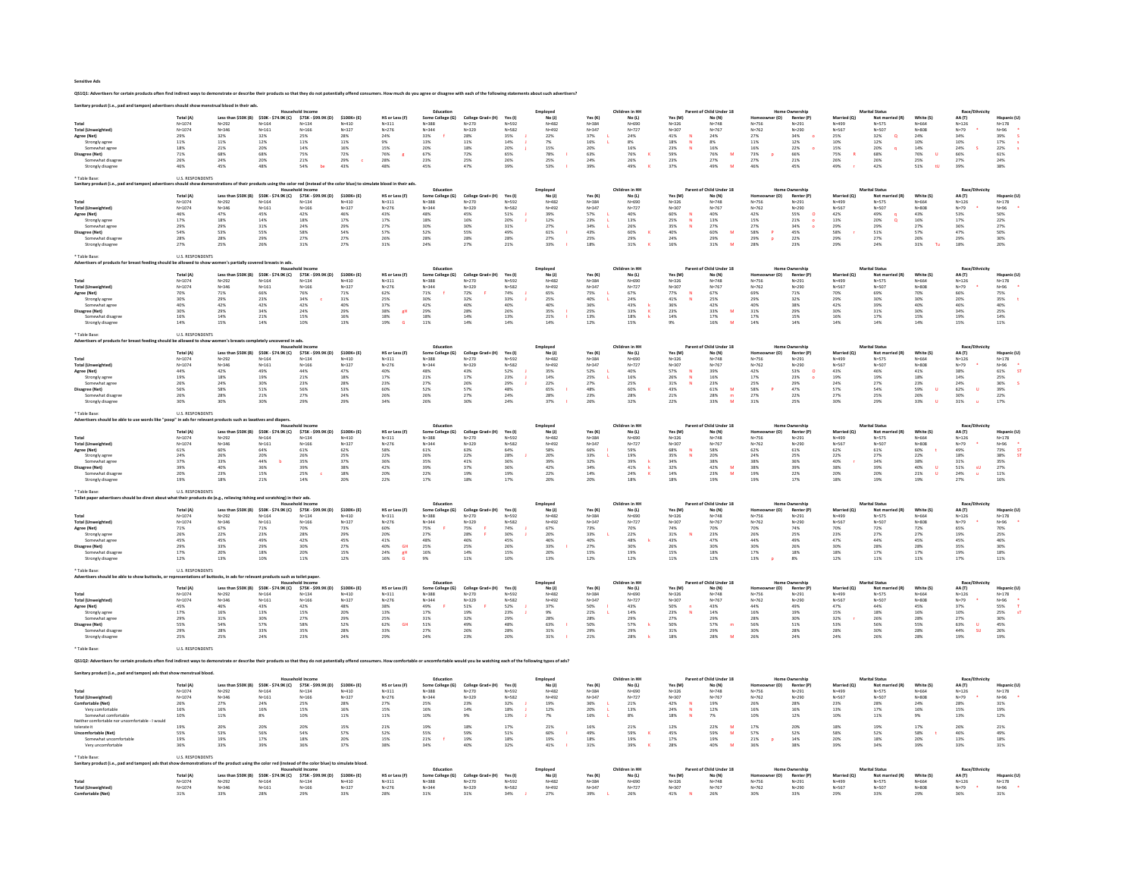Sensitive Ads

QS1Q1: Advertisers for certain products often find indirect ways to demonstrate or describe their products so that they do not potentially offend consumers. How much do you agree or disagree with each of the following stat

|                           | Total (A)                         |                                                                                     | \$50K - \$74.9K (C)                                             | \$75K - \$99.9K (D)    | $$100K + [E]$          |                             | Educatio                      |                                             |                        | Employee<br>No(1)      |                        | Children in HH         |                                             | Parent of Child Under 18<br>No (N) |                        |                              | Married (O)            | <b>Marital Statu</b>                         |                                             | $D = \sqrt{E}$<br>AA (T)                    |                          |
|---------------------------|-----------------------------------|-------------------------------------------------------------------------------------|-----------------------------------------------------------------|------------------------|------------------------|-----------------------------|-------------------------------|---------------------------------------------|------------------------|------------------------|------------------------|------------------------|---------------------------------------------|------------------------------------|------------------------|------------------------------|------------------------|----------------------------------------------|---------------------------------------------|---------------------------------------------|--------------------------|
|                           | $N = 1074$                        | Less than \$50K (B)                                                                 | $N = 164$                                                       | $N = 134$              | $N = 410$              | HS or Less (F)<br>$N = 311$ | Some College (G)<br>$N = 388$ | College Grad+ (H)<br>$N = 270$              | Yes (I)<br>$N = 592$   |                        | Yes (K<br>$N = 384$    | No (L)<br>$N = 690$    | Yes (M)<br>$N = 326$                        | $N = 748$                          | er (O)<br>$N = 756$    | Renter (P)<br>$N = 291$      | $N = 499$              | Not married (R)                              | White (S)<br>$N = 664$                      | $N = 126$                                   |                          |
| <b>Total (Unweighted</b>  | $N = 1074$                        | $N = 292$<br>$N = 346$                                                              | $N = 161$                                                       | $N = 166$              | $N = 327$              | $N = 276$                   | $N = 344$                     | $N = 329$                                   | $N = 582$              | $N = 482$<br>$N = 492$ | $N = 347$              | $N = 727$              | $N = 307$                                   | $N = 767$                          | $N = 762$              | $N = 290$                    | $N = 567$              | N=575<br>N=507                               | $N = 808$                                   | $N=79$                                      | $N=178$<br>$N=96$        |
| Agree (Net)               | 29%                               | 32%                                                                                 | 32%                                                             | 25%                    | 28%                    | 24%                         | 33%                           | 28%                                         | 35%                    | 22%                    | 37%                    | 24%                    | $41\%$                                      | 24%                                | 27%                    | 34%                          | 25%                    | $32\%$                                       | 24%                                         | 34%                                         | 39%                      |
| Strongly agree            | $11\%$                            | $11\%$                                                                              | $12\%$                                                          | $11\%$                 | 11%                    | 9%                          | $13\%$                        | $11\%$                                      | $14\%$                 | $7\%$                  | $16\%$                 | $8\%$                  |                                             | $8\%$                              | $11\%$                 | $12\%$                       |                        | $12\%$                                       |                                             |                                             |                          |
| Somewhat agree            | 18%                               | 21%                                                                                 | 20%                                                             | 14%                    | 16%                    | 15%                         | 20%                           | 18%                                         | 20%                    | 15%                    | 20%                    | 16%                    | $\begin{array}{l} 18\% \\ 23\% \end{array}$ | 16%                                | 16%                    | 22%                          | $10\%$ 15%             | 20%                                          | $10\%$ $14\%$                               | $^{10\%}_{24\%}$                            | 17%<br>22%               |
| Disagree (Net)            | 71%                               | 68%                                                                                 | 68%                                                             | 75%                    | 72%                    | 76%                         | 67%                           | 72%                                         | 65%                    | 78%                    | 63%                    | 76%                    | 59%                                         | 76%<br>M                           | 73%                    | 66%                          | 75%                    | 68%                                          | 76%<br><b>u</b>                             | $66\%$                                      |                          |
| Somewhat disagree         | 26%                               | 24%                                                                                 | 20%                                                             | 21%                    | 29%                    | 28%                         | 23%                           | 25%                                         | 26%                    | 25%                    | 24%                    | 26%                    | 23%                                         | 27%                                | 27%                    | 21%                          | 26%                    | 26%                                          | 25%                                         | 27%                                         | 61%<br>24%               |
| Strongly disagree         | $46\%$                            | 45%                                                                                 | 48%                                                             | 54%<br>be              | 43%                    | 48%                         | 45%                           | 47%                                         | 39%                    | 53%                    | 39%                    | $49\%$                 | 37%                                         | 49%                                | 46%                    | 45%                          | 49%                    | 42%                                          | $51\%$<br><b>tU</b>                         | 39%                                         | 38%                      |
|                           |                                   |                                                                                     |                                                                 |                        |                        |                             |                               |                                             |                        |                        |                        |                        |                                             |                                    |                        |                              |                        |                                              |                                             |                                             |                          |
| Table Base:               | <b>U.S. RESPONDENTS</b>           |                                                                                     |                                                                 |                        |                        |                             |                               |                                             |                        |                        |                        |                        |                                             |                                    |                        |                              |                        |                                              |                                             |                                             |                          |
|                           |                                   |                                                                                     | products using the color red finstead of the color blue) to sir |                        |                        | te blood in their ad:       |                               |                                             |                        |                        |                        |                        |                                             |                                    |                        |                              |                        |                                              |                                             |                                             |                          |
|                           |                                   |                                                                                     |                                                                 |                        |                        |                             | Education                     |                                             |                        | Employee               |                        | Children in HH         |                                             | Parent of Child Under 18           |                        | Home Ownershi                |                        | <b>Marital Status</b>                        |                                             | Race/Eth                                    |                          |
|                           | Total (A)                         | Less than \$50K (B)                                                                 | \$50K - \$74.9K (C)                                             | \$75K - \$99.9K (D)    | \$100K+(E)             | HS or Less (F)              | Some College (G)              | College Grad+ (H)                           | Yes (I)                | No(1)                  | Yes (K)                | No (L)                 | Yes (M)                                     | No (N)                             | mer (O)<br>Homes       | Renter (P)                   | Married (Q)            | Not married (R)                              | White (S)                                   | AA (T)                                      | Hispanic (U              |
|                           | $N = 1074$                        | $N = 292$                                                                           | $N = 164$                                                       | $N = 134$              | $N = 410$              | $N = 311$                   | $N = 3.88$                    | $N = 270$                                   | $N = 592$              | $N = 482$              | $N = 384$              | $N = 690$              | $N = 326$                                   | $N = 748$                          | N=756                  | $N = 291$                    | N=499                  | $N = 575$                                    | $N = 664$                                   | $N = 126$                                   | $N = 178$                |
| <b>Total (Unweighted</b>  | $N = 1074$                        | $N = 346$                                                                           | $N = 161$                                                       | $N = 166$              | $N = 327$              | $N = 276$                   | $N = 3.44$                    | $N = 329$                                   | $N = 582$              | $N = 492$              | $N = 347$              | $N = 727$              | $N = 307$                                   | $N = 767$                          | $N = 762$              | $N = 290$                    | $N = 567$              | $N = 507$                                    | $N = 80.8$                                  | $N = 79$                                    |                          |
| Agree (Net)               | 46%                               | 47%                                                                                 | 45%                                                             | 42%                    | 46%                    | 43%                         | 48%                           | 45%                                         | 51%                    | 39%                    | 57%                    | 40%                    | 60%                                         | 40%                                | 42%                    | 55%                          | 42%                    | 49%                                          | 43%                                         | 53%                                         | N=96<br>50%              |
| Strongly agree            | 17%                               | 18%                                                                                 | 14%                                                             | 18%                    | 17%                    | $17\%$                      | 18%                           | 16%                                         | 20%                    | 12%                    | 23%                    | 13%                    | 25%                                         | $13\%$                             |                        | $21\%$                       | $13\%$                 |                                              |                                             | 17%                                         |                          |
| Somewhat agree            | 29%                               | 29%                                                                                 | 31%                                                             | 24%                    | 29%                    | 27%                         | 30%                           | 30%                                         | 31%                    | 27%                    | 34%                    | 26%                    | 35%                                         | 27%                                | 15%<br>27%             | 34%                          | 29%                    | 20%<br>29%                                   | 16%<br>27%                                  | 36%                                         | 22%<br>27%               |
| Disagree (Net)            | 54%                               | 53%                                                                                 | 55%                                                             | 58%                    | 54%                    | 57%                         | 52%                           | 55%                                         | 49%                    | 61%                    | 43%                    | 60%                    | 40%                                         | M<br>60%                           | 58%<br>$\mathsf P$     | 45%                          | 58%                    | 51%                                          | 57%                                         | $47\%$                                      | 50%                      |
| Somewhat disagr           | 28%                               | 28%                                                                                 | 29%                                                             | 27%                    | 27%                    | 26%                         | 28%                           | 28%                                         | 28%                    | 27%                    | 25%                    | 29%                    | 24%                                         | 29%                                | 29%                    | $22\%$                       | 29%                    | 27%                                          |                                             | 29%                                         | 30%                      |
| Strongly disagree         | 27%                               | 25%                                                                                 | 26%                                                             | 31%                    | 27%                    | 31%                         | 24%                           | 27%                                         | 21%                    | 33%                    | 18%                    | 31%                    | 16%                                         | 31%<br><b>M</b>                    | 28%                    | 23%                          | 29%                    | 24%                                          | $\begin{array}{l} 26\% \\ 31\% \end{array}$ | 18%                                         | 20%                      |
|                           |                                   |                                                                                     |                                                                 |                        |                        |                             |                               |                                             |                        |                        |                        |                        |                                             |                                    |                        |                              |                        |                                              |                                             |                                             |                          |
| Table Base                | <b>LLS RESPONDENTS</b>            |                                                                                     |                                                                 |                        |                        |                             |                               |                                             |                        |                        |                        |                        |                                             |                                    |                        |                              |                        |                                              |                                             |                                             |                          |
|                           | e allowed to show                 |                                                                                     | en's partially covered breasts in ads                           |                        |                        |                             |                               |                                             |                        |                        |                        |                        |                                             |                                    |                        |                              |                        |                                              |                                             |                                             |                          |
|                           |                                   |                                                                                     |                                                                 |                        |                        |                             | Educatio                      |                                             |                        |                        |                        | Children in H          |                                             | Parent of Child Under 18           |                        |                              |                        | <b>Marital Status</b>                        |                                             | Race/Eti                                    |                          |
|                           | Total (A)                         | Less than \$50K (B)                                                                 | \$50K - \$74,9K (C)                                             | \$75K - \$99.9K (D)    | $$100K + IF$           | HS or Less (F)              | Some College (G)              | College Grad+ (H)                           | Yes (I)                | Employed<br>No(1)      | Yes (K)                | No (L)                 | Yes (M)                                     | No (N)                             | (n)                    | Home Ownership<br>Renter (P) | Married (O)            | Not ma<br>(G) hai                            | White (S)                                   | 44 m                                        | Hispanic (I              |
|                           | $N = 1074$                        | $N = 292$                                                                           | $N = 164$                                                       | $N = 134$              | $N = 410$              | $N = 311$                   | $N = 388$                     | $N = 270$                                   | $N = 592$              | $N = 482$              | $N = 384$              | $N = 690$              | $N = 326$                                   | $N = 748$                          | $N = 756$              | $N = 291$                    | $N = 499$              | $N = 575$                                    | $N = 664$                                   | $N = 126$                                   | $N = 178$                |
| Total (Ur                 | $N = 1074$                        | $N = 346$                                                                           | $N = 161$                                                       | $N = 166$              | $N = 327$              | $N = 276$                   | $N = 344$                     | $N = 329$                                   | $N = 582$              | $N = 492$              | $N = 347$              | $N = 727$              | $N = 307$                                   | $N = 767$                          | $N = 762$              | $N = 290$                    | $N = 567$              | N=507                                        | $N = 808$                                   | $N=79$                                      | N=96                     |
| Agree (Net)               | 70%                               | 71%                                                                                 | 66%                                                             | 76%                    | 71%                    | 62%                         | 71%                           |                                             | 74%                    | 65%                    | 75%                    | 67%                    |                                             | 67%                                |                        |                              |                        | 69%                                          | 70%                                         | 66%                                         |                          |
|                           | 30%                               | 29%                                                                                 | 23%                                                             | 34%                    | 31%                    | 25%                         | 30%                           | $\begin{array}{l} 72\% \\ 32\% \end{array}$ | 33%                    | 25%                    | 40%                    | 24%                    | $77\%$<br>$41\%$                            | 25%                                | 69%<br>29%             | 71%<br>32%                   | 70%<br>29%             | 30%                                          | 30%                                         | 20%                                         | 75%<br>35%               |
| Strongly agree            |                                   |                                                                                     |                                                                 |                        |                        |                             |                               |                                             |                        |                        |                        |                        |                                             |                                    |                        |                              |                        |                                              |                                             |                                             |                          |
| Somewhat agre             | 40%                               | 42%                                                                                 | 42%                                                             | 42%                    | 40%                    | 37%<br>38%                  | $42\%$                        | 40%                                         | 40%                    | 40%                    | 36%                    | 43%                    | 36%<br>23%                                  | $42\%$<br>M                        | 40%                    | $38\%$                       | 42%                    | 39%<br>31%                                   | 40%<br>30%                                  | $46\%$<br>34%                               | 40%<br>25%               |
| <b>Disagree (Net)</b>     | 30%                               | 29%                                                                                 | 34%<br>21%                                                      | 24%<br>15%             | 29%                    | gH                          | 29%                           | 28%                                         | 26%                    | 35%                    | 25%                    | 33%                    |                                             | 33%                                | 31%                    | 29%                          | 30%                    |                                              |                                             |                                             |                          |
| Somewhat disagre          | $16\%$                            | $14\%$                                                                              |                                                                 |                        | 16%                    | 18%                         | 18%                           | 14%                                         | $13\%$                 | $21\%$                 | 13%                    | $18\%$                 | 14%                                         | $17\%$<br>$\mathbf{a}$             | $17\%$                 | 15%                          | 16%                    | $17\%$                                       | 15%                                         | $19\%$                                      | $14\%$                   |
| Strongly disag            | 14%                               | 15%                                                                                 | 14%                                                             | 10%                    | 13%                    | 19%<br>Ġ.                   | 11%                           | 14%                                         | 14%                    | 14%                    | 12%                    | 15%                    | 9%                                          | 16%                                | 14%                    | 14%                          | 14%                    | 14%                                          | 14%                                         | 15%                                         | 11%                      |
|                           |                                   |                                                                                     |                                                                 |                        |                        |                             |                               |                                             |                        |                        |                        |                        |                                             |                                    |                        |                              |                        |                                              |                                             |                                             |                          |
|                           | <b>U.S. RESPONDENTS</b>           |                                                                                     |                                                                 |                        |                        |                             |                               |                                             |                        |                        |                        |                        |                                             |                                    |                        |                              |                        |                                              |                                             |                                             |                          |
| <b>Advertisers</b> of     | allowed to show                   |                                                                                     | red in ads                                                      |                        |                        |                             |                               |                                             |                        |                        |                        |                        |                                             |                                    |                        |                              |                        |                                              |                                             |                                             |                          |
|                           |                                   |                                                                                     |                                                                 |                        |                        |                             | Education                     |                                             |                        | Employed               |                        | Children in HH         |                                             | Parent of Child Under 18           |                        | <b>Home Ownership</b>        |                        | <b>Marital Status</b>                        |                                             | Race/Ethnicity                              |                          |
|                           | Total (A)                         | Less than \$50K (B)                                                                 | \$50K - \$74.9K (C)                                             | \$75K - \$99.9K (D)    | \$100K+(E)             | HS or Less (F)              | Some College (G)              | College Grad+ (H)                           | Yes (I)                | No (J)                 | Yes (K)                | No (L)                 | Yes (M)                                     | No (N)                             | (0)                    | Renter (P)                   | Married (Q             | Not marr                                     | White (S)                                   | AA (T)                                      | Hispanic (               |
| Total                     | $N = 1074$                        | $N = 292$                                                                           | $N = 164$                                                       | $N = 124$              | $N = 410$              | $N = 311$                   | $N = 2.88$                    | $N = 270$                                   | $N = 592$              | $N = 482$              | $N = 3.84$             | $N = 690$              | $N = 326$                                   | $N = 748$                          | $N = 756$              | $N = 291$                    | $N = 499$              | $N = 575$                                    | $N = 664$                                   | $N = 126$                                   | $N = 178$                |
| <b>Total (Unweighted)</b> | $N = 1074$                        | $N = 346$                                                                           | $N = 161$                                                       | $N = 166$              | $N = 327$              | $N = 276$                   | $N = 344$                     | $N = 329$                                   | $N = 582$              | $N = 492$              | $N = 347$              | $N = 727$              | $N = 307$                                   | $N = 767$                          | $N = 762$              | $N = 290$                    | $N = 567$              | $N = 50$                                     | $N = 808$                                   | $N = 79$                                    | $N = 96$                 |
| Agree (Net)               | $44\%$                            | $42\%$                                                                              | 49%                                                             | $44\%$                 | 47%                    | 40%                         | $48\%$                        | $43\%$                                      | $52\%$                 | $35\%$                 | $52\%$                 | $40\%$                 | $57\%$                                      | $39\%$                             |                        | $53\%$                       | $43\%$                 | $46\%$                                       |                                             |                                             | $61\%$                   |
| Strongly agree            | 19%                               | 18%                                                                                 | 19%                                                             | 21%                    | 18%                    | 17%                         | 21%                           | 17%                                         | 23%                    | 14%                    | 25%                    | 16%                    | 26%                                         | 16%                                | $42\%$ 17%             | 23%                          | 19%                    | 19%                                          | $\begin{array}{l} 41\% \\ 18\% \end{array}$ | $38\%$ 14%                                  | 25%                      |
| Somewhat agree            | 26%                               | 24%                                                                                 | 30%                                                             | 23%                    | 28%                    | 23%                         | 27%                           | 26%                                         | 29%                    | 22%                    | 27%                    | 25%                    | 31%                                         | 23%                                | 25%                    | 29%                          | 24%                    | 27%                                          | 23%                                         | $24\%$                                      |                          |
| Disagree (Net)            | $56\%$                            | 58%                                                                                 | 51%                                                             | 56%                    | 53%                    | 60%                         | $52\%$                        | 57%                                         | 48%                    | 65%                    | 48%                    | 60%                    | 43%                                         | $61\%$<br><b>M</b>                 |                        | $47\%$                       |                        | 54%                                          |                                             | $62\%$<br><b>U</b>                          |                          |
| Somewhat disagre          | 26%                               | 28%                                                                                 | 21%                                                             | 27%                    | 24%                    | 26%                         | 26%                           | 27%                                         | 24%                    | 28%                    | 23%                    | 28%                    | 21%                                         | 28%<br>m                           | 58%<br>27%             | 22%                          | 57%<br>27%             | 25%                                          | 59%<br>26%                                  | 30%                                         | 36%<br>36%<br>39%<br>22% |
| Strongly disagree         | 30%                               | 30%                                                                                 | 30 <sub>N</sub>                                                 | 29%                    | 29%                    | 34%                         | 26%                           | 30%                                         | 24%                    | 37%                    | 26%                    | 32%                    | 22%                                         | 33%<br>$\overline{M}$              | 31%                    | 25%                          | 30%                    | 29%                                          | 33%                                         | 31%                                         | 17%                      |
|                           |                                   |                                                                                     |                                                                 |                        |                        |                             |                               |                                             |                        |                        |                        |                        |                                             |                                    |                        |                              |                        |                                              |                                             |                                             |                          |
|                           | <b>U.S. RESPONDENTS</b>           |                                                                                     |                                                                 |                        |                        |                             |                               |                                             |                        |                        |                        |                        |                                             |                                    |                        |                              |                        |                                              |                                             |                                             |                          |
|                           |                                   |                                                                                     |                                                                 |                        |                        |                             |                               |                                             |                        |                        |                        |                        |                                             |                                    |                        |                              |                        |                                              |                                             |                                             |                          |
|                           |                                   |                                                                                     | es and diapers.                                                 |                        |                        |                             |                               |                                             |                        |                        |                        |                        |                                             |                                    |                        |                              |                        |                                              |                                             |                                             |                          |
|                           |                                   |                                                                                     | Hou                                                             | shold Income           |                        |                             | Education                     |                                             |                        | Employee               |                        | Children in HH         |                                             | Parent of Child Under 18           |                        | Home Ownership               |                        | <b>Marital Status</b>                        |                                             | <b>Race/Ethnici</b>                         |                          |
|                           | <b>Total (A</b>                   | Less than \$50K (B)                                                                 | \$50K - \$74.9K (C)                                             | \$75K - \$99.9K (D)    | $$100K + [E]$          | HS or Less (F)              | Some College (G)              | College Grad+ (H)                           | Yes (I)                | No(1)                  | Yes (K                 | <b>No (L)</b>          | Yes (M)                                     | No (N)                             | r (O)                  | Renter (P)                   | Married (Q             | Not married (R)                              | White (S)                                   | AA (T)                                      | Hispanic (I              |
| <b>Fotal</b>              | $N = 1074$                        | $N = 292$                                                                           | $N = 164$                                                       | $N = 134$              | $N = 410$              | $N = 311$                   | $N = 388$                     | $N = 270$                                   | $N = 592$              | $N = 482$              | $N = 384$              | $N = 690$              | $N = 326$                                   | $N = 748$                          | $N = 756$              | $N = 291$                    | $N = 499$              | $N = 575$                                    | $N = 664$                                   | $N = 126$                                   | $N = 178$                |
| Total (Unweighted         | $N = 1074$                        | $N = 346$                                                                           | $N = 161$                                                       | $N = 166$              | $N = 327$              | $N = 276$                   | $N = 3.44$                    | $N = 329$                                   | $N = 582$              | $N = 492$              | $N = 347$              | $N = 727$              | $N = 307$                                   | $N = 767$                          | $N = 762$              | $N = 290$                    | $N = 567$              | $N = 507$                                    | $N = 80.8$                                  | $N = 79$                                    | $N = 96$                 |
| Agree (Net)               | 61%                               | $60\%$                                                                              | 64%                                                             | $61\%$                 | 62%                    | 58%                         | 61%                           | 63%                                         | 64%                    | 58%                    | 66%                    | 59%                    | 68%                                         | 58%                                | 62%                    | 61%                          | 62%                    | 61%                                          | 60%                                         | 49%                                         | 73%                      |
| Strongly agree            | $24\%$                            | 26%                                                                                 | 20%                                                             | 26%                    | 25%                    | 22%                         | $26\%$                        | $22\%$                                      | 28%                    | 20%                    | $33\%$                 | 19%                    | 35%                                         | $20\%$                             | $24\%$                 | 25%                          | $22\%$                 | $27\%$                                       |                                             |                                             |                          |
| Somewhat agree            | 37%                               | 33%                                                                                 | $\overline{b}$<br>44%                                           | 35%                    | 37%                    | 36%                         | 35%                           | 41%                                         | 36%                    | 39%                    | 32%                    | 39%                    | 34%                                         | 38%                                | 38%                    | 36%                          | 40%                    | 34%                                          | 22%<br>38%                                  | $\begin{array}{l} 18\% \\ 31\% \end{array}$ |                          |
| Disagree (Net)            | 39%                               | 40%                                                                                 | 36%                                                             | 39%                    | 38%                    | 42%                         | 39%                           | 37%                                         | 36%                    | 42%                    | 34%                    | $41\%$                 | 32%                                         | 42%                                | 38%                    | 39%                          | 38%                    | 39%                                          | 40%<br>$\mathbf u$                          | $51\%$<br>3U                                | 38%<br>35%<br>27%        |
| Somewhat disa             | $20\%$                            | 23%                                                                                 | 15%                                                             | 25%                    | 18%                    | 20%                         | 22%                           | 19%                                         | 19%                    | 22%                    | $14\%$                 | $24\%$                 | $14\%$                                      | $23\%$<br>M                        | $19\%$                 | $22\%$                       | 20%                    | 20%                                          | $21\%$<br>$\mathbf{u}$                      |                                             | $11\%$                   |
| Strongly disagree         | 19%                               | 18%                                                                                 | 21%                                                             | 14%                    | 20%                    | 22%                         | 17%                           | 18%                                         | 17%                    | 20%                    | 20%                    | 18%                    | 18%                                         | 19%                                | 19%                    | 17%                          | 18%                    | 19%                                          | 19%                                         | $\substack{24\% \\ 27\%}$                   | 16%                      |
|                           |                                   |                                                                                     |                                                                 |                        |                        |                             |                               |                                             |                        |                        |                        |                        |                                             |                                    |                        |                              |                        |                                              |                                             |                                             |                          |
|                           | <b>IIS RESPONDENTS</b>            |                                                                                     |                                                                 |                        |                        |                             |                               |                                             |                        |                        |                        |                        |                                             |                                    |                        |                              |                        |                                              |                                             |                                             |                          |
|                           |                                   | their products do (e.g., relieving itching and scratching) in their ads.            |                                                                 |                        |                        |                             |                               |                                             |                        |                        |                        |                        |                                             |                                    |                        |                              |                        |                                              |                                             |                                             |                          |
|                           |                                   |                                                                                     |                                                                 |                        |                        |                             | Educatio                      |                                             |                        | Employed               |                        | hildren in HH          |                                             | Parent of Child Under 18           |                        |                              |                        | larital Statu                                |                                             | Race/Et                                     |                          |
|                           | Total (A)                         | Less than \$50K (B)                                                                 | \$50K - \$74.9K (C)                                             | \$75K - \$99.9K (D)    | $$100K + IF$           | HS or Less (F)              | Some College (G)              | College Grad+ (H)                           | Yes (I)                | $No$ $(1)$             | Yes (K)                | No (L)                 | Yes (M)                                     | No (N)                             | r (O)                  | Renter (P                    | Married (O)            | Not married (R)                              | White (S)                                   | 44 m                                        | <b>Hispanic (L</b>       |
|                           | $N = 1074$                        | $N = 292$                                                                           | $N = 164$                                                       | $N = 134$              | $N = 410$              | $N = 311$                   | $N = 388$                     | $N = 270$                                   | $N = 592$              | $N = 482$              | $N = 384$              | $N = 690$              | $N = 326$                                   | $N = 748$                          | N=756                  | $N = 291$                    | $N = 499$              | $N = 575$                                    | $N = 664$                                   | $N = 126$                                   | $N = 178$                |
| <b>Total (Unweighted</b>  | $N = 1074$                        | $N = 346$                                                                           | $N = 161$                                                       | $N = 166$              | $N = 327$              | $N = 276$                   | $N = 3.44$                    |                                             | $N = 582$              | $N = 492$              | $N = 347$              | $N = 727$              | $N = 307$                                   | $N = 767$                          | $N = 762$              | $N = 290$                    | $N = 567$              | $N = 507$                                    | $N = 808$                                   | $N=79$                                      |                          |
| Agree (Net)               | 71%                               | 67%                                                                                 | 71%                                                             | 70%                    | 73%                    | 60%                         | 75%                           | $N = 329$<br>75%                            | 74%                    | 67%                    | 73%                    | 70%                    | 74%                                         | 70%                                | 70%                    | 74%                          | 70%                    | 72%                                          | 72%                                         | 65%                                         | $N = 96$<br>70%          |
| Strongly agree            | 26%                               | 22%                                                                                 | 23%                                                             | 28%                    | 29%                    | 20%                         | 27%                           | 28%                                         | 30%                    | 20%                    | 33%                    | 22%                    | 31%                                         | 23%                                | 26%                    | 25%                          | 23%                    | 27%                                          | 27%                                         | 19%                                         | 25%                      |
| Somewhat agree            | 45%                               | $45\%$                                                                              | 49%                                                             | 42%                    | 45%                    |                             |                               | 46%                                         | 45%                    | 46%                    |                        | 48%                    | $43\%$                                      | 47%                                | $44\%$                 | 49%                          | $47\%$                 | 44%                                          |                                             | $45\%$                                      |                          |
| <b>Disagree (Net)</b>     | 29%                               | 33%                                                                                 | 29%                                                             | 30%                    | 27%                    | $41\%$<br><b>GH</b><br>40%  | $48\%$<br>25%                 | 25%                                         | 26%                    | 33%                    | 40%<br>27%             | 30%                    | 26%                                         | 30%                                | 30%                    | 26%                          | 30%                    | 28%                                          | 45%<br>28%                                  | 35%                                         | 46%<br>30%               |
|                           | 17%                               |                                                                                     | 18%                                                             | 20%                    | 15%                    | 24%<br>gH                   | 16%                           | 14%                                         | 15%                    | 20%                    | 15%                    | 19%                    | 15%                                         | 18%                                | $17\%$                 | 18%                          | 18%                    | 17%                                          | 17%                                         | 19%                                         | 18%                      |
| Strongly disagree         | 12%                               | 20%<br>13%                                                                          | 10%                                                             | 11%                    | 12%                    | 16%                         | 9%                            | 11%                                         | 10%                    | 13%                    | 12%                    | 12%                    | 11%                                         | 12%                                | 13%                    | 8%                           | 12%                    | 11%                                          | 11%                                         | 17%                                         | 11%                      |
|                           |                                   |                                                                                     |                                                                 |                        |                        |                             |                               |                                             |                        |                        |                        |                        |                                             |                                    |                        |                              |                        |                                              |                                             |                                             |                          |
|                           |                                   |                                                                                     |                                                                 |                        |                        |                             |                               |                                             |                        |                        |                        |                        |                                             |                                    |                        |                              |                        |                                              |                                             |                                             |                          |
|                           | <b>U.S. RESPONDENTS</b>           |                                                                                     |                                                                 |                        |                        |                             |                               |                                             |                        |                        |                        |                        |                                             |                                    |                        |                              |                        |                                              |                                             |                                             |                          |
|                           |                                   | ons of buttocks, in ads for                                                         | elevant products such as toilet paper                           |                        |                        |                             |                               |                                             |                        |                        |                        |                        |                                             |                                    |                        |                              |                        |                                              |                                             |                                             |                          |
|                           |                                   |                                                                                     |                                                                 | \$75K - \$99,9K (D)    | \$100K+(E)             |                             | Educatio<br>Some College (G)  | College Grad+ (H)                           |                        | Employee               |                        | Children in H          | Yes (M)                                     | Parent of Child Under 18           |                        | Ownership                    | Married (O)            | <b>Marital Status</b><br>Not mar<br>ried (R) | White (S)                                   | Race/Eth                                    |                          |
|                           | Total (A)                         | Less than \$50K (B)                                                                 | \$50K - \$74.9K (C)                                             |                        |                        | HS or Less (F)              |                               |                                             | Yes (I)                | No(1)                  | Yes (K)                | No(1)                  |                                             | No (N)                             | (0)                    | Renter (F                    |                        |                                              |                                             | AA (T)                                      | Hispanic (I              |
| <b>Fotal</b>              | $N = 1074$                        | $N = 292$                                                                           | $N = 164$                                                       | $N = 134$              | $N = 410$              | $N = 311$                   | $N = 388$                     | $N = 270$                                   | $N = 592$              | $N = 482$              | $N = 384$              | $N = 690$              | $N = 326$                                   | $N = 748$                          | $N = 756$              | $N = 291$                    | $N = 499$              | $N = 575$                                    | $N = 664$                                   | $N = 126$                                   | $N = 178$                |
| <b>Total (Unweighted)</b> | $N = 1074$                        | $N = 346$                                                                           | ${\sf N}{\approx}161$                                           | $N = 166$              | $N = 327$              | $N = 276$                   | $N = 344$                     | $N = 329$                                   | $N = 582$              | $N = 492$              | $N = 347$              | $N = 727$              | $N = 307$                                   | $N = 767$                          | $N = 762$              | $N = 290$                    | $N = 567$              | N=507                                        | $N = 808$                                   | $N=79$                                      | N=96<br>SS%<br>25%       |
| Agree (Net)               | $45\%$                            | 46%                                                                                 | $43\%$                                                          | $42\%$                 | 48%                    | $\frac{38\%}{13\%}$         | 49%                           | $51\%$                                      | $52\%$                 | 37%                    | $50\%$                 | $43\%$                 | 50%<br>23%                                  | $43\%$                             | $44\%$                 | 49%                          | $\frac{47\%}{15\%}$    | 44%                                          | 45%<br>16%                                  | $37\%$ 10%                                  |                          |
| Strongly agree            | 17%                               | 16%                                                                                 | 13%                                                             | 15%                    | 20%                    |                             | 17%                           | 19%                                         | 23%                    | 9%                     | 21%                    | 14%                    |                                             | 14%                                | 16%                    | 19%                          |                        | 18%                                          |                                             |                                             |                          |
| Somewhat agree            | 29%                               | $31\%$                                                                              | 30%                                                             | 27%                    | 29%                    | 25%                         | 31%                           | 32%                                         | 29%                    | 28%                    | 28%                    | 29%                    | $27\%$                                      | 29%                                | $28\%$                 | 30%                          | 32%                    | 26%                                          | 28%                                         | $27\%$                                      | 30%                      |
| Disagree (Net)            | 55%                               | 54%                                                                                 | 57%                                                             | 58%                    | 52%                    | <b>GH</b>                   | $51\%$                        |                                             | 48%                    | 63%                    | 50%                    | $57\%$                 | $50\%$                                      | $57\%$                             |                        | 51%                          |                        | 56%                                          |                                             | <b>U</b>                                    |                          |
| Somewhat disagree         | 29%                               | 28%                                                                                 | 33%                                                             | 35%                    | 28%                    | 62%<br>33%                  | 27%                           | 49%<br>26%                                  | 28%                    | 31%                    | 29%                    | 29%                    | 31%                                         | 29%                                | 56%<br>30%             | 28%                          | 53%<br>28%             | 30%                                          | 55%<br>28%                                  | $63\%$<br>$44\%$<br><b>SU</b>               | 45%<br>26%               |
| Strongly disagree         | 25%                               | 25%                                                                                 | 24%                                                             | 23%                    |                        | 29%                         |                               | 23%                                         | 20%                    | 31%                    | 21%                    | 28%                    | 18%                                         | 28%                                |                        | 24%                          | 24%                    | 26%                                          | 28%                                         | 19%                                         |                          |
|                           |                                   |                                                                                     |                                                                 |                        |                        |                             |                               |                                             |                        |                        |                        |                        |                                             |                                    |                        |                              |                        |                                              |                                             |                                             |                          |
|                           |                                   |                                                                                     |                                                                 |                        |                        |                             |                               |                                             |                        |                        |                        |                        |                                             |                                    |                        |                              |                        |                                              |                                             |                                             |                          |
|                           |                                   |                                                                                     |                                                                 |                        |                        |                             |                               |                                             |                        |                        |                        |                        |                                             |                                    |                        |                              |                        |                                              |                                             |                                             |                          |
|                           |                                   |                                                                                     |                                                                 |                        |                        |                             |                               | ould you be watching each of the follow     |                        | ing types of ads?      |                        |                        |                                             |                                    |                        |                              |                        |                                              |                                             |                                             |                          |
|                           |                                   |                                                                                     |                                                                 |                        |                        |                             |                               |                                             |                        |                        |                        |                        |                                             |                                    |                        |                              |                        |                                              |                                             |                                             |                          |
|                           |                                   |                                                                                     |                                                                 |                        |                        |                             |                               |                                             |                        |                        |                        |                        |                                             |                                    |                        |                              |                        |                                              |                                             |                                             |                          |
|                           |                                   |                                                                                     |                                                                 | old Income             |                        |                             | Education                     |                                             |                        | Employed               |                        | Children in HH         |                                             | Parent of Child Under 18           |                        | Home Ownership               |                        | Marital Status                               |                                             | Race/Eth                                    |                          |
|                           | Total (A)                         | Less than \$50K (B)                                                                 | \$50K - \$74.9K (C)                                             | \$75K - \$99.9K (D)    | \$100K+(E)             | HS or Less (F)              | Some College (G)              | College Grad+ (H)                           | Yes (I)                | No(1)                  | Yes (K                 | No(1)                  | Yes (M)                                     | No (N)                             | (0)                    | Renter (P)                   | Married (O             | Not mar                                      | White (S)                                   | AA (T)                                      | Hispanic                 |
| Intal                     | $N = 1074$                        | $N = 292$                                                                           | $N = 164$                                                       | $N = 124$              | $N = 410$              | $N = 311$                   | $N = 388$                     | $N = 270$                                   | $N = 592$              | $N = 482$              | $N = 3.84$             | $N = 690$              | $N = 326$                                   | $N = 748$                          | $N = 756$              | $N = 291$                    | $N = 499$              | $N = 575$                                    | $N = 664$                                   | $N = 126$                                   | $N = 178$                |
| <b>Total (Unweighted)</b> | $N = 1074$                        | $N = 346$                                                                           | $N = 161$                                                       | $N = 166$              | $N = 327$              | $N = 276$                   | $N = 344$                     | $N = 329$                                   | $N = 582$              | $N = 492$              | $N = 347$              | $N = 727$              | $N = 307$                                   | $N = 767$                          | $N = 762$              | $N = 290$                    | $N = 567$              | $N = 507$                                    | $N = 808$                                   | $N=79$                                      | $N = 96$                 |
| Comfortable (Net)         | 26%                               | 27%                                                                                 | 24%                                                             | 25%                    | 28%                    | 27%                         | 25%                           | 23%                                         | 32%                    | 19%                    | 36%                    | 21%                    | $42\%$                                      | $19\%$                             | 26%                    | 28%                          | 23%                    | 28%                                          | 24%                                         | 28%                                         | $31\%$                   |
| Very comfortable          | 16%                               | 16%                                                                                 | 16%                                                             | 15%                    | 16%                    | 15%                         | 16%                           | 14%                                         | 18%                    | 12%                    | 20%                    | 13%                    | 24%<br>N                                    | 12%                                | 16%                    | 16%                          | 13%                    | 17%                                          | 16%                                         | 15%                                         | 19%                      |
|                           |                                   |                                                                                     |                                                                 |                        |                        |                             |                               |                                             |                        |                        |                        |                        |                                             |                                    |                        |                              |                        |                                              |                                             |                                             |                          |
| Somewhat comfortable      | 10%                               | 11%                                                                                 | 8%                                                              | 10%                    | 11%                    | 11%                         | 10%                           | 9%                                          | 13%                    | 7%                     | 16%                    | $8\%$                  | 18%                                         | 7%                                 | 10%                    | 12%                          | 10%                    | 11%                                          | 9%                                          | 13%                                         | 12%                      |
|                           |                                   |                                                                                     | 20%                                                             | 20%                    | 15%                    | 21%                         | 19%                           | 18%                                         | 17%                    | 21%                    | 16%                    | 21%                    | 12%                                         | 22%                                | 17%                    | 20%                          | 18%                    | 19%                                          | 17%                                         | 26%                                         | 21%                      |
| olerate it                | 19%                               | 20%                                                                                 |                                                                 |                        |                        |                             |                               |                                             |                        |                        |                        |                        |                                             |                                    |                        |                              |                        |                                              |                                             |                                             |                          |
| Incomfortable (Net        | 55%                               | 53%                                                                                 | 56%                                                             | 54%                    | 57%                    | $52\%$                      | $55\%$                        | 59%                                         | $51\%$                 | 60%                    | 49%                    | $59\%$                 | 45%                                         | $59\%$<br>M                        | 57%                    | $52\%$                       | 58%                    | $52\%$                                       | 58%                                         | $46\%$                                      | 49%                      |
| Somewhat uncomfortable    | 19%                               | 19%                                                                                 | 17%                                                             | 18%                    | 20%                    | 15%                         | 21%                           | 19%                                         | 18%                    | $19\%$                 | 18%                    | 19%                    | 17%                                         | 19%                                | 21%<br>$\blacksquare$  | 14%                          | 20%                    | 18%                                          | 20%                                         | 13%                                         | 18%                      |
| Very uncomfortable        | 36%                               | 33%                                                                                 | 39%                                                             | 36%                    | 37%                    | 38%                         | 34%                           | 40%                                         | 32%                    | 41%                    | 31%                    | 39%                    | 28%                                         | $\overline{M}$<br>40%              | 36%                    | 38%                          | 39%                    | 34%                                          | 39%                                         | 33%                                         | 31%                      |
|                           |                                   |                                                                                     |                                                                 |                        |                        |                             |                               |                                             |                        |                        |                        |                        |                                             |                                    |                        |                              |                        |                                              |                                             |                                             |                          |
|                           | <b>U.S. RESPONDENTS</b>           |                                                                                     |                                                                 |                        |                        |                             |                               |                                             |                        |                        |                        |                        |                                             |                                    |                        |                              |                        |                                              |                                             |                                             |                          |
|                           |                                   | ns of the product using the color red (instead of the color blue) to simulate blood |                                                                 |                        |                        |                             |                               |                                             |                        |                        |                        |                        |                                             |                                    |                        |                              |                        |                                              |                                             |                                             |                          |
|                           |                                   |                                                                                     |                                                                 |                        |                        |                             | Education                     |                                             |                        | Employed               |                        | Children in HH         |                                             | Parent of Child Under 18           |                        |                              |                        | Marital Statu                                |                                             | Race/Et                                     |                          |
|                           |                                   |                                                                                     | Less than \$50K (B) \$50K - \$74.9K (C)                         | \$75K - \$99.9K (D)    | \$100K+(E)             | HS or Less (F)              | Some College (G)              | College Grad+ (H)                           | Yes (I)                | No(1)                  | Yes (K)                | No(1)                  | Yes (M)                                     | No (N)                             | r (O)                  | Renter (P)                   | Married (O)            | Not married (R)                              | White (S)                                   |                                             | Hispanic (I              |
|                           |                                   |                                                                                     |                                                                 |                        |                        |                             |                               |                                             |                        |                        |                        |                        |                                             |                                    |                        |                              |                        |                                              |                                             |                                             |                          |
|                           | Total (A)<br>N=1074<br>$N = 1074$ | $N = 292$<br>$N = 346$                                                              | $N = 164$<br>$N = 161$                                          | $N = 134$<br>$N = 166$ | $N = 410$<br>$N = 327$ | $N = 311$<br>$N = 276$      | $N = 388$<br>$N = 344$        | $N = 270$<br>$N = 329$                      | $N = 592$<br>$N = 582$ | $N = 482$<br>$4 = 492$ | $N = 384$<br>$N = 347$ | $N = 690$<br>$N = 727$ | $N = 326$<br>$N = 307$                      | $N = 748$<br>$N = 767$             | $N = 756$<br>$N = 762$ | $N = 291$<br>$N = 290$       | $N = 499$<br>$N = 567$ | $N = 575$<br>$N = 507$                       | $N = 664$<br>$N = 808$                      | AA (T)<br>N=126<br>$N = 79$                 | $N = 178$                |

Comfortable (Net) 31% 33% 28% 29% 33% 28% 31% 31% 34% J 27% 39% L 26% 41% N 26% 30% 33% 29% 33% 29% 36% 31%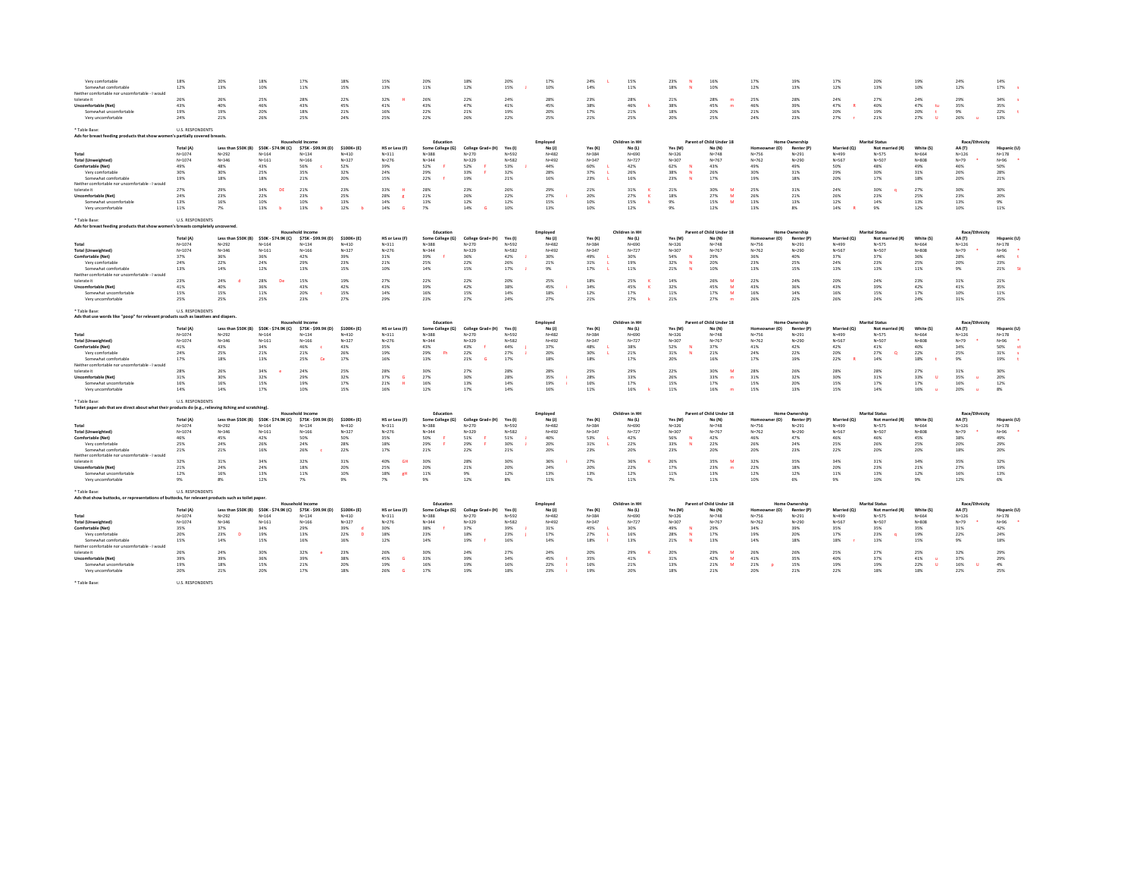| Very comfortable<br>Somewhat comfortable<br>Neither comfortable nor uncomfortable - I would            | 18%<br>12%              | 20%<br>13%          | 18%<br>10%            | 17%<br>11%              | 18%<br>15%        | 15%<br>13%          | 20%<br>11%       | 18%<br>12%        | 20%<br>15% | 17%<br>10% | 24%<br>14% | 15%<br>11%     | 23%<br>18% | 16%<br>10%               | 17%<br>12%            | 19%<br>13%            | 17%<br>12%  | 20%<br>13%            | 19%<br>10% | 24%<br>12%          | 14%<br>17%   |
|--------------------------------------------------------------------------------------------------------|-------------------------|---------------------|-----------------------|-------------------------|-------------------|---------------------|------------------|-------------------|------------|------------|------------|----------------|------------|--------------------------|-----------------------|-----------------------|-------------|-----------------------|------------|---------------------|--------------|
| tolerate it                                                                                            | 26%                     | 26%                 | 25%                   | 28%                     | 22%               | 32%                 | 26%              | 22%               | 24%        | 28%        | 23%        | 28%            | 21%        | 28%                      | 25%                   | 28%                   | 24%         | 27%                   | 24%        | 29%                 | 34%          |
| <b>Uncomfortable (Net)</b>                                                                             | 43%                     | 40%                 | 46%                   | 43%                     | 45%               | 41%                 | 43%              | 47%               | 41%        | 45%        | 38%        | 46%            | 38%        | 45%<br>m                 | 46%                   | 39%                   | 47%         | 40%                   | 47%<br>tu  | 35%                 | 35%          |
| Somewhat uncomfortabl<br>Very uncomfortable                                                            | 19%<br>24%              | 19%<br>21%          | 20%<br>26%            | 18%<br>25%              | 21%<br>24%        | 16%<br>25%          | 22%<br>22%       | 21%<br>26%        | 19%<br>22% | 20%<br>25% | 17%<br>21% | 21%<br>25%     | 18%<br>20% | 20%<br>25%               | 21%<br>24%            | 16%<br>23%            | 20%<br>27%  | 19%<br>21%            | 20%<br>27% | 9%<br>26%           | 22%<br>13%   |
| * Table Base:<br>Ads for breast feeding products that show women's partially covered breasts.          | <b>U.S. RESPONDENTS</b> |                     |                       |                         |                   |                     |                  |                   |            |            |            |                |            |                          |                       |                       |             |                       |            |                     |              |
|                                                                                                        |                         |                     |                       | <b>Household Income</b> |                   |                     | Education        |                   |            | Employee   |            | Children in HH |            | Parent of Child Under 18 |                       | Home Ownership        |             | <b>Marital Status</b> |            | Race/Ethnicity      |              |
|                                                                                                        | <b>Total (A)</b>        | Less than \$50K (B) | \$50K - \$74.9K (C)   | \$75K - \$99.9K (D)     | \$100K+(E)        | HS or Less (F)      | Some College (G) | College Grad+ (H) | Yes (I)    | No(1)      | Yes (K     | No (L)         | Yes (M)    | No (N)                   | Homeo<br>ner (O)      | Renter (P)            | Married (O) | Not married (R)       | White (S)  | AA (T)              | Hispanic (U  |
| Total                                                                                                  | $N = 1074$              | $N = 292$           | $N = 164$             | $N = 124$               | $N = 410$         | $N = 311$           | $N = 2.88$       | $N = 270$         | $N = 592$  | $N = 482$  | $N = 384$  | $N = 690$      | $N = 326$  | $N = 748$                | $N = 756$             | $N = 291$             | $N = 499$   | $N = 575$             | $N = 664$  | $N = 126$           | $N = 178$    |
| <b>Total (Unweighted)</b>                                                                              | $N = 1074$              | $N = 346$           | $N = 161$             | $N = 166$               | $N = 327$         | $N = 276$           | $N = 344$        | $N = 329$         | $N = 582$  | $N = 492$  | $N = 347$  | $N = 727$      | $N = 307$  | $N = 767$                | $N = 762$             | $N = 290$             | $N = 567$   | $N = 507$             | $N = 808$  | $N = 79$            | N=96         |
| Comfortable (Net)                                                                                      | 49%                     | 48%                 | 43%                   | 56%                     | 52%               | 39%                 | 52%              | 52%               | 53%        | 44%        | 60%        | 42%            | 62%        | 43%                      | 49%                   | 49%                   | 50%         | 48%                   | 49%        | 46%                 | 50%          |
| Very comfortable                                                                                       | 30%                     | 30%                 | 25%                   | 35%                     | 32%               | 24%                 | 29%              | 33%               | 3.2%       | 28%        | 37%        | 26%            | 38%<br>- M | 26%                      | 30%                   | 31%                   | 29%         | 30%                   | 31%        | 26%                 | 28%          |
| Somewhat comfortable                                                                                   | 19%                     | 18%                 | 18%                   | 21%                     | 20%               | 15%                 | 22%              | 19%               | 21%        | 16%        | 23%        | 16%            | 23%        | 17%                      | 19%                   | 18%                   | 20%         | 17%                   | 18%        | 20%                 | 21%          |
| Neither comfortable nor uncomfortable - I would                                                        |                         |                     |                       |                         |                   |                     |                  |                   |            |            |            |                |            |                          |                       |                       |             |                       |            |                     |              |
| tolerate it                                                                                            | 27%                     | 29%                 | 34%                   | 21%                     | 23%               | 33%                 | 28%              | 23%               | 26%        | 29%        | 21%        | 31%            | 21%        | 30%                      | 25%                   | 31%                   | 24%         | 30%                   | 27%        | 30%                 | 30%          |
| <b>Uncomfortable (Net)</b>                                                                             | 24%                     | 23%                 | 22%                   | 23%                     | 25%               | 28%<br>$\mathbf{r}$ | 21%              | 26%               | 22%        | 27%        | 20%        | 27%            | 18%        | 27%<br>M                 | 26%                   | 21%                   | 26%         | 23%                   | 25%        | 23%                 | 20%          |
| Somewhat uncomfortable                                                                                 | 13%                     | 16%                 | 10%                   | 10%                     | 13%               | 14%                 | 13%              | 12%               | 12%        | 15%        | 10%        | 15%            | 9%         | 15%<br>M                 | 13%                   | 13%                   | 12%         | 14%                   | 13%        | 13%                 | 9%           |
| Very uncomfortable                                                                                     | 11%                     | 7%                  | 13%                   | 13%                     | 12%<br>-ь         | 14%<br>G.           | 7%               | 14%               | 10%        | 13%        | 10%        | 12%            | 9%         | 12%                      | 13%                   | 8%                    | 14%         | 9%                    | 12%        | 10%                 | 11%          |
|                                                                                                        |                         |                     |                       |                         |                   |                     |                  |                   |            |            |            |                |            |                          |                       |                       |             |                       |            |                     |              |
| * Table Base:                                                                                          | <b>LLS RESPONDENTS</b>  |                     |                       |                         |                   |                     |                  |                   |            |            |            |                |            |                          |                       |                       |             |                       |            |                     |              |
| Ads for breast feeding products that show women's breasts completely uncovered                         |                         |                     |                       | <b>Household Income</b> |                   |                     | Education        |                   |            | Employee   |            | Children in HH |            | Parent of Child Under 18 |                       | Home Ownership        |             | <b>Marital Status</b> |            | Race/Ethnicit       |              |
|                                                                                                        | <b>Total (A)</b>        | Less than \$50K (B) | \$50K - \$74.9K (C)   | \$75K - \$99.9K (D)     | \$100K+(E)        | HS or Less (F)      | Some College (G) | College Grad+ (H) | Yes (I)    | No(1)      | Yes (K)    | No (L)         | Yes (M)    | No (N)                   | າer (O) -<br>Homi     | Renter (P)            | Married (O) | Not married (R)       | White (S)  | AA (T)              | Hispanic (U  |
| Total                                                                                                  | $N = 1074$              | $N = 292$           | $N = 164$             | $N = 124$               | $N = 410$         | $N = 311$           | $N = 388$        | $N = 270$         | $N = 592$  | $N = 482$  | $N = 384$  | $N = 690$      | $N = 326$  | $N = 748$                | $N = 756$             | $N = 291$             | $N = 499$   | $N = 570$             | $N = 664$  | $N = 126$           | $N = 178$    |
| <b>Total (Unweighted)</b>                                                                              | $N = 1074$              | $N = 346$           | $N = 161$             | $N = 166$               | $N = 327$         | $N = 276$           | $N = 344$        | $N = 329$         | $N = 582$  | $N = 492$  | $N = 347$  | $N = 727$      | $N = 307$  | $N = 767$                | $N = 762$             | $N = 290$             | $N = 567$   | $N = 507$             | $N = 808$  | $N = 79$            | $N = 96$     |
| Comfortable (Net)                                                                                      | 37%                     | 36%                 | 36%                   | 42%                     | 39%               | 31%                 | 39%              | 36%               | 42%        | 30%        | 49%        | 30%            | 54%        | 29%                      | 36%                   | 40%                   | 37%         | 37%                   | 36%        | 28%                 | 44%          |
| Very comfortable                                                                                       | 24%                     | 22%                 | 24%                   | 29%                     | 23%               | 21%                 | 25%              | 22%               | 26%        | 21%        | 31%        | 19%            | 32%<br>- M | 20%                      | 23%                   | 25%                   | 24%         | 23%                   | 25%        | 20%                 | 23%          |
| Somewhat comfortable                                                                                   | 13%                     | 14%                 | 12%                   | 13%                     | 15%               | 10%                 | 14%              | 15%               | 17%        | 9%         | 17%        | 11%            | 21%        | 10%                      | 13%                   | 15%                   | 13%         | 13%                   | 11%        | 9%                  | 21%          |
| Neither comfortable nor uncomfortable - I would                                                        |                         |                     |                       |                         |                   |                     |                  |                   |            |            |            |                |            |                          |                       |                       |             |                       |            |                     |              |
| tolerate it                                                                                            | 23%                     | 24%                 | 28%                   | 15%                     | 19%               | 27%                 | 22%              | 22%               | 20%        | 25%        | 18%        | 25%            | 14%        | 26%                      | 22%                   | 24%                   | 20%         | 24%                   | 23%        | 31%                 | 21%          |
| <b>Uncomfortable (Net)</b>                                                                             | 41%                     | 40%                 | 36%                   | 43%                     | 42%               | 43%                 | 39%              | 42%               | 38%        | 45%        | 34%        | 45%            | 32%        | 45%<br><b>M</b>          | 43%                   | 36%                   | 43%         | 39%                   | 42%        | 41%                 | 35%          |
| Somewhat uncomfortable                                                                                 | 15%                     | 15%                 | 11%                   | 20%                     | 15%               | 14%                 | 16%              | 15%               | 14%        | 18%        | 12%        | 17%            | 11%        | 17%<br>M                 | 16%                   | 14%                   | 16%         | 15%                   | 17%        | 10%                 | 11%          |
| Very uncomfortable                                                                                     | 25%                     | 25%                 | 25%                   | 23%                     | 27%               | 29%                 | 23%              | 27%               | 24%        | 27%        | 21%        | 27%            | 21%        | 27%<br>$\mathbf{m}$      | 26%                   | 22%                   | 26%         | 24%                   | 24%        | 31%                 | 25%          |
|                                                                                                        |                         |                     |                       |                         |                   |                     |                  |                   |            |            |            |                |            |                          |                       |                       |             |                       |            |                     |              |
| ' Table Base:                                                                                          | <b>LLS RESPONDENTS</b>  |                     |                       |                         |                   |                     |                  |                   |            |            |            |                |            |                          |                       |                       |             |                       |            |                     |              |
| Ads that use words like "poop" for relevant products such as laxatives and diapers.                    |                         |                     |                       |                         |                   |                     |                  |                   |            |            |            |                |            |                          |                       |                       |             |                       |            |                     |              |
|                                                                                                        |                         |                     |                       |                         |                   |                     |                  |                   |            |            |            |                |            | Parent of Child Under 18 |                       | Home Ownership        |             |                       |            | Race/Ethnicit       |              |
|                                                                                                        |                         |                     |                       | Household Income        |                   |                     | Education        |                   |            | Employee   |            | Children in HH |            |                          |                       |                       |             | <b>Marital Statu</b>  |            |                     |              |
|                                                                                                        | Total (A)               | Less than \$50K (B) | \$50K - \$74.9K (C)   | \$75K - \$99.9K (D)     | \$100K+(E)        | HS or Less (F)      | Some College (G) | College Grad+ (H) | Yes (I)    | No(1)      | Yes (K)    | No (L)         | Yes (M)    | No (N)                   | er (O)<br>Home        | Renter (P)            | Married (O) | Not married (R)       | White (S)  | AA (T)              | Hispanic (U) |
| Total                                                                                                  | $N = 1074$              | $N = 292$           | $N = 164$             | $N = 124$               | $N = 410$         | $N = 311$           | $N = 2.88$       | $N = 270$         | $N = 592$  | $N = 482$  | $N = 384$  | $N = 690$      | $N = 326$  | $N = 748$                | $N = 756$             | $N = 291$             | $N = 499$   | $N = 575$             | $N = 664$  | $N = 126$           | $N = 178$    |
| <b>Total (Unweighted)</b>                                                                              | $N = 1074$              | $N = 346$           | $N = 161$             | $N = 166$               | $N = 327$         | $N = 276$           | $N = 344$        | $N = 329$         | $N = 582$  | $N = 492$  | $N = 347$  | $N = 727$      | $N = 307$  | $N = 767$                | $N = 762$             | $N = 290$             | $N = 567$   | $N = 507$             | $N = 808$  | $N = 79$            | $N = 96$     |
| Comfortable (Net)                                                                                      | 41%                     | 43%                 | 34%                   | 46%                     | 43%               | 35%                 | 43%              | 43%               | 44%        | 37%        | 48%        | 38%            | 52%        | 37%                      | 41%                   | 42%                   | 42%         | 41%                   | 40%        | 34%                 | 50%<br>×     |
| Very comfortable                                                                                       | 24%                     | 25%                 | 21%                   | 21%                     | 26%               | 19%                 | 29%<br><b>P</b>  | 22%               | 27%        | 20%        | 30%        | 21%            | 31%        | 21%                      | 24%                   | 22%                   | 20%         | 27%<br>$\Omega$       | 22%        | 25%                 | 31%          |
| Somewhat comfortable                                                                                   | 17%                     | 18%                 | 13%                   | 25%<br>Ce               | 17%               | 16%                 | 13%              | 21%               | 17%        | 18%        | 18%        | 17%            | 20%        | 16%                      | 17%                   | 19%                   | 22%         | 14%                   | 18%        | 9%                  | 19%          |
| Neither comfortable nor uncomfortable - I would                                                        |                         |                     |                       |                         |                   |                     |                  |                   |            |            |            |                |            |                          |                       |                       |             |                       |            |                     |              |
| tolerate it                                                                                            | 28%                     | 26%                 | 34%                   | 24%                     | 25%               | 28%                 | 30%              | 27%               | 28%        | 28%        | 25%        | 29%            | 22%        | 30%<br>- 64              | 28%                   | 26%                   | 28%         | 28%                   | 27%        | 31%                 | 30%          |
| <b>Uncomfortable (Net)</b>                                                                             | 31%                     | 30%                 | 32%                   | 29%                     | 32%               | 37%<br>G            | 27%              | 30%               | 28%        | 35%        | 28%        | 33%            | 26%        | 33%<br>m                 | 31%                   | 32%                   | 30%         | 31%                   | 33%        | 35%<br>$\mathbf{u}$ | 20%          |
| Somewhat uncomfortable                                                                                 | 16%                     | 16%                 | 15%                   | 19%                     | 17%               | 21%<br>H            | 16%              | 13%               | 14%        | 19%        | 16%        | 17%            | 15%        | 17%                      | 15%                   | 20%                   | 15%         | 17%                   | 17%        | 16%                 | 12%          |
| Very uncomfortable                                                                                     | 14%                     | 14%                 | 17%                   | 10%                     | 15%               | 16%                 | 12%              | 17%               | 14%        | 16%        | 11%        | 16%            | 11%        | 16%<br>m                 | 15%                   | 13%                   | 15%         | 14%                   | 16%        | 20%                 | 8%           |
|                                                                                                        |                         |                     |                       |                         |                   |                     |                  |                   |            |            |            |                |            |                          |                       |                       |             |                       |            |                     |              |
| Table Base:                                                                                            | <b>U.S. RESPONDENTS</b> |                     |                       |                         |                   |                     |                  |                   |            |            |            |                |            |                          |                       |                       |             |                       |            |                     |              |
| Toilet paper ads that are direct about what their products do (e.g., relieving itching and scratching) |                         |                     |                       | sehold Income           |                   |                     | Education        |                   |            | Employer   |            | Children in HH |            | Parent of Child Under 18 |                       | <b>Home Ownership</b> |             | <b>Marital Statu</b>  |            | Race/Ethnicit       |              |
|                                                                                                        | Total (A)               | Less than \$50K (B) | \$50K - \$74.9K (C)   | \$75K - \$99.9K (D)     | \$100K+(E)        | HS or Less (F)      | Some College (G) | College Grad+ (H) | Yes (I)    | No (J)     | Yes (K)    | No (L)         | Yes (M)    | No (N)                   |                       | Renter (P)            | Married (O) | Not married (R)       | White (S)  | AA (T)              | Hispanic (U) |
| Total                                                                                                  | $N = 1074$              | $N = 292$           | $N = 164$             | $N = 124$               | $N = 410$         | $N = 311$           | $N = 388$        | $N = 270$         | $N = 592$  | $N = 482$  | $N = 384$  | $N = 690$      | $N = 226$  | $N = 748$                | $N = 756$             | $N = 291$             | $N = 499$   | $N = 570$             | $N = 664$  | $N = 126$           | $N = 178$    |
| <b>Total (Unweighted)</b>                                                                              | $N = 1074$              | $N = 346$           | $N = 161$             | $N = 166$               | $N = 327$         | $N = 276$           | $N = 3.44$       | $N = 329$         | $N = 582$  | $N = 492$  | $N = 347$  | $N = 727$      | $N = 307$  | $N = 767$                | $N = 762$             | $N = 290$             | $N = 567$   | $N = 507$             | $N = 808$  | $N = 79$            | $N = 96$     |
| Comfortable (Net)                                                                                      | 46%                     | 45%                 | 42%                   | 50%                     | 50%               | 35%                 | SO <sub>N</sub>  | 51%               | 51%        | 40%        | 53%        | 42%            | 56%        | 42%                      | 46%                   | 47%                   | 46%         | 46%                   | 45%        | 38%                 | 49%          |
| Very comfortable                                                                                       | 25%                     | 24%                 | 26%                   | 24%                     | 28%               | 18%                 | 29%              | 29%               | 30%        | 20%        | 31%        | 22%            | 33%        | 22%                      | 26%                   | 24%                   | 25%         | 26%                   | 25%        | 20%                 | 29%          |
| Somewhat comfortable                                                                                   | 21%                     | 21%                 | 16%                   | 26%                     | 22%               | 17%                 | 21%              | 22%               | 21%        | 20%        | 23%        | 20%            | 23%        | 20%                      | 20%                   | 23%                   | 22%         | 20%                   | 20%        | 18%                 | 20%          |
| Neither comfortable nor uncomfortable - I would                                                        |                         |                     |                       |                         |                   |                     |                  |                   |            |            |            |                |            |                          |                       |                       |             |                       |            |                     |              |
| tolerate it                                                                                            | 32%                     | 31%                 | 34%                   | 32%                     | 31%               | 40%<br>-GH          | 30%              | 28%               | 30%        | 36%        | 27%        | 36%            | 26%        | 35%                      | 32%                   | 35%                   | 3.4%        | 31%                   | 34%        | 35%                 | 32%          |
| <b>Uncomfortable (Net)</b>                                                                             | 21%                     | 24%                 | 24%                   | 18%                     | 20%               | 25%                 | 20%              | 21%               | 20%        | 24%        | 20%        | 22%            | 17%        | 23%<br>m                 | 22%                   | 18%                   | 20%         | 23%                   | 21%        | 27%                 | 19%          |
| Somewhat uncomfortabl                                                                                  | 12%                     | 16%                 | 13%                   | 11%                     | 10%               | 18%<br>eH           | 11%              | 9%                | 12%        | 13%        | 13%        | 12%            | 11%        | 13%                      | 12%                   | 12%                   | 11%         | 13%                   | 12%        | 16%                 | 13%          |
| Very uncomfortable                                                                                     | 9%                      | 8%                  | 12%                   | 7%                      | 9%                | 7%                  | 9%               | 12%               | 8%         | 11%        | 7%         | 11%            | 7%         | 11%                      | 10%                   | 6%                    | 9%          | 10%                   | 9%         | 12%                 | 6%           |
|                                                                                                        |                         |                     |                       |                         |                   |                     |                  |                   |            |            |            |                |            |                          |                       |                       |             |                       |            |                     |              |
| ' Table Base:                                                                                          | <b>U.S. RESPONDENTS</b> |                     |                       |                         |                   |                     |                  |                   |            |            |            |                |            |                          |                       |                       |             |                       |            |                     |              |
| Ads that show buttocks, or representations of buttocks, for relevant products such as toilet paper.    |                         |                     |                       | Household Income        |                   |                     | Education        |                   |            | Employee   |            | Children in HH |            | Parent of Child Under 18 |                       | Home Ownership        |             | <b>Marital Status</b> |            | Race/Ethnicity      |              |
|                                                                                                        | Total (A)               | Less than \$50K (B) | \$50K - \$74.9K (C)   | \$75K - \$99.9K (D)     | \$100K+(E)        | HS or Less (F)      | Some College (G) | College Grad+ (H) | Yes (I)    | No (J)     | Yes (K)    | No (L)         | Yes (M)    | No (N)                   | (O)                   | Renter (P)            | Married (Q) | Not married (R)       | White (S)  | AA (T)              | Hispanic (U) |
| Total                                                                                                  | $N = 1074$              | $N=292$             | $N = 164$             | $N = 134$               | $N = 410$         | $N = 311$           | $N = 2.88$       | $N = 270$         | $N = 592$  | $N = 482$  | $N = 3.84$ | $N = 690$      | $N = 326$  | $N = 748$                | $N=756$               | $N = 291$             | $N = 499$   | $N = 575$             | $N = 664$  | $N = 126$           | $N = 178$    |
| <b>Total (Unweighted)</b>                                                                              | $N = 1074$              | $N = 346$           |                       | $N = 166$               | $N = 327$         | $N = 276$           | $N = 344$        | $N = 329$         | $N = 582$  | $N = 492$  | $N = 347$  | $N = 727$      | $N = 307$  | $N = 767$                | $N = 762$             | $N = 290$             | N=567       | $N = 507$             | $N = 808$  | $N=79$              | $N = 96$     |
| Comfortable (Net)                                                                                      | 35%                     | <b>37%</b>          | $N = 161$<br>$-2.4\%$ | 29%                     | 39%<br>-d         | 30%                 | 3.8%             | 37%               | <b>39%</b> | 31%        | 45%        | 30%            | 49%        | 29%                      | 34%                   | 39%                   | 35%         | 35%                   | 35%        | 31%                 | 42%          |
| Very comfortable                                                                                       | 20%                     | 23%<br>n            | 19%                   | 13%                     | 22%<br>$\sqrt{2}$ | 18%                 | 23%              | 18%               | 23%        | 17%        | 27%        | 16%            | 28%        | 17%                      | 19%                   | 20%                   | 17%         | 23%                   | 19%        | 22%                 | 24%          |
| Somewhat comfortable                                                                                   | 15%                     | 14%                 |                       | 16%                     | 16%               |                     | 14%              |                   | 16%        | 14%        |            |                |            | 13%                      | 14%                   | 18%                   |             | 13%                   |            | 9%                  | 18%          |
| Neither comfortable nor uncomfortable - I would                                                        |                         |                     | 15%                   |                         |                   | 12%                 |                  | 19%               |            |            | 18%        | 13%            | 21%        |                          |                       |                       | 18%         |                       | 15%        |                     |              |
| tolerate it                                                                                            | 26%                     | 24%                 | 30%                   | 32%                     | 23%               | 26%                 | 30%              | 24%               | 27%        | 24%        | 20%        | 29%            | 20%        | 29%                      | 26%                   | 26%                   | 25%         | 27%                   | 25%        | 32%                 | 29%          |
| <b>Uncomfortable (Net)</b>                                                                             | 39%                     | 39%                 | 36%                   | 39%                     | 38%               | 45%<br>G            | 33%              | 39%               | 34%        | 45%        | 35%        | 41%            | 31%        | 42%<br>M                 | 41%                   | 35%                   | 40%         | 37%                   | 41%        | 37%                 | 29%          |
| Somewhat uncomfortabl                                                                                  | 19%                     | 18%                 | 15%                   | 21%                     | 20%               | 19%                 | 16%              | 19%               | 16%        | 22%        | 16%        | 21%            | 13%        | 21%<br>M                 | 21%<br>$\overline{D}$ | 15%                   | 19%         | 19%                   | 22%        | 16%<br><b>U</b>     | 4%           |
| Very uncomfortable                                                                                     | 20%                     | 21%                 | 20%                   | 17%                     | 18%               | 26%<br>G.           | 17%              | 19%               | 18%        | 23%        | 19%        | 20%            | 18%        | 21%                      | 20%                   | 21%                   | 22%         | 18%                   | 18%        | 22%                 | 25%          |
| * Table Base:                                                                                          | <b>U.S. RESPONDENTS</b> |                     |                       |                         |                   |                     |                  |                   |            |            |            |                |            |                          |                       |                       |             |                       |            |                     |              |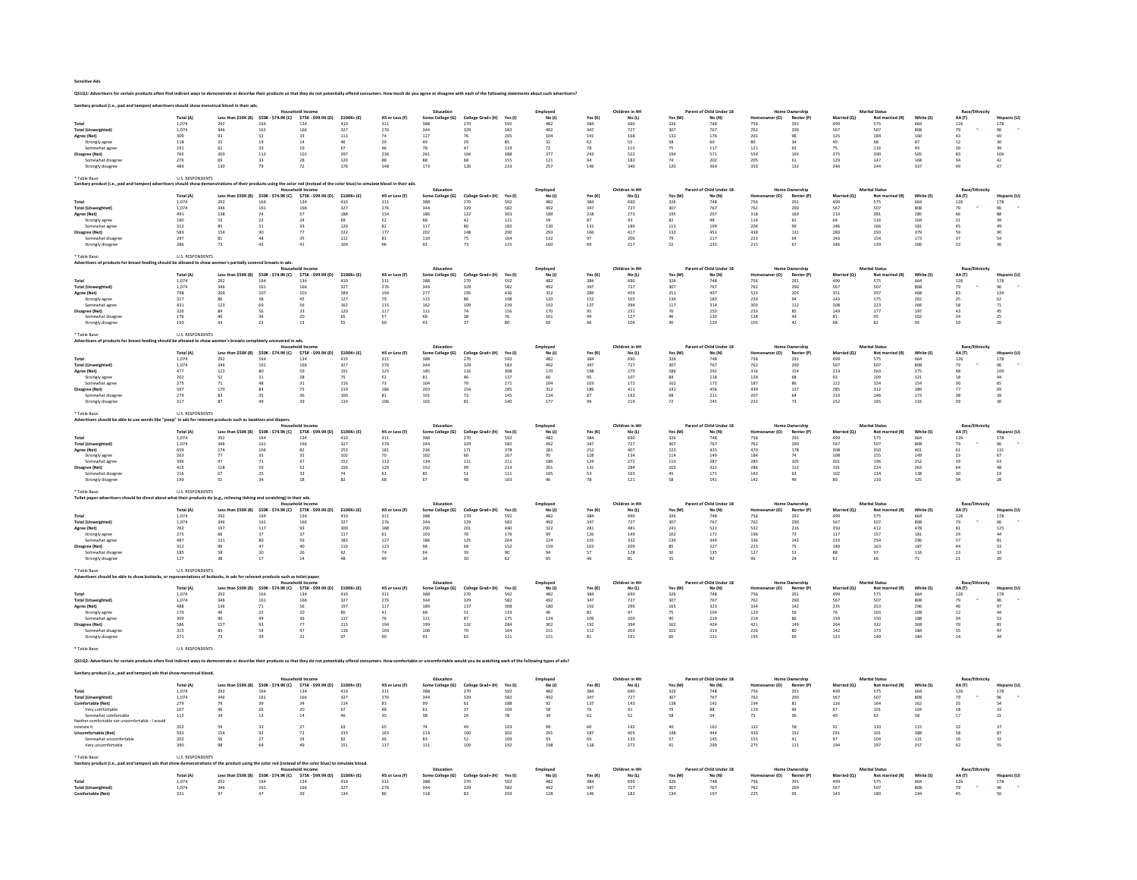| <b>Sensitive Ads</b> |  |  |
|----------------------|--|--|
|                      |  |  |

## QS1Q1: Advertisers for certain products often find indirect ways to demonstrate or describe their products so that they do not potentially offend consumers. How much do you agree or disagree with each of the following stat

|                                                                |                                                                                                         |                                                                                          |                                           |                                         |                                           |                                           | Education                               |                                                               |                     | Employed           |                | Children in HH           |                 | of Child Under 18                  |                    |                                    |                           | <b>Marital Status</b>                     |                  | Race/              |                                          |
|----------------------------------------------------------------|---------------------------------------------------------------------------------------------------------|------------------------------------------------------------------------------------------|-------------------------------------------|-----------------------------------------|-------------------------------------------|-------------------------------------------|-----------------------------------------|---------------------------------------------------------------|---------------------|--------------------|----------------|--------------------------|-----------------|------------------------------------|--------------------|------------------------------------|---------------------------|-------------------------------------------|------------------|--------------------|------------------------------------------|
|                                                                | Total (A)                                                                                               | Less than \$50K (B)                                                                      | \$50K - \$74.9K (C)                       | \$75K - \$99.9K (D)                     | \$100K+(E)                                | HS or Less (F)                            | Some College (G)                        | College Grad+ (H)                                             | Yes (I)             | No(1)              | Yes (K)        | No (L)                   | Yes (M          | No (N)                             | (O)                | Renter (P)                         | Married (Q)               | Not ma                                    | White (S)        | AA (T)             |                                          |
| Total                                                          | 1.074                                                                                                   | 292                                                                                      | 164                                       | 134                                     | 410                                       | 311                                       | 388                                     | 270                                                           | 592                 | 482                | 384            | 690                      | 326             | 748                                | 756                | 291                                | 499                       | 575                                       | 664              |                    |                                          |
| <b>Total (Unweighted)</b>                                      | 1,074                                                                                                   | 346                                                                                      | 161                                       | 166                                     | 327                                       | 276                                       | 344                                     | 329                                                           | 582                 | 492                | 347            | 727                      | 307             | 767                                | 762                | $^{290}$                           | 567                       | 507                                       | 808              | $\frac{126}{79}$   | $\frac{178}{96}$                         |
| Agree (Net)                                                    | 309                                                                                                     | 93                                                                                       | 52                                        | 33                                      | 113                                       | 74                                        | 127                                     | 76                                                            | 205                 | 104                | 141            | 168                      | 132             | 176                                | 201                | 98                                 | 125                       | 184                                       | 160              | 43                 | 69                                       |
| Strongly agree                                                 | 118                                                                                                     | 31                                                                                       | 19                                        | 14                                      | 46                                        | 29                                        | 49                                      | 29                                                            | 85                  | 32                 | 62             | SS.                      | 58              | 60                                 | 80                 | 34                                 | 49                        | 68                                        | 67               | 12                 | 30                                       |
| Somewhat agree                                                 | 191                                                                                                     | 62                                                                                       | 33                                        | 19                                      | 67                                        | 46                                        | 78                                      | 47                                                            | 119                 | $\scriptstyle{72}$ | 78             | 113                      | 75              | 117                                | $121\,$            | 63                                 | $7\mathrm{S}$             | 116                                       | 93               |                    | 39                                       |
| Disagree (Net)                                                 | 765                                                                                                     | 200                                                                                      | 112                                       | 101                                     | 297                                       | 236                                       | 261                                     | 194                                                           | 388                 | 377                | 243            | 522                      | 194             | 571                                | 554                | 193                                | 375                       | 390                                       | 505              | 83                 | $\begin{array}{c} 109 \\ 42 \end{array}$ |
| Somewhat disagree                                              | 276                                                                                                     | 69<br>130                                                                                | 33                                        | 28                                      | 120                                       | 88<br>148                                 | 88                                      | 68<br>126                                                     | 155                 | 121                | 94<br>149      | 182                      | 74              | 202                                | 205                | 61                                 | 129                       | 147<br>244                                | 168              | 34<br>49           | 67                                       |
| Strongly disagree                                              | 489                                                                                                     |                                                                                          | 79                                        | 72                                      | 176                                       |                                           | 173                                     |                                                               | 233                 | 257                |                | 340                      | 120             | 369                                | 350                | 132                                | 246                       |                                           | 337              |                    |                                          |
| able Base                                                      | <b>U.S. RESPONDENTS</b>                                                                                 |                                                                                          |                                           |                                         |                                           |                                           |                                         |                                                               |                     |                    |                |                          |                 |                                    |                    |                                    |                           |                                           |                  |                    |                                          |
|                                                                | should show d                                                                                           |                                                                                          |                                           | ing the color red finstead              | e color blue) to s                        | te blood in their ads                     |                                         |                                                               |                     |                    |                |                          |                 |                                    |                    |                                    |                           |                                           |                  |                    |                                          |
|                                                                |                                                                                                         |                                                                                          |                                           | <b>Household Income</b>                 |                                           |                                           | Education                               |                                                               |                     | Employee           |                | Children in HH           |                 | Parent of Child Under 18           |                    | <b>Home Ownership</b>              |                           | <b>Marital Status</b>                     |                  | Race/E             |                                          |
|                                                                | Total (A)                                                                                               | Less than \$50K (B)                                                                      | \$50K - \$74.9K (C)                       | \$75K - \$99.9K (D)                     | \$100K+(E)                                | HS or Less (F                             | te College (G)                          | College Grad+ (H)                                             | Yes $(l)$           | No(1)              | Yes (K)        | No (L)                   | Yes (M          | No (N)                             |                    | Renter (P                          | Married (O)               | Not n<br>ed (R)                           | White (S)        | AA (T)             |                                          |
| Total                                                          | 1.074                                                                                                   | 292                                                                                      |                                           | 134                                     | 410                                       | 311                                       | 388                                     | 270                                                           | 592                 | 482                | 384            | 690                      | 326             | 748                                | 756                | 291                                | 499                       | 575                                       | 664              | 126                | 178                                      |
| <b>Total (Unweighted)</b>                                      | 1,074                                                                                                   | 346                                                                                      | $\begin{array}{c} 164 \\ 161 \end{array}$ | 166                                     | 327                                       | 276                                       | 344                                     | 329                                                           | 582                 | 492                | 347            | 727                      | 307             | 767                                | 762                | 290                                | 567                       | 507                                       | $808\,$          | 79                 |                                          |
| Agree (Net)                                                    | $\frac{491}{180}$                                                                                       | 138                                                                                      | 74                                        | 57                                      | 188                                       | 134                                       | 186                                     | $122\,$                                                       | 303                 | 189                | 218            | 273                      | 195             | 297                                | 318                | 160                                | 210                       | $\begin{array}{c} 281 \\ 116 \end{array}$ | 285              | 66                 | 88                                       |
| Strongly agree                                                 |                                                                                                         | 53                                                                                       | 22                                        | $^{24}$                                 | 69                                        | 52                                        | 68                                      | 42                                                            | 121                 | 59                 | 87             | 93                       | 82              | 98                                 | 114                | $61\,$                             | 64                        |                                           | 104              | 21                 | 39                                       |
| Somewhat agree                                                 | $_{\rm 312}$                                                                                            | 85                                                                                       | ${\sf S1}$<br>00                          | 33                                      | 120                                       | $^{\rm 82}$                               | 117                                     | 80                                                            | $182\,$             | 130                | $131\,$        | 180                      | 113             | 199                                | 204                | 99                                 | 146                       | 166                                       | $\bf 181$        | 45                 | 49                                       |
| Disagree (Net)                                                 | 583                                                                                                     | 154                                                                                      | 48                                        | 77                                      | 222<br>$112\,$                            | 177                                       | 202<br>110                              | 148                                                           | 290<br>164          | 293                | 166<br>97      | 417<br>200               | 132             | 451                                | 438                | 131                                | 289                       | 293                                       | 379              | 59<br>37           | $\frac{90}{54}$                          |
| Somewhat disagree<br>Strongly disagree                         | 297<br>286                                                                                              | 81<br>72                                                                                 | 42                                        | 35<br>41                                | 109                                       | 81<br>96                                  | 92                                      | 75<br>73                                                      | 125                 | 132<br>160         | 69             | 217                      | 79<br>52        | 217<br>233                         | ${\bf 223}$<br>215 | 64<br>67                           | $\bf 143$<br>146          | 154<br>139                                | $173\,$<br>206   | 23                 | 36                                       |
|                                                                |                                                                                                         |                                                                                          |                                           |                                         |                                           |                                           |                                         |                                                               |                     |                    |                |                          |                 |                                    |                    |                                    |                           |                                           |                  |                    |                                          |
| Table Base                                                     | <b>U.S. RESPONDENTS</b>                                                                                 |                                                                                          |                                           |                                         |                                           |                                           |                                         |                                                               |                     |                    |                |                          |                 |                                    |                    |                                    |                           |                                           |                  |                    |                                          |
| <b>Advertisers of products fo</b>                              | be allowed to show                                                                                      |                                                                                          | en's partially covered breasts in ads     |                                         |                                           |                                           |                                         |                                                               |                     |                    |                |                          |                 |                                    |                    |                                    |                           |                                           |                  |                    |                                          |
|                                                                |                                                                                                         |                                                                                          |                                           |                                         |                                           |                                           | Education                               |                                                               |                     | Employee           |                | Children in HH           |                 | Parent of Child Under 18           |                    |                                    |                           | <b>Marital Status</b>                     |                  | Race/              |                                          |
|                                                                | <b>Total (A)</b>                                                                                        | Less than \$50K (B)                                                                      | \$50K - \$74.9K (C)                       | \$75K - \$99.9K (D)                     | \$100K+(E)                                | HS or Less (F                             | Some College (G)                        | College Grad+ (H)                                             | Yes (I)             | No(1)              | Yes (K)        | No (L)                   | Yes (M          | No (N)                             | (0)                | Renter (P                          | Married (O)               | $\frac{Notm}{575}$<br>ied (R)             | White (S)        | AA (T)             |                                          |
|                                                                | 1,074                                                                                                   | 292                                                                                      | 164                                       | 134                                     | 410                                       | 311                                       | 388                                     | 270                                                           | 592                 | 482                | 384            | 690                      | 326             | 748                                | 756                | 291                                | 499                       |                                           | 664              | 126                | 178                                      |
| <b>Total (Unweighted)</b>                                      | 1,074                                                                                                   | 346                                                                                      | ${\bf 161}$                               | 166                                     | $_{\rm 327}$                              | $_{\rm 276}$                              | 344                                     | 329                                                           | 582                 | 492                | 347            | 727                      | 307             | 767                                | 762                | 290                                | 567                       | 507                                       | 808              | 79                 | 96                                       |
| Agree (Net)                                                    | 748                                                                                                     | 209                                                                                      | 107                                       | 101                                     | 289                                       | 194                                       | 277                                     | 195                                                           | 436                 | 312                | 289            | 459                      | 251             | 497                                | 523                | 205                                | 351                       | 397                                       | 468              | 83                 | 134                                      |
| Strongly agree<br>Somewhat agree                               | 317                                                                                                     | 123                                                                                      | 38<br>69                                  | 45<br>56                                | 127<br>162                                | 79<br>115                                 | 115<br>162                              | 86<br>109                                                     | 198<br>239          | 120<br>192         | 152<br>137     | 165<br>294               | 134<br>117      | 183<br>314                         | 220<br>303         | 94<br>112                          | 143<br>208                | 175<br>223                                | 202<br>266       | 25<br>58           | $62\,$                                   |
| Disagree (Net)                                                 | $\bf 431$<br>326                                                                                        | 84                                                                                       | 56                                        | 33                                      | 120                                       | 117                                       | 111                                     | 74                                                            | 156                 | 170                | 95             | 231                      | 76              | 250                                | 233                | 85                                 | 149                       | 177                                       | 197              | 43                 | $71$ 45                                  |
| newhat disagre                                                 | $176\,$                                                                                                 | 40                                                                                       | 34                                        | 20                                      | 65                                        | 57                                        | 68                                      | 38                                                            | 76                  | 101                | 49             | 127                      | 46              | 130                                | $_{\rm 128}$       | 43                                 | $^{\rm 81}$               | 95                                        | ${\bf 102}$      | $\bf 24$           | $25\,$                                   |
| Strongly disagree                                              | 150                                                                                                     | 43                                                                                       | 23                                        | 13                                      | 57                                        | 60                                        | 43                                      | 37                                                            | 80                  | 69                 | 46             | 104                      | 20 <sub>1</sub> | 120                                | 105                | 42                                 | 68                        | 82                                        | 95               | 19                 | 20                                       |
|                                                                |                                                                                                         |                                                                                          |                                           |                                         |                                           |                                           |                                         |                                                               |                     |                    |                |                          |                 |                                    |                    |                                    |                           |                                           |                  |                    |                                          |
| Table Base                                                     | <b>U.S. RESPONDENTS</b>                                                                                 |                                                                                          |                                           |                                         |                                           |                                           |                                         |                                                               |                     |                    |                |                          |                 |                                    |                    |                                    |                           |                                           |                  |                    |                                          |
|                                                                | e allowed to show wor                                                                                   |                                                                                          | vered in ads                              |                                         |                                           |                                           |                                         |                                                               |                     |                    |                |                          |                 |                                    |                    |                                    |                           |                                           |                  |                    |                                          |
|                                                                |                                                                                                         |                                                                                          |                                           |                                         |                                           |                                           | Educatio                                |                                                               |                     |                    |                | Children in HH           |                 | nt of Child Under 18               |                    |                                    |                           | <b>Marital Statu</b>                      |                  | Race/Et            |                                          |
|                                                                | Total (A)                                                                                               | Less than \$50K (B)                                                                      | \$50K - \$74.9K (C)                       | \$75K - \$99.9K (D)                     | $$100K + [F]$                             | <b>HS or Less (F</b>                      | Some College (G)                        | College Grad+ (H)                                             | Yes (I)             | $No$ $(1)$         | Yes (K)        | No (I)                   | Yes (M          | No (N)                             | (0)                | <b>Renter (P)</b>                  | Married (O)               | Not m<br>ied (R)                          | White (S)        | AA (T)             |                                          |
| Tota<br><b>Total (Unweighted)</b>                              | 1,074                                                                                                   | 292<br>346                                                                               | 164                                       | 134<br>166                              | 410<br>327                                | 311<br>276                                | 388<br>344                              | 270                                                           | 592<br>582          | 482<br>492         | 384<br>347     | 690<br>727               | 326<br>307      | 748<br>767                         | 756<br>762         | 291<br>290                         | 499<br>567                | 575<br>507                                | 664<br>808       | 126                | 178                                      |
| Agree (Net)                                                    | $\frac{1,074}{477}$                                                                                     | 122                                                                                      | 161                                       | 59                                      |                                           | 125                                       | 185                                     | $\begin{array}{c} 329 \\ 116 \end{array}$                     | 308                 |                    |                | 279                      | 186             |                                    | 316                | 154                                | 214                       | 263                                       | 275              | 79                 | $\frac{96}{109}$                         |
| Strongly agree                                                 | ${\bf 202}$                                                                                             | ${\sf S2}$                                                                               | 80<br>31                                  | 28                                      | 191<br>75                                 | 52                                        | $^{\rm 81}$                             | 46                                                            | $137\,$             | 170<br>66          | 198<br>95      | 107                      | 84              | 292<br>118                         | 129                | 68                                 | 93                        | 109                                       | $121\,$          | 48<br>$18\,$       | $_{\rm 44}$                              |
| Somewhat agree                                                 | 275                                                                                                     | 71                                                                                       | 48                                        | 31                                      | 116                                       | 73                                        | 104                                     | 70                                                            | 171                 | 104                | 103            | 172                      | 102             | 173                                | 187                | 86                                 | 122                       | 154                                       | 154              | 30 <sub>0</sub>    | 65                                       |
| Disagree (Net)                                                 | 597                                                                                                     | 170                                                                                      | 84                                        | 75                                      | 219                                       | 186                                       | 203                                     | 154                                                           | 285                 | 312                | 186            | 411                      | 141             | 456                                | 439                | 137                                | 285                       | 312                                       | 389              | 77                 | 69                                       |
| Somewhat disagre                                               | 279                                                                                                     | 83                                                                                       | 35                                        | 36                                      | 100                                       | $^{\rm 81}$                               | 101                                     | 73                                                            | $14\mathrm{S}$      | 134                | 87             | 192                      | 68              | $_{\rm 211}$                       | 207                | 64                                 | 133                       | 146                                       | 173              | 38                 | 39                                       |
| Strongly disagree                                              | 317                                                                                                     |                                                                                          |                                           | 39                                      | 119                                       | 106                                       | 102                                     | 81                                                            | 140                 | 177                | 99             | 219                      | 72              | 245                                | 232                | 73                                 | 152                       | 165                                       | 216              | 39                 | 30                                       |
|                                                                |                                                                                                         |                                                                                          |                                           |                                         |                                           |                                           |                                         |                                                               |                     |                    |                |                          |                 |                                    |                    |                                    |                           |                                           |                  |                    |                                          |
| * Table Rase                                                   | <b>IIS RESPONDENTS</b>                                                                                  |                                                                                          |                                           |                                         |                                           |                                           |                                         |                                                               |                     |                    |                |                          |                 |                                    |                    |                                    |                           |                                           |                  |                    |                                          |
|                                                                | in ads for re                                                                                           |                                                                                          | and diapers                               |                                         |                                           |                                           |                                         |                                                               |                     |                    |                |                          |                 |                                    |                    |                                    |                           |                                           |                  |                    |                                          |
|                                                                |                                                                                                         |                                                                                          |                                           |                                         |                                           |                                           | Education                               |                                                               |                     | Employed           |                | Children in HH           |                 | Parent of Child Under 18           |                    |                                    |                           | <b>Marital Status</b>                     |                  | <b>Race/Fth</b>    |                                          |
|                                                                | Total (A)                                                                                               | Less than \$50K (B)                                                                      | \$50K - \$74.9K (C)                       | \$75K - \$99.9K (D)                     | \$100K+(E)                                | <b>HS or Less (F</b>                      | Some College (G)                        | College Grad+ (H)                                             | Yes (I)             | No(1)              | Yes (K)        | No (L)                   | Yes (M)         | No (N)                             | (0)                | Renter (P)                         | Married (Q)               | Not ma<br>ried (R)                        | White (S)        | AA (T)             | Hispani                                  |
| Total                                                          | 1,074                                                                                                   | 292                                                                                      | 164                                       | 134                                     | 410                                       | 311                                       | 388                                     | 270                                                           | 592                 | 482                | 384            | 690                      | 326             | 748                                | 756                | 291                                | 499                       | 575                                       | 664              | $126\,$            | $_{\rm 178}$                             |
| <b>Total (Unweighted)</b>                                      | 1.074                                                                                                   | 346<br>174                                                                               | 161<br>104                                | 166                                     | 327                                       | 276                                       | 344                                     | 329                                                           | 582                 | 492                | 347            | 727                      | 307             | 767                                | 762                | 290                                | 567<br>308                | 507                                       | 808              | 79                 | $\begin{array}{c} 96 \\ 131 \end{array}$ |
| Agree (Net)                                                    | 659                                                                                                     | $\overline{\mathcal{D}}$                                                                 | 33                                        | $\bf 82$                                | 253<br>102                                | 181                                       | 236                                     | 171<br>60                                                     | 378<br>167          | 281<br>95          | 252<br>128     | 407<br>134               | 223<br>114      | 435<br>149                         | 470<br>184         | 178<br>74                          |                           | 350                                       | 401<br>149       | 61<br>23           |                                          |
| Strongly agree                                                 | $263\,$<br>396                                                                                          |                                                                                          |                                           | 35<br>47                                | 152                                       | 70<br>112                                 | $102\,$<br>134                          | 111                                                           |                     | 186                |                | 272                      |                 |                                    |                    | 105                                | 108<br>201                | $155\,$                                   | 252              |                    | $67$<br>$63$                             |
| Somewhat agree<br>Disagree (Net)                               | $415\,$                                                                                                 | 97<br>$_{\rm 118}$                                                                       | 71<br>59                                  | 52                                      | $156\,$                                   | 129                                       | $152\,$                                 | 99                                                            | 211<br>$_{\rm 214}$ | $\bf{201}$         | 124<br>131     | 284                      | 110<br>103      | 287<br>$_{\rm 312}$                | 285<br>286         | 112                                | 191                       | 196<br>$_{\rm 224}$                       | ${\bf 263}$      | 39<br>64           | $_{\rm 48}$                              |
| Somewhat disagre                                               | 216                                                                                                     | 67                                                                                       | 25                                        | 33                                      | 74                                        |                                           |                                         |                                                               | 111                 | 105                | 53             | 163                      | 45              |                                    | 143                | 63                                 | 102                       | 114                                       | 138              | 30 <sub>0</sub>    |                                          |
| Strongly disagree                                              | 199                                                                                                     | 51                                                                                       |                                           | 18                                      | 82                                        | $\begin{array}{c} 61 \\ 68 \end{array}$   | $\begin{array}{c} 85 \\ 67 \end{array}$ | $\begin{array}{c} 51 \\ 48 \end{array}$                       | 103                 | 96                 | 78             | 121                      | 58              | $\frac{171}{141}$                  | 142                | 49                                 | 89                        | 110                                       | 125              | 34                 | $\frac{19}{28}$                          |
|                                                                |                                                                                                         |                                                                                          |                                           |                                         |                                           |                                           |                                         |                                                               |                     |                    |                |                          |                 |                                    |                    |                                    |                           |                                           |                  |                    |                                          |
| Table Base                                                     | <b>U.S. RESPONDENTS</b>                                                                                 |                                                                                          |                                           |                                         |                                           |                                           |                                         |                                                               |                     |                    |                |                          |                 |                                    |                    |                                    |                           |                                           |                  |                    |                                          |
|                                                                |                                                                                                         |                                                                                          |                                           |                                         |                                           |                                           |                                         |                                                               |                     |                    |                |                          |                 |                                    |                    |                                    |                           |                                           |                  |                    |                                          |
|                                                                |                                                                                                         |                                                                                          |                                           | old Inco                                |                                           |                                           | Education                               |                                                               |                     | Employed           |                | Children in HH           |                 | Parent of Child Under 18           |                    |                                    |                           | <b>Marital Status</b>                     |                  | Race/Ft            |                                          |
|                                                                | Total (A)                                                                                               | Less than \$50K (B)                                                                      | \$50K - \$74.9K (C)                       | \$75K - \$99.9K (D)                     | $$100K + (E)$                             | <b>HS or Less (F</b>                      | Some College (G)                        | College Grad+ (H)                                             | Yes (I)             | No(1)              | Yes (K)        | No (L)                   | Yes (M)         | No (N)                             | (0)                | Renter (P)                         | Married (Q)               | Not married (R)                           | White (S)        | AA (T)             |                                          |
| Total                                                          | 1,074                                                                                                   | 292<br>346                                                                               | $\begin{array}{c} 164 \\ 161 \end{array}$ | 134                                     | $410\,$                                   | $_{\rm 311}$                              | 388                                     | 270<br>329                                                    | 592                 | 482                | 384            | 690<br>727               | 326             | 748                                | 756                | 291                                | 499                       | 575                                       | 664              | 126                | $_{\rm 178}$                             |
| <b>Total (Unweighted)</b>                                      | 1.074                                                                                                   |                                                                                          |                                           | 166                                     | 327                                       | 276                                       | 344                                     |                                                               | 582                 | 492                | 347            |                          | 307             | 767                                | 762                | 290                                | <b>S67</b>                | 507                                       | 808              | 79                 | 96                                       |
| Agree (Net)                                                    | 762                                                                                                     | 197<br>66                                                                                | 117<br>37                                 | 93<br>37                                | 300                                       | 188                                       | 290<br>103                              | 201                                                           | 440<br>176          | 322                | 281<br>126     | 481<br>149               | 241<br>102      | 521                                | 532                | 216<br>73                          | 350<br>117                | 412                                       | 478<br>181       | 81<br>24           | $125\,$                                  |
| Strongly agree<br>Somewhat agree                               | 275<br>487                                                                                              | 131                                                                                      | 80                                        | 56                                      | $\begin{array}{c} 117 \\ 183 \end{array}$ | $\frac{61}{127}$                          | 186                                     | $\frac{76}{125}$                                              | 264                 | 99<br>224          | 155            | 332                      | 139             | 172<br>349                         | 196<br>336         | 143                                | 233                       | $\frac{157}{254}$                         | 296              | 57                 | $\begin{array}{c} 44 \\ 81 \end{array}$  |
| <b>Disagree (Net)</b>                                          | $_{\rm 312}$                                                                                            |                                                                                          | 47                                        | 40                                      | $110\,$                                   | $123\,$                                   | 98                                      | 68                                                            | $152\,$             | 159                | 103            | 209                      | 85              | $227\,$                            | ${\bf 223}$        | 75                                 | 149                       | 163                                       | ${\bf 187}$      | 44                 |                                          |
| Somewhat disagree                                              | 185                                                                                                     | 58                                                                                       | 30                                        | 26                                      | 62                                        | 74                                        | 64                                      | 39                                                            | 90                  | 94                 | 57             | 128                      | 50              | 135                                | 127                | 51                                 | 88                        | 97                                        | 116              | 23                 | $\frac{53}{33}$                          |
| Strongly disagree                                              | 127                                                                                                     |                                                                                          |                                           | 14                                      | 48                                        | 49                                        | 34                                      |                                                               | $62\,$              | .<br>65            | 46             | 81                       | 35              | 92                                 |                    | $^{24}$                            | 61                        | 66                                        | 71               | $_{21}$            | $\overline{20}$                          |
|                                                                |                                                                                                         |                                                                                          |                                           |                                         |                                           |                                           |                                         |                                                               |                     |                    |                |                          |                 |                                    |                    |                                    |                           |                                           |                  |                    |                                          |
| <b>Table Base</b>                                              | <b>U.S. RESPONDENTS</b>                                                                                 |                                                                                          |                                           |                                         |                                           |                                           |                                         |                                                               |                     |                    |                |                          |                 |                                    |                    |                                    |                           |                                           |                  |                    |                                          |
|                                                                |                                                                                                         |                                                                                          |                                           | uch as toilet pape                      |                                           |                                           |                                         |                                                               |                     |                    |                |                          |                 |                                    |                    |                                    |                           |                                           |                  |                    |                                          |
|                                                                | Total (A)                                                                                               |                                                                                          | \$50K<br>.9K (C)                          | Household Income<br>\$75K - \$99.9K (D) | $$100K + (E)$                             | HS or Less (F                             | Education<br>Some College (G)           |                                                               | Yes(1)              | Employed<br>No (J  | Yes (K)        | Children in HH<br>No (L) | Yes (M          | Parent of Child Under 18<br>No (N) |                    | <b>Home Ownership</b><br>Renter (P |                           | <b>Marital Status</b><br>Not m            |                  | Race/Eth<br>AA (T) |                                          |
| Total                                                          |                                                                                                         | 292                                                                                      |                                           | 134                                     | 410                                       | 311                                       | 388                                     |                                                               | 592                 | 482                | 384            | 690                      | 326             | 748                                | 756                |                                    | 499                       | 575                                       | 664              | 126                | $_{\rm 178}$                             |
| <b>Total (Unweighted)</b>                                      | 1,074<br>1,074                                                                                          | 346                                                                                      | $\begin{array}{c} 164 \\ 161 \end{array}$ | 166                                     | 327                                       | 276                                       | 344                                     | 270<br>329                                                    | 582                 | 492                | 347            | 727                      | 307             | 767                                | 762                | $\bf 291$<br>290                   | 567                       | 507                                       | 808              | 79                 | 96                                       |
| Agree (Net)                                                    | 488                                                                                                     | 136                                                                                      | $\overline{71}$                           | ${\sf S6}$                              | 197                                       | $117\,$                                   | 189                                     | 137                                                           | 308                 | 180                | 192            | 296                      | 165             | 323                                | 334                | 142                                | 235                       | 253                                       | 296              | ٨Ġ                 | 97                                       |
| Strongly agree                                                 | 179                                                                                                     | 46                                                                                       | 22                                        | 20                                      | 80                                        | 41                                        | 68                                      | 51                                                            | 133                 | 46                 | 82             | 97                       | 75              | 104                                | 120                | 56                                 | 76                        | 103                                       | 108              | 12                 | 44                                       |
| Somewhat agree                                                 | 309                                                                                                     | 90                                                                                       | 49                                        | 36                                      | $117\,$                                   | 76                                        | $121\,$                                 | 87                                                            | $175\,$             | 134                | 109            | 200                      | 90              | 219                                | 214                | 86                                 | 159                       | 150                                       | 188              | 34                 | 53                                       |
| <b>Disagree (Net)</b>                                          | 586<br>315                                                                                              | 157                                                                                      | 93                                        | $\overline{\mathbf{z}}$                 | $_{\rm 213}$                              | $\begin{array}{c} 194 \\ 103 \end{array}$ | 199                                     | 132                                                           | 284                 | 302                | 192            | 394                      | 162             | 424                                | $421\,$            | 149                                | 264                       | $_{\rm 322}$                              | 368              | 79                 | $\begin{array}{c} 81 \\ 47 \end{array}$  |
| Somewhat disagree                                              |                                                                                                         | 83                                                                                       | 54                                        | 47                                      | 116                                       |                                           | 106                                     | 70                                                            | 164                 | 151                | 112            | 203                      | 102             | 213                                | 226                | 80                                 | 142                       | 173                                       | 184              | 55                 |                                          |
| Strongly disagree                                              | 271                                                                                                     | 73                                                                                       |                                           | 31                                      |                                           | 90                                        | 93                                      | 62                                                            | $121\,$             | 151                |                | 191                      | 60              | 211                                | 195                | 69                                 | 122                       | 149                                       | 184              | $^{24}$            |                                          |
|                                                                | <b>U.S. RESPONDENTS</b>                                                                                 |                                                                                          |                                           |                                         |                                           |                                           |                                         |                                                               |                     |                    |                |                          |                 |                                    |                    |                                    |                           |                                           |                  |                    |                                          |
|                                                                |                                                                                                         |                                                                                          |                                           |                                         |                                           |                                           |                                         |                                                               |                     |                    |                |                          |                 |                                    |                    |                                    |                           |                                           |                  |                    |                                          |
|                                                                | find indirect ways to demonstrate or describe their products so that they do not potentially offend con |                                                                                          |                                           |                                         |                                           |                                           |                                         | ble or uncomfortable would you be watching each of the follor |                     |                    |                |                          |                 |                                    |                    |                                    |                           |                                           |                  |                    |                                          |
|                                                                |                                                                                                         |                                                                                          |                                           |                                         |                                           |                                           |                                         |                                                               |                     |                    |                |                          |                 |                                    |                    |                                    |                           |                                           |                  |                    |                                          |
|                                                                | at show menstrual blood                                                                                 |                                                                                          |                                           |                                         |                                           |                                           |                                         |                                                               |                     |                    |                |                          |                 |                                    |                    |                                    |                           |                                           |                  |                    |                                          |
|                                                                |                                                                                                         |                                                                                          |                                           |                                         |                                           |                                           |                                         |                                                               |                     | mploye:            |                | hildren in HI            |                 |                                    |                    |                                    |                           |                                           |                  | Race/              |                                          |
|                                                                | Total (A)                                                                                               | Less than \$50K (B)                                                                      | \$50K - \$74.9K (C)                       | \$75K - \$99,9K (D)                     | \$100K+(E)                                | <b>HS or Less (F</b>                      | Some College (G)                        | College Grad+ (H)                                             | Yes (I)             | No(1)              | Yes (K)        | No (L)                   | Yes (M          | No (N)                             |                    | Renter (P                          | Marries                   | Not a                                     | White (S)        | AA (T)             |                                          |
| Tota                                                           | 1,074                                                                                                   | 292                                                                                      | 164                                       | 134                                     | 410                                       | 311                                       | 388                                     | 270                                                           | 592                 | 482                | 384            | 690                      | 326             | 748                                | 756                | 291                                | 499                       | 575                                       | 664              | 126                | 178                                      |
| <b>Total (Unweighted)</b>                                      | 1,074                                                                                                   | 346                                                                                      | 161                                       | 166                                     | $_{\rm 327}$                              | 276                                       | 344                                     | 329                                                           | 582                 | 492                | 347            | 727                      | 307             | 767                                | 762                | 290                                | 567                       | 507                                       | $808\,$          |                    | $\frac{96}{54}$                          |
| Comfortable (Net)                                              | 279<br>167                                                                                              | 79                                                                                       | 39<br>26                                  | 34<br>$_{20}$                           | 114                                       | 83<br>48                                  | 99<br>61                                | 61<br>$\frac{1}{37}$                                          | 188                 | 92                 | 137            | 143                      | 138             | 142<br>88                          | 194<br>119         | 81                                 | 116<br>67                 | 164                                       | 162              | 35<br>18           |                                          |
| Very comfortable<br>Somewhat comfortable                       |                                                                                                         |                                                                                          |                                           |                                         |                                           |                                           |                                         |                                                               | 109                 |                    | 76             | 91                       | 79<br>58        |                                    |                    |                                    |                           | 101                                       | 104              |                    | 33                                       |
|                                                                | $112\,$                                                                                                 | 34                                                                                       | 13                                        | 14                                      | 46                                        | 35                                        | 38                                      | $\bar{2}4$                                                    | ${\bf 78}$          | 34                 | 61             | 52                       |                 | ${\sf S4}$                         | 75                 | 36                                 | 49                        | 63                                        | 58               | 17                 | $\bf{21}$                                |
| Neither comfortable nor uncomfortable - I would<br>tolerate it | 202                                                                                                     | 59                                                                                       | 33                                        | 27                                      | 63                                        | 65                                        | 74                                      | 49                                                            | 103                 | 99                 | 60             | 142                      | 40              | 162                                | 132                | <sub>58</sub>                      | 92                        | 110                                       | 115              | 32                 |                                          |
| <b>Uncomfortable (Net)</b>                                     | 592                                                                                                     | 154                                                                                      | 92                                        | 72                                      | 233                                       | 163                                       | 214                                     | 160                                                           | 302                 | 291                | 187            | 405                      | 148             | 444                                | 430                | 152                                | 291                       | 301                                       | 388              | 58                 | $_{\rm 37}$<br>87                        |
| Somewhat uncomfortabl                                          | 202                                                                                                     |                                                                                          | 27                                        | $^{24}$                                 | 82                                        | 46                                        | 83                                      | 52                                                            | 109                 | 93                 | 69             | 133                      | 57              | 145                                | 155                | 41                                 | 97                        | 104                                       | 131              | 16                 | 32                                       |
| Very uncomfortable                                             | 390                                                                                                     |                                                                                          | 64                                        | 49                                      | 151                                       | 117                                       | 131                                     | 109                                                           | 192                 | 198                | 118            | 272                      | 91              | 299                                | 275                | 111                                | 194                       | 197                                       | 257              | 42                 |                                          |
|                                                                |                                                                                                         |                                                                                          |                                           |                                         |                                           |                                           |                                         |                                                               |                     |                    |                |                          |                 |                                    |                    |                                    |                           |                                           |                  |                    |                                          |
|                                                                | <b>U.S. RESPONDENTS</b>                                                                                 |                                                                                          |                                           |                                         |                                           |                                           |                                         |                                                               |                     |                    |                |                          |                 |                                    |                    |                                    |                           |                                           |                  |                    |                                          |
| itary product (i.e., pad and ta                                |                                                                                                         | rations of the product using the color red (instead of the color blue) to simulate blood |                                           |                                         |                                           |                                           |                                         |                                                               |                     |                    |                |                          |                 |                                    |                    |                                    |                           |                                           |                  |                    |                                          |
|                                                                |                                                                                                         |                                                                                          |                                           | hold Income                             |                                           |                                           |                                         |                                                               |                     | mployee            |                | Children in HH           |                 | of Child Under 11                  |                    |                                    |                           | Not ma                                    |                  | Race/I             |                                          |
|                                                                | Total (A)<br>1.074                                                                                      | Less than \$50K (B)<br>292                                                               | \$50K - \$74.9K (C)<br>164                | \$75K - \$99.9K (D)<br>134              | $$100K + (E)$<br>410                      | HS or Less (F)<br>311                     | Some College (G)<br>388                 | College Grad+ (H)<br>270                                      | Yes (I)<br>592      | No(1)<br>482       | Yes (K)<br>384 | No (L)<br>690            | Yes (M)<br>326  | No (N)<br>748                      | <b>(O)</b><br>756  | Renter (P)<br>291                  | Married (Q)<br>499        | 575                                       | White (S)<br>664 | AA (T)<br>126      |                                          |
| Total (Un                                                      | 1,074                                                                                                   |                                                                                          |                                           |                                         | $_{\rm 327}$                              |                                           | $_{\rm 344}$                            |                                                               | 582                 | 492                | 347            | 727                      | 307             | 767                                | 762                | 290                                | ${\sf s} {\sf s} {\sf s}$ |                                           | $808\,$          | 79                 | 178                                      |
| Comfortable (Net)                                              | 331                                                                                                     | $\frac{346}{97}$                                                                         | $\begin{array}{c} 161 \\ 47 \end{array}$  | 166<br>39                               | 134                                       | $\frac{276}{86}$                          | 118                                     | $\frac{329}{83}$                                              | 203                 | 128                | 149            | 182                      | 134             | 197                                | 225                | 95                                 | 143                       | $\frac{507}{189}$                         | 194              | 45                 |                                          |
|                                                                |                                                                                                         |                                                                                          |                                           |                                         |                                           |                                           |                                         |                                                               |                     |                    |                |                          |                 |                                    |                    |                                    |                           |                                           |                  |                    |                                          |